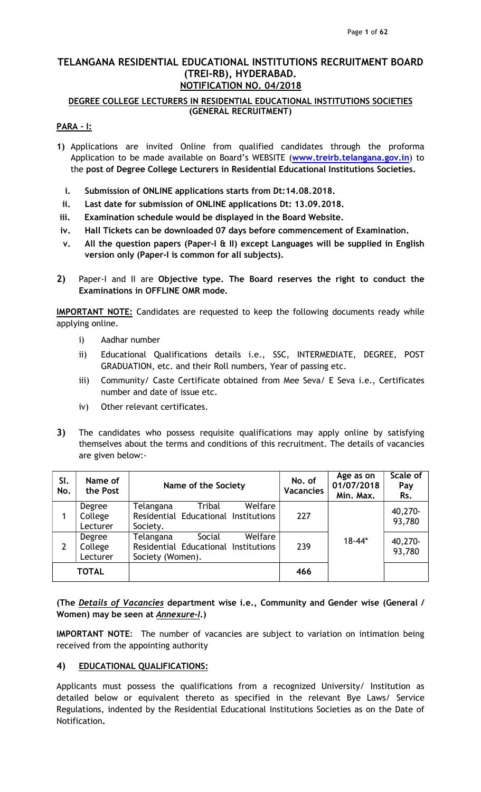## TELANGANA RESIDENTIAL EDUCATIONAL INSTITUTIONS RECRUITMENT BOARD (TREI-RB), HYDERABAD. NOTIFICATION NO. 04/2018

## DEGREE COLLEGE LECTURERS IN RESIDENTIAL EDUCATIONAL INSTITUTIONS SOCIETIES (GENERAL RECRUITMENT)

## PARA – I:

- 1) Applications are invited Online from qualified candidates through the proforma Application to be made available on Board's WEBSITE (www.treirb.telangana.gov.in) to the post of Degree College Lecturers in Residential Educational Institutions Societies.
	- i. Submission of ONLINE applications starts from Dt:14.08.2018.
- ii. Last date for submission of ONLINE applications Dt: 13.09.2018.
- iii. Examination schedule would be displayed in the Board Website.
- iv. Hall Tickets can be downloaded 07 days before commencement of Examination.
- v. All the question papers (Paper-I & II) except Languages will be supplied in English version only (Paper-I is common for all subjects).
- 2) Paper-I and II are Objective type. The Board reserves the right to conduct the Examinations in OFFLINE OMR mode.

IMPORTANT NOTE: Candidates are requested to keep the following documents ready while applying online.

- i) Aadhar number
- ii) Educational Qualifications details i.e., SSC, INTERMEDIATE, DEGREE, POST GRADUATION, etc. and their Roll numbers, Year of passing etc.
- iii) Community/ Caste Certificate obtained from Mee Seva/ E Seva i.e., Certificates number and date of issue etc.
- iv) Other relevant certificates.
- 3) The candidates who possess requisite qualifications may apply online by satisfying themselves about the terms and conditions of this recruitment. The details of vacancies are given below:-

| SI.<br>No. | Name of<br>the Post           | Name of the Society                                                                        | No. of<br><b>Vacancies</b> | Age as on<br>01/07/2018<br>Min. Max. | Scale of<br>Pay<br>Rs. |
|------------|-------------------------------|--------------------------------------------------------------------------------------------|----------------------------|--------------------------------------|------------------------|
|            | Degree<br>College<br>Lecturer | Welfare<br>Tribal<br>Telangana<br>Residential Educational Institutions<br>Society.         | 227                        |                                      | 40,270-<br>93,780      |
| 2          | Degree<br>College<br>Lecturer | Welfare<br>Telangana<br>Social<br>Residential Educational Institutions<br>Society (Women). | 239                        | $18 - 44*$                           | 40,270-<br>93,780      |
|            | <b>TOTAL</b>                  |                                                                                            | 466                        |                                      |                        |

(The Details of Vacancies department wise i.e., Community and Gender wise (General / Women) may be seen at **Annexure-I.**)

IMPORTANT NOTE: The number of vacancies are subject to variation on intimation being received from the appointing authority

## 4) EDUCATIONAL QUALIFICATIONS:

Applicants must possess the qualifications from a recognized University/ Institution as detailed below or equivalent thereto as specified in the relevant Bye Laws/ Service Regulations, indented by the Residential Educational Institutions Societies as on the Date of Notification.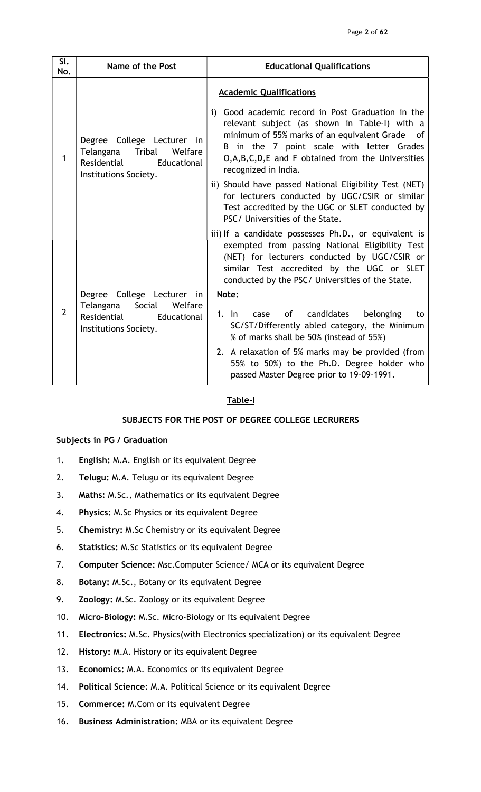| $\overline{\mathsf{SL}}$<br>No. | Name of the Post                                                                                                    | <b>Educational Qualifications</b>                                                                                                                                                                                                                                                                                                                                                                                                                                                                                                                                       |
|---------------------------------|---------------------------------------------------------------------------------------------------------------------|-------------------------------------------------------------------------------------------------------------------------------------------------------------------------------------------------------------------------------------------------------------------------------------------------------------------------------------------------------------------------------------------------------------------------------------------------------------------------------------------------------------------------------------------------------------------------|
| 1                               | Degree College Lecturer in<br>Telangana<br>Tribal<br>Welfare<br>Residential<br>Educational<br>Institutions Society. | <b>Academic Qualifications</b><br>i) Good academic record in Post Graduation in the<br>relevant subject (as shown in Table-I) with a<br>minimum of 55% marks of an equivalent Grade of<br>B in the 7 point scale with letter Grades<br>O,A,B,C,D,E and F obtained from the Universities<br>recognized in India.<br>ii) Should have passed National Eligibility Test (NET)<br>for lecturers conducted by UGC/CSIR or similar<br>Test accredited by the UGC or SLET conducted by<br>PSC/ Universities of the State.                                                       |
| $\overline{2}$                  | Degree College Lecturer in<br>Telangana<br>Social<br>Welfare<br>Residential<br>Educational<br>Institutions Society. | iii) If a candidate possesses Ph.D., or equivalent is<br>exempted from passing National Eligibility Test<br>(NET) for lecturers conducted by UGC/CSIR or<br>similar Test accredited by the UGC or SLET<br>conducted by the PSC/ Universities of the State.<br>Note:<br>$1.$ In<br>of candidates<br>belonging<br>case<br>to<br>SC/ST/Differently abled category, the Minimum<br>% of marks shall be 50% (instead of 55%)<br>2. A relaxation of 5% marks may be provided (from<br>55% to 50%) to the Ph.D. Degree holder who<br>passed Master Degree prior to 19-09-1991. |

### Table-I

### SUBJECTS FOR THE POST OF DEGREE COLLEGE LECRURERS

### Subjects in PG / Graduation

- 1. English: M.A. English or its equivalent Degree
- 2. Telugu: M.A. Telugu or its equivalent Degree
- 3. Maths: M.Sc., Mathematics or its equivalent Degree
- 4. Physics: M.Sc Physics or its equivalent Degree
- 5. Chemistry: M.Sc Chemistry or its equivalent Degree
- 6. Statistics: M.Sc Statistics or its equivalent Degree
- 7. Computer Science: Msc.Computer Science/ MCA or its equivalent Degree
- 8. Botany: M.Sc., Botany or its equivalent Degree
- 9. Zoology: M.Sc. Zoology or its equivalent Degree
- 10. Micro-Biology: M.Sc. Micro-Biology or its equivalent Degree
- 11. Electronics: M.Sc. Physics(with Electronics specialization) or its equivalent Degree
- 12. History: M.A. History or its equivalent Degree
- 13. Economics: M.A. Economics or its equivalent Degree
- 14. Political Science: M.A. Political Science or its equivalent Degree
- 15. Commerce: M.Com or its equivalent Degree
- 16. Business Administration: MBA or its equivalent Degree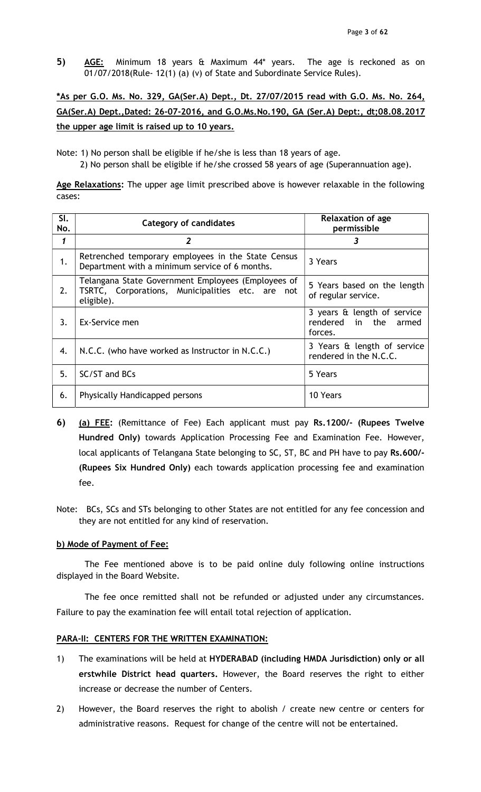5) AGE: Minimum 18 years & Maximum 44\* years. The age is reckoned as on 01/07/2018(Rule- 12(1) (a) (v) of State and Subordinate Service Rules).

# \*As per G.O. Ms. No. 329, GA(Ser.A) Dept., Dt. 27/07/2015 read with G.O. Ms. No. 264, GA(Ser.A) Dept.,Dated: 26-07-2016, and G.O.Ms.No.190, GA (Ser.A) Dept:, dt;08.08.2017 the upper age limit is raised up to 10 years.

Note: 1) No person shall be eligible if he/she is less than 18 years of age.

2) No person shall be eligible if he/she crossed 58 years of age (Superannuation age).

Age Relaxations: The upper age limit prescribed above is however relaxable in the following cases:

| SI.<br>No. | <b>Category of candidates</b>                                                                                        | <b>Relaxation of age</b><br>permissible                            |
|------------|----------------------------------------------------------------------------------------------------------------------|--------------------------------------------------------------------|
| 1          | $\overline{2}$                                                                                                       | 3                                                                  |
| 1.         | Retrenched temporary employees in the State Census<br>Department with a minimum service of 6 months.                 | 3 Years                                                            |
| 2.         | Telangana State Government Employees (Employees of<br>TSRTC, Corporations, Municipalities etc. are not<br>eligible). | 5 Years based on the length<br>of regular service.                 |
| 3.         | Ex-Service men                                                                                                       | 3 years & length of service<br>rendered in the<br>armed<br>forces. |
| 4.         | N.C.C. (who have worked as Instructor in N.C.C.)                                                                     | 3 Years & length of service<br>rendered in the N.C.C.              |
| 5.         | SC/ST and BCs                                                                                                        | 5 Years                                                            |
| 6.         | Physically Handicapped persons                                                                                       | 10 Years                                                           |

- 6) (a) FEE: (Remittance of Fee) Each applicant must pay Rs.1200/- (Rupees Twelve Hundred Only) towards Application Processing Fee and Examination Fee. However, local applicants of Telangana State belonging to SC, ST, BC and PH have to pay Rs.600/- (Rupees Six Hundred Only) each towards application processing fee and examination fee.
- Note: BCs, SCs and STs belonging to other States are not entitled for any fee concession and they are not entitled for any kind of reservation.

## b) Mode of Payment of Fee:

The Fee mentioned above is to be paid online duly following online instructions displayed in the Board Website.

The fee once remitted shall not be refunded or adjusted under any circumstances. Failure to pay the examination fee will entail total rejection of application.

## PARA-II: CENTERS FOR THE WRITTEN EXAMINATION:

- 1) The examinations will be held at HYDERABAD (including HMDA Jurisdiction) only or all erstwhile District head quarters. However, the Board reserves the right to either increase or decrease the number of Centers.
- 2) However, the Board reserves the right to abolish / create new centre or centers for administrative reasons. Request for change of the centre will not be entertained.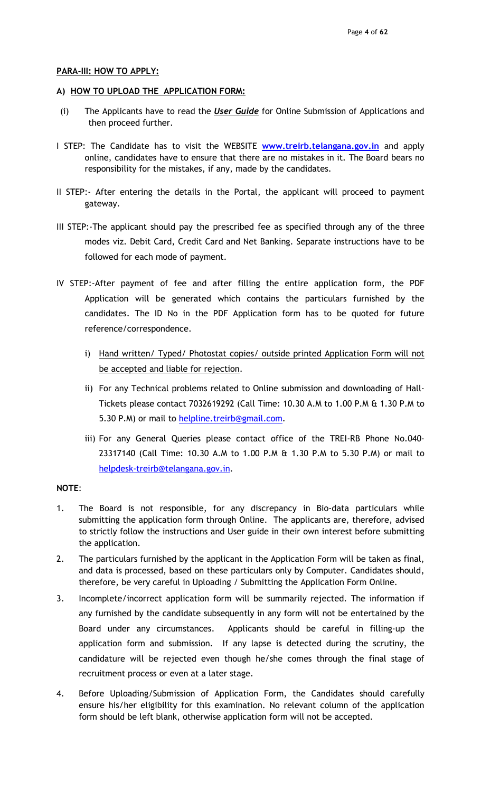### PARA-III: HOW TO APPLY:

### A) HOW TO UPLOAD THE APPLICATION FORM:

- (i) The Applicants have to read the User Guide for Online Submission of Applications and then proceed further.
- I STEP: The Candidate has to visit the WEBSITE www.treirb.telangana.gov.in and apply online, candidates have to ensure that there are no mistakes in it. The Board bears no responsibility for the mistakes, if any, made by the candidates.
- II STEP:- After entering the details in the Portal, the applicant will proceed to payment gateway.
- III STEP:-The applicant should pay the prescribed fee as specified through any of the three modes viz. Debit Card, Credit Card and Net Banking. Separate instructions have to be followed for each mode of payment.
- IV STEP:-After payment of fee and after filling the entire application form, the PDF Application will be generated which contains the particulars furnished by the candidates. The ID No in the PDF Application form has to be quoted for future reference/correspondence.
	- i) Hand written/ Typed/ Photostat copies/ outside printed Application Form will not be accepted and liable for rejection.
	- ii) For any Technical problems related to Online submission and downloading of Hall-Tickets please contact 7032619292 (Call Time: 10.30 A.M to 1.00 P.M & 1.30 P.M to 5.30 P.M) or mail to **helpline.treirb@gmail.com**.
	- iii) For any General Queries please contact office of the TREI-RB Phone No.040- 23317140 (Call Time: 10.30 A.M to 1.00 P.M & 1.30 P.M to 5.30 P.M) or mail to helpdesk-treirb@telangana.gov.in.

## NOTE:

- 1. The Board is not responsible, for any discrepancy in Bio-data particulars while submitting the application form through Online. The applicants are, therefore, advised to strictly follow the instructions and User guide in their own interest before submitting the application.
- 2. The particulars furnished by the applicant in the Application Form will be taken as final, and data is processed, based on these particulars only by Computer. Candidates should, therefore, be very careful in Uploading / Submitting the Application Form Online.
- 3. Incomplete/incorrect application form will be summarily rejected. The information if any furnished by the candidate subsequently in any form will not be entertained by the Board under any circumstances. Applicants should be careful in filling-up the application form and submission. If any lapse is detected during the scrutiny, the candidature will be rejected even though he/she comes through the final stage of recruitment process or even at a later stage.
- 4. Before Uploading/Submission of Application Form, the Candidates should carefully ensure his/her eligibility for this examination. No relevant column of the application form should be left blank, otherwise application form will not be accepted.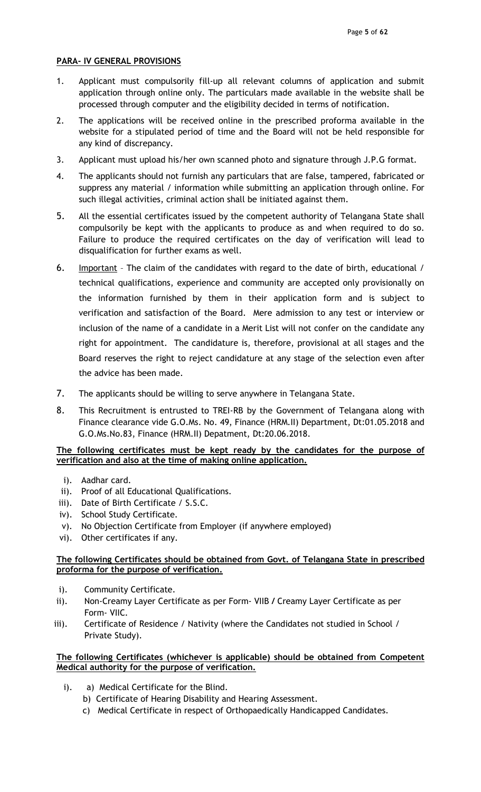## PARA- IV GENERAL PROVISIONS

- 1. Applicant must compulsorily fill-up all relevant columns of application and submit application through online only. The particulars made available in the website shall be processed through computer and the eligibility decided in terms of notification.
- 2. The applications will be received online in the prescribed proforma available in the website for a stipulated period of time and the Board will not be held responsible for any kind of discrepancy.
- 3. Applicant must upload his/her own scanned photo and signature through J.P.G format.
- 4. The applicants should not furnish any particulars that are false, tampered, fabricated or suppress any material / information while submitting an application through online. For such illegal activities, criminal action shall be initiated against them.
- 5. All the essential certificates issued by the competent authority of Telangana State shall compulsorily be kept with the applicants to produce as and when required to do so. Failure to produce the required certificates on the day of verification will lead to disqualification for further exams as well.
- 6. Important The claim of the candidates with regard to the date of birth, educational / technical qualifications, experience and community are accepted only provisionally on the information furnished by them in their application form and is subject to verification and satisfaction of the Board. Mere admission to any test or interview or inclusion of the name of a candidate in a Merit List will not confer on the candidate any right for appointment. The candidature is, therefore, provisional at all stages and the Board reserves the right to reject candidature at any stage of the selection even after the advice has been made.
- 7. The applicants should be willing to serve anywhere in Telangana State.
- 8. This Recruitment is entrusted to TREI-RB by the Government of Telangana along with Finance clearance vide G.O.Ms. No. 49, Finance (HRM.II) Department, Dt:01.05.2018 and G.O.Ms.No.83, Finance (HRM.II) Depatment, Dt:20.06.2018.

## The following certificates must be kept ready by the candidates for the purpose of verification and also at the time of making online application.

- i). Aadhar card.
- ii). Proof of all Educational Qualifications.
- iii). Date of Birth Certificate / S.S.C.
- iv). School Study Certificate.
- v). No Objection Certificate from Employer (if anywhere employed)
- vi). Other certificates if any.

## The following Certificates should be obtained from Govt. of Telangana State in prescribed proforma for the purpose of verification.

- i). Community Certificate.
- ii). Non-Creamy Layer Certificate as per Form- VIIB / Creamy Layer Certificate as per Form- VIIC.
- iii). Certificate of Residence / Nativity (where the Candidates not studied in School / Private Study).

## The following Certificates (whichever is applicable) should be obtained from Competent Medical authority for the purpose of verification.

- i). a) Medical Certificate for the Blind.
	- b) Certificate of Hearing Disability and Hearing Assessment.
	- c) Medical Certificate in respect of Orthopaedically Handicapped Candidates.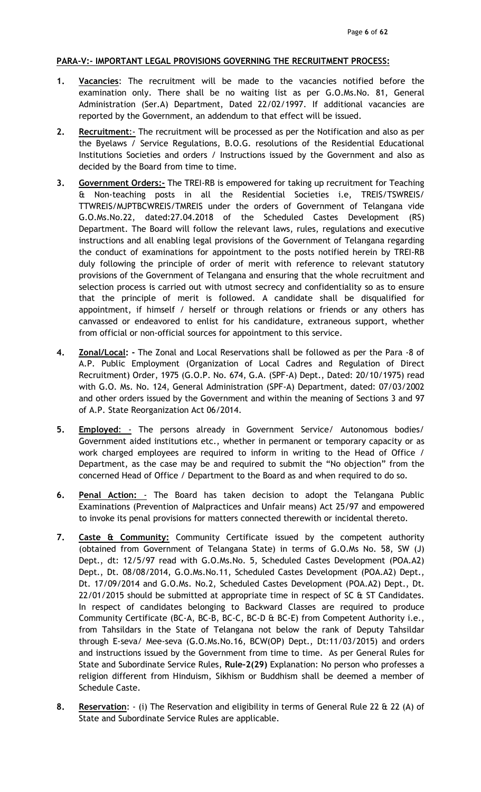### PARA-V:- IMPORTANT LEGAL PROVISIONS GOVERNING THE RECRUITMENT PROCESS:

- 1. Vacancies: The recruitment will be made to the vacancies notified before the examination only. There shall be no waiting list as per G.O.Ms.No. 81, General Administration (Ser.A) Department, Dated 22/02/1997. If additional vacancies are reported by the Government, an addendum to that effect will be issued.
- 2. Recruitment:- The recruitment will be processed as per the Notification and also as per the Byelaws / Service Regulations, B.O.G. resolutions of the Residential Educational Institutions Societies and orders / Instructions issued by the Government and also as decided by the Board from time to time.
- 3. Government Orders:- The TREI-RB is empowered for taking up recruitment for Teaching & Non-teaching posts in all the Residential Societies i.e, TREIS/TSWREIS/ TTWREIS/MJPTBCWREIS/TMREIS under the orders of Government of Telangana vide G.O.Ms.No.22, dated:27.04.2018 of the Scheduled Castes Development (RS) Department. The Board will follow the relevant laws, rules, regulations and executive instructions and all enabling legal provisions of the Government of Telangana regarding the conduct of examinations for appointment to the posts notified herein by TREI-RB duly following the principle of order of merit with reference to relevant statutory provisions of the Government of Telangana and ensuring that the whole recruitment and selection process is carried out with utmost secrecy and confidentiality so as to ensure that the principle of merit is followed. A candidate shall be disqualified for appointment, if himself / herself or through relations or friends or any others has canvassed or endeavored to enlist for his candidature, extraneous support, whether from official or non-official sources for appointment to this service.
- 4. Zonal/Local: The Zonal and Local Reservations shall be followed as per the Para -8 of A.P. Public Employment (Organization of Local Cadres and Regulation of Direct Recruitment) Order, 1975 (G.O.P. No. 674, G.A. (SPF-A) Dept., Dated: 20/10/1975) read with G.O. Ms. No. 124, General Administration (SPF-A) Department, dated: 07/03/2002 and other orders issued by the Government and within the meaning of Sections 3 and 97 of A.P. State Reorganization Act 06/2014.
- 5. Employed: The persons already in Government Service/ Autonomous bodies/ Government aided institutions etc., whether in permanent or temporary capacity or as work charged employees are required to inform in writing to the Head of Office / Department, as the case may be and required to submit the "No objection" from the concerned Head of Office / Department to the Board as and when required to do so.
- 6. Penal Action: The Board has taken decision to adopt the Telangana Public Examinations (Prevention of Malpractices and Unfair means) Act 25/97 and empowered to invoke its penal provisions for matters connected therewith or incidental thereto.
- 7. Caste & Community: Community Certificate issued by the competent authority (obtained from Government of Telangana State) in terms of G.O.Ms No. 58, SW (J) Dept., dt: 12/5/97 read with G.O.Ms.No. 5, Scheduled Castes Development (POA.A2) Dept., Dt. 08/08/2014, G.O.Ms.No.11, Scheduled Castes Development (POA.A2) Dept., Dt. 17/09/2014 and G.O.Ms. No.2, Scheduled Castes Development (POA.A2) Dept., Dt. 22/01/2015 should be submitted at appropriate time in respect of SC & ST Candidates. In respect of candidates belonging to Backward Classes are required to produce Community Certificate (BC-A, BC-B, BC-C, BC-D & BC-E) from Competent Authority i.e., from Tahsildars in the State of Telangana not below the rank of Deputy Tahsildar through E-seva/ Mee-seva (G.O.Ms.No.16, BCW(OP) Dept., Dt:11/03/2015) and orders and instructions issued by the Government from time to time. As per General Rules for State and Subordinate Service Rules, Rule-2(29) Explanation: No person who professes a religion different from Hinduism, Sikhism or Buddhism shall be deemed a member of Schedule Caste.
- 8. Reservation: (i) The Reservation and eligibility in terms of General Rule 22 & 22 (A) of State and Subordinate Service Rules are applicable.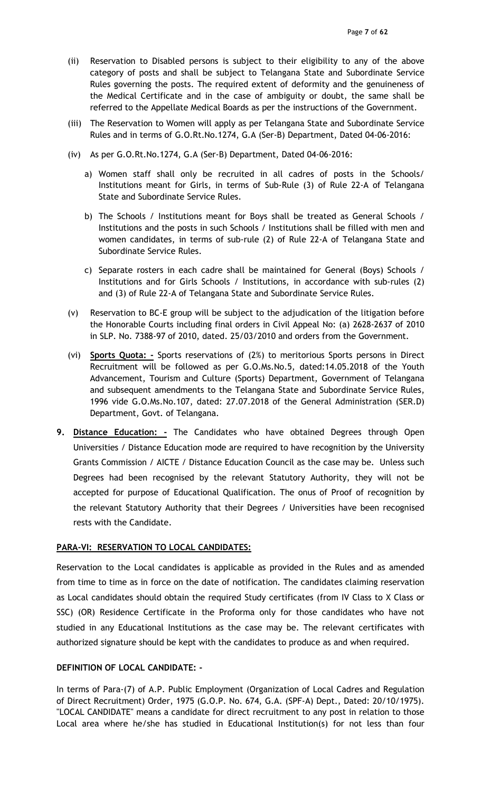- (ii) Reservation to Disabled persons is subject to their eligibility to any of the above category of posts and shall be subject to Telangana State and Subordinate Service Rules governing the posts. The required extent of deformity and the genuineness of the Medical Certificate and in the case of ambiguity or doubt, the same shall be referred to the Appellate Medical Boards as per the instructions of the Government.
- (iii) The Reservation to Women will apply as per Telangana State and Subordinate Service Rules and in terms of G.O.Rt.No.1274, G.A (Ser-B) Department, Dated 04-06-2016:
- (iv) As per G.O.Rt.No.1274, G.A (Ser-B) Department, Dated 04-06-2016:
	- a) Women staff shall only be recruited in all cadres of posts in the Schools/ Institutions meant for Girls, in terms of Sub-Rule (3) of Rule 22-A of Telangana State and Subordinate Service Rules.
	- b) The Schools / Institutions meant for Boys shall be treated as General Schools / Institutions and the posts in such Schools / Institutions shall be filled with men and women candidates, in terms of sub-rule (2) of Rule 22-A of Telangana State and Subordinate Service Rules.
	- c) Separate rosters in each cadre shall be maintained for General (Boys) Schools / Institutions and for Girls Schools / Institutions, in accordance with sub-rules (2) and (3) of Rule 22-A of Telangana State and Subordinate Service Rules.
- (v) Reservation to BC-E group will be subject to the adjudication of the litigation before the Honorable Courts including final orders in Civil Appeal No: (a) 2628-2637 of 2010 in SLP. No. 7388-97 of 2010, dated. 25/03/2010 and orders from the Government.
- (vi) Sports Quota: Sports reservations of (2%) to meritorious Sports persons in Direct Recruitment will be followed as per G.O.Ms.No.5, dated:14.05.2018 of the Youth Advancement, Tourism and Culture (Sports) Department, Government of Telangana and subsequent amendments to the Telangana State and Subordinate Service Rules, 1996 vide G.O.Ms.No.107, dated: 27.07.2018 of the General Administration (SER.D) Department, Govt. of Telangana.
- 9. Distance Education: The Candidates who have obtained Degrees through Open Universities / Distance Education mode are required to have recognition by the University Grants Commission / AICTE / Distance Education Council as the case may be. Unless such Degrees had been recognised by the relevant Statutory Authority, they will not be accepted for purpose of Educational Qualification. The onus of Proof of recognition by the relevant Statutory Authority that their Degrees / Universities have been recognised rests with the Candidate.

## PARA-VI: RESERVATION TO LOCAL CANDIDATES:

Reservation to the Local candidates is applicable as provided in the Rules and as amended from time to time as in force on the date of notification. The candidates claiming reservation as Local candidates should obtain the required Study certificates (from IV Class to X Class or SSC) (OR) Residence Certificate in the Proforma only for those candidates who have not studied in any Educational Institutions as the case may be. The relevant certificates with authorized signature should be kept with the candidates to produce as and when required.

### DEFINITION OF LOCAL CANDIDATE: -

In terms of Para-(7) of A.P. Public Employment (Organization of Local Cadres and Regulation of Direct Recruitment) Order, 1975 (G.O.P. No. 674, G.A. (SPF-A) Dept., Dated: 20/10/1975). "LOCAL CANDIDATE" means a candidate for direct recruitment to any post in relation to those Local area where he/she has studied in Educational Institution(s) for not less than four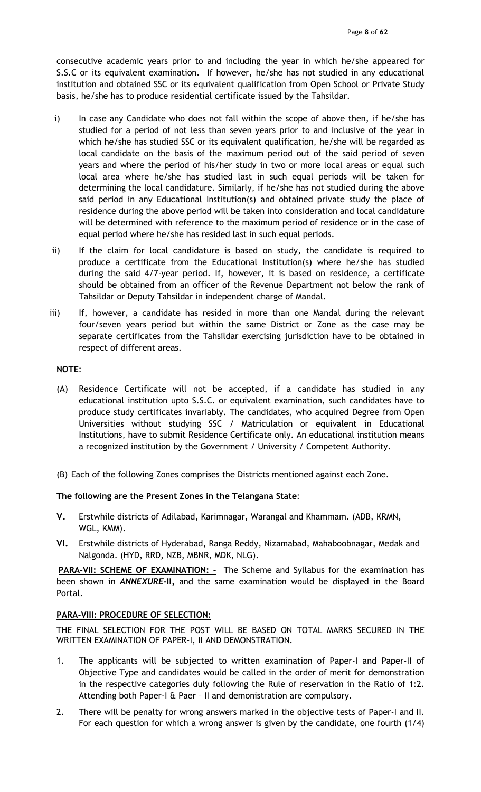consecutive academic years prior to and including the year in which he/she appeared for S.S.C or its equivalent examination. If however, he/she has not studied in any educational institution and obtained SSC or its equivalent qualification from Open School or Private Study basis, he/she has to produce residential certificate issued by the Tahsildar.

- i) In case any Candidate who does not fall within the scope of above then, if he/she has studied for a period of not less than seven years prior to and inclusive of the year in which he/she has studied SSC or its equivalent qualification, he/she will be regarded as local candidate on the basis of the maximum period out of the said period of seven years and where the period of his/her study in two or more local areas or equal such local area where he/she has studied last in such equal periods will be taken for determining the local candidature. Similarly, if he/she has not studied during the above said period in any Educational Institution(s) and obtained private study the place of residence during the above period will be taken into consideration and local candidature will be determined with reference to the maximum period of residence or in the case of equal period where he/she has resided last in such equal periods.
- ii) If the claim for local candidature is based on study, the candidate is required to produce a certificate from the Educational Institution(s) where he/she has studied during the said 4/7-year period. If, however, it is based on residence, a certificate should be obtained from an officer of the Revenue Department not below the rank of Tahsildar or Deputy Tahsildar in independent charge of Mandal.
- iii) If, however, a candidate has resided in more than one Mandal during the relevant four/seven years period but within the same District or Zone as the case may be separate certificates from the Tahsildar exercising jurisdiction have to be obtained in respect of different areas.

### NOTE:

- (A) Residence Certificate will not be accepted, if a candidate has studied in any educational institution upto S.S.C. or equivalent examination, such candidates have to produce study certificates invariably. The candidates, who acquired Degree from Open Universities without studying SSC / Matriculation or equivalent in Educational Institutions, have to submit Residence Certificate only. An educational institution means a recognized institution by the Government / University / Competent Authority.
- (B) Each of the following Zones comprises the Districts mentioned against each Zone.

### The following are the Present Zones in the Telangana State:

- V. Erstwhile districts of Adilabad, Karimnagar, Warangal and Khammam. (ADB, KRMN, WGL, KMM).
- VI. Erstwhile districts of Hyderabad, Ranga Reddy, Nizamabad, Mahaboobnagar, Medak and Nalgonda. (HYD, RRD, NZB, MBNR, MDK, NLG).

PARA-VII: SCHEME OF EXAMINATION: - The Scheme and Syllabus for the examination has been shown in **ANNEXURE-II**, and the same examination would be displayed in the Board Portal.

### PARA-VIII: PROCEDURE OF SELECTION:

THE FINAL SELECTION FOR THE POST WILL BE BASED ON TOTAL MARKS SECURED IN THE WRITTEN EXAMINATION OF PAPER-I, II AND DEMONSTRATION.

- 1. The applicants will be subjected to written examination of Paper-I and Paper-II of Objective Type and candidates would be called in the order of merit for demonstration in the respective categories duly following the Rule of reservation in the Ratio of 1:2. Attending both Paper-I & Paer – II and demonistration are compulsory.
- 2. There will be penalty for wrong answers marked in the objective tests of Paper-I and II. For each question for which a wrong answer is given by the candidate, one fourth (1/4)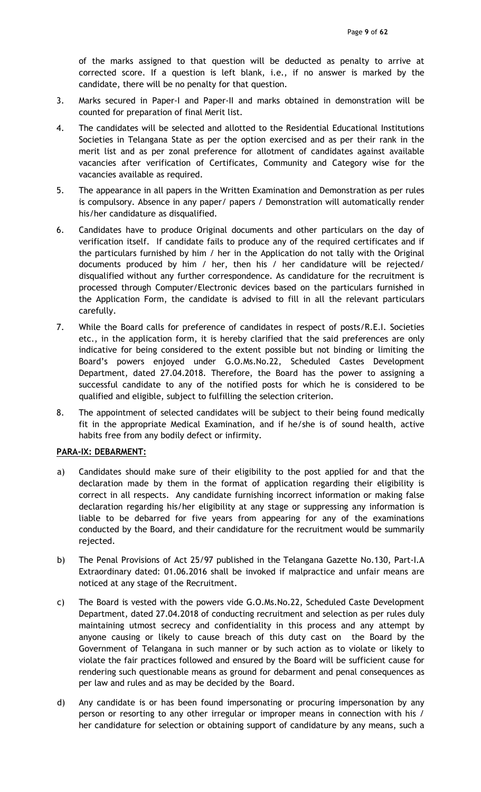of the marks assigned to that question will be deducted as penalty to arrive at corrected score. If a question is left blank, i.e., if no answer is marked by the candidate, there will be no penalty for that question.

- 3. Marks secured in Paper-I and Paper-II and marks obtained in demonstration will be counted for preparation of final Merit list.
- 4. The candidates will be selected and allotted to the Residential Educational Institutions Societies in Telangana State as per the option exercised and as per their rank in the merit list and as per zonal preference for allotment of candidates against available vacancies after verification of Certificates, Community and Category wise for the vacancies available as required.
- 5. The appearance in all papers in the Written Examination and Demonstration as per rules is compulsory. Absence in any paper/ papers / Demonstration will automatically render his/her candidature as disqualified.
- 6. Candidates have to produce Original documents and other particulars on the day of verification itself. If candidate fails to produce any of the required certificates and if the particulars furnished by him / her in the Application do not tally with the Original documents produced by him / her, then his / her candidature will be rejected/ disqualified without any further correspondence. As candidature for the recruitment is processed through Computer/Electronic devices based on the particulars furnished in the Application Form, the candidate is advised to fill in all the relevant particulars carefully.
- 7. While the Board calls for preference of candidates in respect of posts/R.E.I. Societies etc., in the application form, it is hereby clarified that the said preferences are only indicative for being considered to the extent possible but not binding or limiting the Board's powers enjoyed under G.O.Ms.No.22, Scheduled Castes Development Department, dated 27.04.2018. Therefore, the Board has the power to assigning a successful candidate to any of the notified posts for which he is considered to be qualified and eligible, subject to fulfilling the selection criterion.
- 8. The appointment of selected candidates will be subject to their being found medically fit in the appropriate Medical Examination, and if he/she is of sound health, active habits free from any bodily defect or infirmity.

## PARA-IX: DEBARMENT:

- a) Candidates should make sure of their eligibility to the post applied for and that the declaration made by them in the format of application regarding their eligibility is correct in all respects. Any candidate furnishing incorrect information or making false declaration regarding his/her eligibility at any stage or suppressing any information is liable to be debarred for five years from appearing for any of the examinations conducted by the Board, and their candidature for the recruitment would be summarily rejected.
- b) The Penal Provisions of Act 25/97 published in the Telangana Gazette No.130, Part-I.A Extraordinary dated: 01.06.2016 shall be invoked if malpractice and unfair means are noticed at any stage of the Recruitment.
- c) The Board is vested with the powers vide G.O.Ms.No.22, Scheduled Caste Development Department, dated 27.04.2018 of conducting recruitment and selection as per rules duly maintaining utmost secrecy and confidentiality in this process and any attempt by anyone causing or likely to cause breach of this duty cast on the Board by the Government of Telangana in such manner or by such action as to violate or likely to violate the fair practices followed and ensured by the Board will be sufficient cause for rendering such questionable means as ground for debarment and penal consequences as per law and rules and as may be decided by the Board.
- d) Any candidate is or has been found impersonating or procuring impersonation by any person or resorting to any other irregular or improper means in connection with his / her candidature for selection or obtaining support of candidature by any means, such a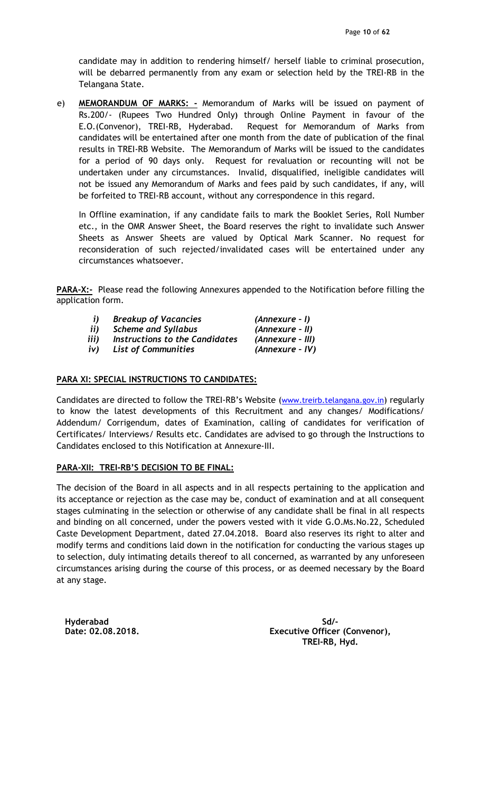candidate may in addition to rendering himself/ herself liable to criminal prosecution, will be debarred permanently from any exam or selection held by the TREI-RB in the Telangana State.

e) MEMORANDUM OF MARKS: - Memorandum of Marks will be issued on payment of Rs.200/- (Rupees Two Hundred Only) through Online Payment in favour of the E.O.(Convenor), TREI-RB, Hyderabad. Request for Memorandum of Marks from candidates will be entertained after one month from the date of publication of the final results in TREI-RB Website. The Memorandum of Marks will be issued to the candidates for a period of 90 days only. Request for revaluation or recounting will not be undertaken under any circumstances. Invalid, disqualified, ineligible candidates will not be issued any Memorandum of Marks and fees paid by such candidates, if any, will be forfeited to TREI-RB account, without any correspondence in this regard.

In Offline examination, if any candidate fails to mark the Booklet Series, Roll Number etc., in the OMR Answer Sheet, the Board reserves the right to invalidate such Answer Sheets as Answer Sheets are valued by Optical Mark Scanner. No request for reconsideration of such rejected/invalidated cases will be entertained under any circumstances whatsoever.

PARA-X:- Please read the following Annexures appended to the Notification before filling the application form.

| j)   | <b>Breakup of Vacancies</b>    | (Annexure - I)   |
|------|--------------------------------|------------------|
| ii)  | <b>Scheme and Syllabus</b>     | (Annexure - II)  |
| iii) | Instructions to the Candidates | (Annexure - III) |
| iv)  | <b>List of Communities</b>     | (Annexure - IV)  |

## PARA XI: SPECIAL INSTRUCTIONS TO CANDIDATES:

Candidates are directed to follow the TREI-RB's Website (www.treirb.telangana.gov.in) regularly to know the latest developments of this Recruitment and any changes/ Modifications/ Addendum/ Corrigendum, dates of Examination, calling of candidates for verification of Certificates/ Interviews/ Results etc. Candidates are advised to go through the Instructions to Candidates enclosed to this Notification at Annexure-III.

### PARA-XII: TREI-RB'S DECISION TO BE FINAL:

The decision of the Board in all aspects and in all respects pertaining to the application and its acceptance or rejection as the case may be, conduct of examination and at all consequent stages culminating in the selection or otherwise of any candidate shall be final in all respects and binding on all concerned, under the powers vested with it vide G.O.Ms.No.22, Scheduled Caste Development Department, dated 27.04.2018. Board also reserves its right to alter and modify terms and conditions laid down in the notification for conducting the various stages up to selection, duly intimating details thereof to all concerned, as warranted by any unforeseen circumstances arising during the course of this process, or as deemed necessary by the Board at any stage.

Hyderabad Date: 02.08.2018.

Sd/- Executive Officer (Convenor), TREI-RB, Hyd.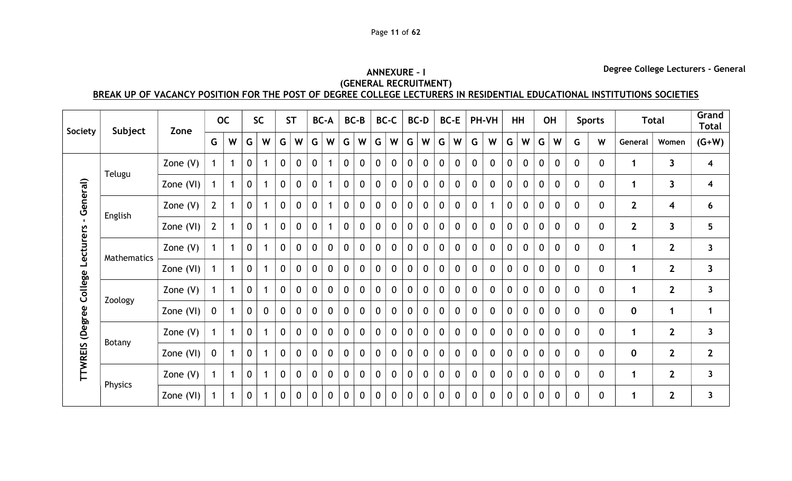# ANNEXURE – I (GENERAL RECRUITMENT)

Degree College Lecturers - General

BREAK UP OF VACANCY POSITION FOR THE POST OF DEGREE COLLEGE LECTURERS IN RESIDENTIAL EDUCATIONAL INSTITUTIONS SOCIETIES

| Society                   | Subject            | Zone       |              | <b>OC</b>    |                  | <b>SC</b>   | <b>ST</b>        |                  |              | <b>BC-A</b>      |                  | $BC-B$       |                  | <b>BC-C</b> |                  | <b>BC-D</b>  |                  | <b>BC-E</b> |             | PH-VH        | HH               |                  |              | <b>OH</b>        |                  | <b>Sports</b>    |              | <b>Total</b>            | Grand<br><b>Total</b>   |
|---------------------------|--------------------|------------|--------------|--------------|------------------|-------------|------------------|------------------|--------------|------------------|------------------|--------------|------------------|-------------|------------------|--------------|------------------|-------------|-------------|--------------|------------------|------------------|--------------|------------------|------------------|------------------|--------------|-------------------------|-------------------------|
|                           |                    |            | G            | W            | G                | W           | G                | W                | G            | W                | G                | W            | G                | W           | G                | W            | G                | W           | G           | W            | G                | W                | G            | W                | G                | W                | General      | Women                   | $(G+W)$                 |
|                           |                    | Zone $(V)$ |              |              | $\boldsymbol{0}$ |             | $\boldsymbol{0}$ | $\boldsymbol{0}$ | 0            |                  | 0                | 0            | $\boldsymbol{0}$ | $\mathbf 0$ | 0                | 0            | $\boldsymbol{0}$ | 0           | $\mathbf 0$ | $\mathbf 0$  | $\boldsymbol{0}$ | $\boldsymbol{0}$ | 0            | $\mathbf 0$      | $\mathbf 0$      | $\mathbf 0$      |              | 3                       | $\overline{\mathbf{4}}$ |
|                           | Telugu             | Zone (VI)  | $\mathbf 1$  | $\mathbf 1$  | $\mathbf 0$      |             | $\mathbf{0}$     | $\boldsymbol{0}$ | $\mathbf 0$  |                  | $\mathbf{0}$     | $\mathbf 0$  | $\mathbf 0$      | $\mathbf 0$ | $\mathbf 0$      | $\mathbf 0$  | $\mathbf 0$      | $\mathbf 0$ | $\mathbf 0$ | $\mathbf 0$  | $\mathbf 0$      | $\mathbf 0$      | 0            | $\mathbf 0$      | $\mathbf 0$      | $\mathbf 0$      | $\mathbf 1$  | 3                       | $\overline{\mathbf{4}}$ |
| General)                  |                    | Zone $(V)$ | $2^{\circ}$  | $\mathbf{1}$ | $\mathbf 0$      |             | $\mathbf 0$      | $\boldsymbol{0}$ | $\mathbf 0$  |                  | $\mathbf 0$      | $\mathbf 0$  | $\mathbf 0$      | $\mathbf 0$ | $\mathbf 0$      | $\mathbf 0$  | $\mathbf 0$      | $\mathbf 0$ | $\mathbf 0$ |              | $\mathbf 0$      | $\mathbf 0$      | $\mathbf 0$  | $\mathbf 0$      | $\mathbf 0$      | $\mathbf 0$      | $\mathbf{2}$ | $\overline{\mathbf{4}}$ | 6                       |
| $\mathbf{L}$<br>Lecturers | English            | Zone (VI)  | $\mathbf{2}$ |              | $\boldsymbol{0}$ |             | $\boldsymbol{0}$ | $\boldsymbol{0}$ | 0            |                  | 0                | 0            | $\boldsymbol{0}$ | $\mathbf 0$ | 0                | 0            | $\boldsymbol{0}$ | 0           | $\mathbf 0$ | $\mathbf 0$  | $\boldsymbol{0}$ | $\boldsymbol{0}$ | $\mathbf 0$  | $\boldsymbol{0}$ | $\mathbf 0$      | $\boldsymbol{0}$ | $\mathbf{2}$ | 3                       | $5\phantom{.0}$         |
|                           | <b>Mathematics</b> | Zone $(V)$ | $\mathbf{1}$ |              | $\mathbf{0}$     |             | $\mathbf{0}$     | $\boldsymbol{0}$ | $\mathbf{0}$ | $\mathbf{0}$     | $\mathbf 0$      | 0            | $\mathbf 0$      | $\mathbf 0$ | $\mathbf 0$      | $\mathbf 0$  | $\mathbf 0$      | $\mathbf 0$ | $\mathbf 0$ | $\mathbf 0$  | $\mathbf 0$      | $\mathbf{0}$     | 0            | $\mathbf 0$      | $\mathbf{0}$     | $\mathbf 0$      |              | $\mathbf{2}$            | $\mathbf{3}$            |
|                           |                    | Zone (VI)  |              | $\mathbf{1}$ | $\mathbf 0$      |             | $\mathbf 0$      | $\mathbf 0$      | $\mathbf 0$  | $\mathbf 0$      | $\mathbf{0}$     | $\mathbf{0}$ | $\mathbf 0$      | $\mathbf 0$ | $\mathbf 0$      | $\mathbf 0$  | $\mathbf 0$      | $\mathbf 0$ | $\mathbf 0$ | $\mathbf 0$  | $\mathbf 0$      | $\mathbf 0$      | $\mathbf 0$  | $\mathbf 0$      | $\mathbf 0$      | $\mathbf 0$      | $\mathbf 1$  | $\mathbf{2}$            | $\mathbf{3}$            |
| College                   |                    | Zone $(V)$ |              |              | $\boldsymbol{0}$ |             | $\boldsymbol{0}$ | $\boldsymbol{0}$ | 0            | $\boldsymbol{0}$ | $\boldsymbol{0}$ | 0            | $\boldsymbol{0}$ | $\mathbf 0$ | $\boldsymbol{0}$ | $\mathbf 0$  | $\boldsymbol{0}$ | $\mathbf 0$ | $\mathbf 0$ | $\mathbf 0$  | $\mathbf 0$      | 0                | $\mathbf 0$  | $\mathbf 0$      | $\mathbf 0$      | $\boldsymbol{0}$ | 1            | $\mathbf{2}$            | $\mathbf{3}$            |
|                           | Zoology            | Zone (VI)  | $\mathbf 0$  |              | $\mathbf 0$      | $\mathbf 0$ | $\Omega$         | $\mathbf{0}$     | $\mathbf{0}$ | $\mathbf{0}$     | $\mathbf{0}$     | 0            | $\mathbf 0$      | $\mathbf 0$ | $\mathbf 0$      | $\mathbf 0$  | $\mathbf 0$      | $\mathbf 0$ | $\mathbf 0$ | $\mathbf 0$  | $\mathbf 0$      | $\mathbf{0}$     | $\mathbf 0$  | $\mathbf 0$      | $\mathbf{0}$     | $\mathbf 0$      | $\mathbf 0$  | $\mathbf 1$             | $\mathbf{1}$            |
| <b>TTWREIS (Degree</b>    |                    | Zone $(V)$ |              | $\mathbf 1$  | $\mathbf 0$      |             | $\mathbf{0}$     | $\mathbf 0$      | $\mathbf{0}$ | $\mathbf 0$      | $\mathbf{0}$     | $\mathbf{0}$ | $\mathbf 0$      | $\mathbf 0$ | $\mathbf 0$      | $\mathbf 0$  | $\mathbf 0$      | $\mathbf 0$ | $\mathbf 0$ | $\mathbf{0}$ | $\mathbf 0$      | $\mathbf 0$      | $\mathbf{0}$ | $\mathbf 0$      | $\Omega$         | $\mathbf 0$      | $\mathbf 1$  | $2\overline{ }$         | $\mathbf{3}$            |
|                           | Botany             | Zone (VI)  | $\mathbf 0$  |              | $\mathbf 0$      |             | $\mathbf 0$      | $\mathbf 0$      | 0            | $\mathbf 0$      | $\mathbf 0$      | 0            | $\mathbf 0$      | $\mathbf 0$ | $\mathbf 0$      | $\mathbf 0$  | $\boldsymbol{0}$ | $\mathbf 0$ | $\mathbf 0$ | $\mathbf 0$  | $\mathbf 0$      | $\boldsymbol{0}$ | $\mathbf 0$  | $\mathbf 0$      | $\boldsymbol{0}$ | $\mathbf 0$      | $\mathbf 0$  | $\overline{2}$          | $\overline{2}$          |
|                           |                    | Zone $(V)$ | $\mathbf{1}$ |              | $\mathbf 0$      |             | $\mathbf{0}$     | $\mathbf{0}$     | $\mathbf{0}$ | $\mathbf{0}$     | $\mathbf{0}$     | $\mathbf{0}$ | $\mathbf 0$      | $\mathbf 0$ | $\mathbf 0$      | $\mathbf 0$  | $\mathbf 0$      | $\mathbf 0$ | $\mathbf 0$ | $\mathbf 0$  | $\mathbf 0$      | $\mathbf{0}$     | $\mathbf{0}$ | $\mathbf 0$      | $\mathbf{0}$     | $\mathbf 0$      |              | $\mathbf{2}$            | $\mathbf{3}$            |
|                           | Physics            | Zone (VI)  |              | $\mathbf{1}$ | $\mathbf 0$      |             | 0                | $\mathbf 0$      | $\mathbf 0$  | $\mathbf 0$      | 0                | $\mathbf 0$  | $\mathbf 0$      | $\mathbf 0$ | $\mathbf 0$      | $\mathbf{0}$ | $\mathbf 0$      | $\mathbf 0$ | $\mathbf 0$ | $\mathbf{0}$ | $\mathbf 0$      | $\mathbf{0}$     | $\Omega$     | $\mathbf{0}$     | $\mathbf{0}$     | $\mathbf 0$      |              | $\mathbf{2}$            | $\mathbf{3}$            |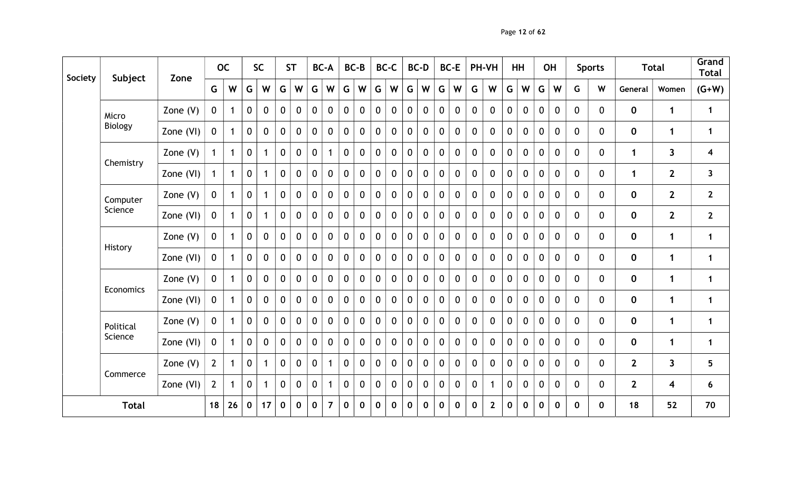| Society | Subject        | Zone       |                | <b>OC</b>    |                | <b>SC</b>    |              | <b>ST</b>    |              | <b>BC-A</b>    |              | BC-B         |              | BC-C           |                | <b>BC-D</b>      |              | BC-E         |              | PH-VH        |                | HH           |                | <b>OH</b>    |              | <b>Sports</b> |                | <b>Total</b>            | Grand<br><b>Total</b>   |
|---------|----------------|------------|----------------|--------------|----------------|--------------|--------------|--------------|--------------|----------------|--------------|--------------|--------------|----------------|----------------|------------------|--------------|--------------|--------------|--------------|----------------|--------------|----------------|--------------|--------------|---------------|----------------|-------------------------|-------------------------|
|         |                |            | G              | W            | G              | W            | G            | W            | G            | W              | G            | W            | G            | W              | G              | W                | G            | W            | G            | W            | G              | W            | G              | W            | G            | W             | General        | Women                   | $(G+W)$                 |
|         | Micro          | Zone $(V)$ | $\mathbf{0}$   | $\mathbf 1$  | $\overline{0}$ | $\mathbf{0}$ | $\mathbf{0}$ | $\Omega$     | $\mathbf 0$  | $\mathbf 0$    | $\mathbf 0$  | $\Omega$     | $\mathbf{0}$ | $\mathbf 0$    | $\mathbf 0$    | $\mathbf 0$      | $\mathbf{0}$ | $\mathbf 0$  | $\mathbf 0$  | $\mathbf{0}$ | 0              | $\mathbf{0}$ | $\overline{0}$ | $\mathbf 0$  | $\Omega$     | $\mathbf{0}$  | $\mathbf 0$    | $\mathbf 1$             | $\mathbf{1}$            |
|         | <b>Biology</b> | Zone (VI)  | $\mathbf 0$    | $\mathbf{1}$ | $\mathbf 0$    | $\mathbf{0}$ | $\mathbf 0$  | $\mathbf 0$  | $\mathbf 0$  | $\mathbf 0$    | $\mathbf 0$  | $\mathbf{0}$ | $\mathbf 0$  | $\mathbf 0$    | $\mathbf 0$    | $\mathbf 0$      | $\mathbf 0$  | $\mathbf 0$  | $\mathbf 0$  | $\mathbf 0$  | $\mathbf 0$    | $\mathbf 0$  | 0              | $\mathbf 0$  | 0            | $\mathbf{0}$  | $\mathbf 0$    | $\mathbf{1}$            | $\mathbf{1}$            |
|         | Chemistry      | Zone $(V)$ |                | $\mathbf{1}$ | $\mathbf 0$    | 1            | $\mathbf 0$  | $\mathbf{0}$ | $\mathbf 0$  | $\mathbf 1$    | $\mathbf 0$  | $\mathbf{0}$ | $\mathbf 0$  | $\mathbf 0$    | 0              | $\mathbf{0}$     | $\mathbf 0$  | $\mathbf 0$  | $\mathbf 0$  | $\mathbf 0$  | 0              | $\mathbf 0$  | 0              | $\mathbf 0$  | $\Omega$     | $\mathbf{0}$  | $\mathbf 1$    | $\mathbf{3}$            | $\overline{\mathbf{4}}$ |
|         |                | Zone (VI)  |                | $\mathbf{1}$ | $\mathbf 0$    | 1            | $\mathbf 0$  | $\mathbf 0$  | $\mathbf 0$  | $\mathbf 0$    | $\mathbf 0$  | $\mathbf{0}$ | $\mathbf 0$  | $\mathbf 0$    | $\mathbf 0$    | $\boldsymbol{0}$ | $\mathbf 0$  | $\mathbf 0$  | $\mathbf 0$  | $\mathbf 0$  | $\mathbf 0$    | $\mathbf{0}$ | $\mathbf{0}$   | $\mathbf 0$  | $\mathbf 0$  | $\mathbf 0$   | $\mathbf 1$    | $\overline{2}$          | $\mathbf{3}$            |
|         | Computer       | Zone $(V)$ | $\mathbf 0$    | $\mathbf{1}$ | $\mathbf 0$    | $\mathbf{1}$ | $\mathbf 0$  | $\mathbf 0$  | $\mathbf 0$  | $\mathbf 0$    | $\mathbf 0$  | $\mathbf 0$  | $\mathbf{0}$ | $\mathbf 0$    | $\mathbf 0$    | $\mathbf 0$      | $\mathbf 0$  | $\mathbf 0$  | $\mathbf 0$  | $\mathbf 0$  | 0              | $\mathbf{0}$ | $\mathbf 0$    | $\mathbf 0$  | $\mathbf{0}$ | $\mathbf{0}$  | $\mathbf 0$    | $2^{\circ}$             | $\overline{2}$          |
|         | Science        | Zone (VI)  | $\mathbf{0}$   | $\mathbf 1$  | $\mathbf 0$    |              | $\mathbf 0$  | $\Omega$     | $\mathbf{0}$ | $\mathbf{0}$   | $\mathbf 0$  | $\Omega$     | $\mathbf{0}$ | $\mathbf{0}$   | $\mathbf 0$    | $\mathbf{0}$     | $\Omega$     | $\mathbf 0$  | $\mathbf 0$  | $\mathbf{0}$ | $\mathbf{0}$   | $\mathbf{0}$ | $\Omega$       | $\mathbf{0}$ | 0            | $\mathbf{0}$  | $\mathbf 0$    | $2^{\circ}$             | $\overline{2}$          |
|         | History        | Zone $(V)$ | $\mathbf 0$    | $\mathbf{1}$ | $\mathbf 0$    | $\mathbf 0$  | $\mathbf 0$  | $\mathbf 0$  | $\mathbf 0$  | $\mathbf 0$    | $\mathbf 0$  | $\mathbf{0}$ | $\mathbf{0}$ | $\mathbf 0$    | $\mathbf 0$    | $\mathbf 0$      | $\mathbf 0$  | $\mathbf 0$  | $\mathbf 0$  | $\mathbf 0$  | $\mathbf 0$    | $\mathbf 0$  | 0              | $\mathbf 0$  | $\Omega$     | $\mathbf{0}$  | $\mathbf 0$    | $\mathbf 1$             | $\mathbf 1$             |
|         |                | Zone (VI)  | $\mathbf 0$    | 1            | $\mathbf 0$    | $\mathbf 0$  | $\mathbf 0$  | $\mathbf{0}$ | $\mathbf 0$  | $\mathbf 0$    | $\mathbf 0$  | $\mathbf{0}$ | $\mathbf 0$  | $\mathbf 0$    | $\mathbf 0$    | $\mathbf 0$      | $\mathbf{0}$ | $\mathbf 0$  | $\mathbf 0$  | $\mathbf 0$  | $\mathbf 0$    | $\mathbf{0}$ | 0              | $\mathbf 0$  | $\Omega$     | $\mathbf 0$   | $\mathbf 0$    | $\mathbf 1$             | $\mathbf 1$             |
|         | Economics      | Zone $(V)$ | $\mathbf 0$    | $\mathbf 1$  | $\mathbf 0$    | $\mathbf 0$  | $\mathbf 0$  | $\mathbf 0$  | $\mathbf 0$  | $\mathbf{0}$   | $\mathbf 0$  | $\mathbf{0}$ | $\mathbf 0$  | $\mathbf 0$    | $\mathbf 0$    | $\mathbf 0$      | $\mathbf 0$  | $\mathbf 0$  | $\mathbf{0}$ | $\mathbf 0$  | $\overline{0}$ | $\mathbf{0}$ | $\mathbf{0}$   | $\mathbf 0$  | $\mathbf{0}$ | $\mathbf{0}$  | $\mathbf 0$    | $\mathbf{1}$            | $\mathbf{1}$            |
|         |                | Zone (VI)  | $\mathbf 0$    | $\mathbf{1}$ | $\mathbf 0$    | $\mathbf 0$  | $\mathbf{0}$ | $\mathbf 0$  | $\mathbf 0$  | $\mathbf 0$    | $\mathbf 0$  | $\mathbf{0}$ | $\mathbf 0$  | $\mathbf 0$    | $\mathbf 0$    | $\mathbf{0}$     | $\mathbf 0$  | $\mathbf 0$  | $\mathbf 0$  | $\mathbf 0$  | $\mathbf 0$    | $\mathbf 0$  | $\mathbf{0}$   | $\mathbf 0$  | $\Omega$     | $\mathbf{0}$  | $\mathbf 0$    | $\mathbf 1$             | $\mathbf{1}$            |
|         | Political      | Zone $(V)$ | $\mathbf 0$    | $\mathbf 1$  | $\mathbf{0}$   | $\Omega$     | $\Omega$     | $\Omega$     | $\mathbf{0}$ | $\mathbf{0}$   | $\mathbf{0}$ | $\Omega$     | $\Omega$     | $\mathbf{0}$   | $\overline{0}$ | $\mathbf{0}$     | $\Omega$     | $\mathbf{0}$ | $\mathbf{0}$ | $\mathbf{0}$ | $\mathbf{0}$   | $\Omega$     | $\Omega$       | $\mathbf 0$  | 0            | $\mathbf{0}$  | $\mathbf 0$    | $\mathbf{1}$            | $\mathbf{1}$            |
|         | Science        | Zone (VI)  | $\mathbf 0$    | $\mathbf{1}$ | $\mathbf 0$    | $\mathbf 0$  | $\mathbf 0$  | $\mathbf 0$  | $\mathbf 0$  | $\mathbf 0$    | $\mathbf 0$  | $\mathbf{0}$ | $\mathbf 0$  | $\mathbf 0$    | $\mathbf 0$    | $\mathbf 0$      | $\mathbf 0$  | $\mathbf 0$  | $\mathbf 0$  | $\mathbf 0$  | $\mathbf 0$    | $\mathbf 0$  | 0              | $\mathbf 0$  | $\Omega$     | $\mathbf{0}$  | $\mathbf 0$    | $\mathbf{1}$            | $\mathbf 1$             |
|         |                | Zone $(V)$ | $\overline{2}$ | $\mathbf{1}$ | $\mathbf 0$    | $\mathbf 1$  | $\mathbf 0$  | $\mathbf 0$  | $\mathbf 0$  | $\mathbf{1}$   | $\mathbf 0$  | $\mathbf 0$  | $\mathbf 0$  | $\mathbf 0$    | $\mathbf 0$    | $\mathbf 0$      | $\mathbf 0$  | $\mathbf 0$  | $\mathbf 0$  | $\mathbf 0$  | $\mathbf 0$    | $\mathbf 0$  | $\mathbf{0}$   | $\mathbf 0$  | $\mathbf{0}$ | $\mathbf 0$   | $\overline{2}$ | $\overline{\mathbf{3}}$ | $5\phantom{1}$          |
|         | Commerce       | Zone (VI)  | $2^{\circ}$    | $\mathbf 1$  | $\mathbf 0$    | 1            | $\mathbf 0$  | $\mathbf{0}$ | $\mathbf 0$  | $\mathbf 1$    | $\mathbf 0$  | $\mathbf{0}$ | $\mathbf{0}$ | $\overline{0}$ | $\mathbf 0$    | $\mathbf 0$      | $\mathbf{0}$ | $\mathbf 0$  | $\mathbf 0$  |              | $\mathbf{0}$   | $\mathbf{0}$ | $\mathbf{0}$   | $\mathbf 0$  | $\Omega$     | $\mathbf{0}$  | $\overline{2}$ | $\overline{\mathbf{4}}$ | 6                       |
|         | <b>Total</b>   |            | 18             | 26           | $\mathbf 0$    | 17           | $\mathbf 0$  | $\mathbf 0$  | $\mathbf 0$  | $\overline{7}$ | $\mathbf 0$  | $\mathbf 0$  | $\mathbf 0$  | $\mathbf 0$    | $\mathbf 0$    | $\mathbf 0$      | $\mathbf 0$  | $\mathbf 0$  | $\mathbf 0$  | $2^{\circ}$  | $\mathbf{0}$   | $\mathbf 0$  | $\mathbf 0$    | $\mathbf 0$  | $\bf{0}$     | $\mathbf 0$   | 18             | 52                      | 70                      |

Page 12 of 62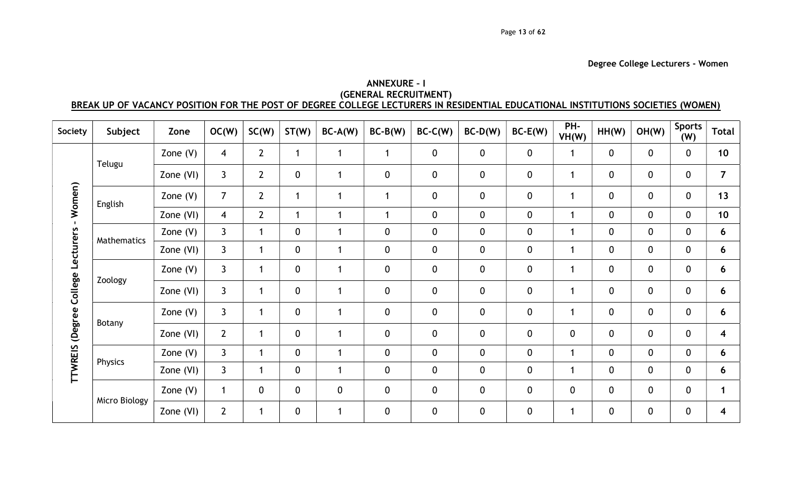# ANNEXURE – I (GENERAL RECRUITMENT) BREAK UP OF VACANCY POSITION FOR THE POST OF DEGREE COLLEGE LECTURERS IN RESIDENTIAL EDUCATIONAL INSTITUTIONS SOCIETIES (WOMEN)

| Society                           | Subject       | Zone       | OC(W)            | SC(W)            | ST(W)            | $BC-A(W)$    | $BC-B(W)$        | $BC-C(W)$   | $BC-D(W)$   | $BC-E(W)$        | PH-<br>VH(W) | HH(W)            | OH(W)        | <b>Sports</b><br>(W) | <b>Total</b>   |
|-----------------------------------|---------------|------------|------------------|------------------|------------------|--------------|------------------|-------------|-------------|------------------|--------------|------------------|--------------|----------------------|----------------|
|                                   |               | Zone $(V)$ | $\overline{4}$   | $2^{\circ}$      | 1                | $\mathbf{1}$ | $\mathbf{1}$     | $\mathbf 0$ | $\mathbf 0$ | $\mathbf 0$      | $\mathbf{1}$ | $\mathbf 0$      | $\mathbf 0$  | $\mathbf{0}$         | 10             |
|                                   | Telugu        | Zone (VI)  | $\mathbf{3}$     | $\overline{2}$   | $\mathbf 0$      | $\mathbf{1}$ | $\mathbf 0$      | $\mathbf 0$ | $\pmb{0}$   | $\mathbf 0$      | $\mathbf{1}$ | $\mathbf 0$      | $\mathbf 0$  | 0                    | $\overline{7}$ |
| Women)                            | English       | Zone $(V)$ | $\overline{7}$   | $\overline{2}$   | 1                | $\mathbf{1}$ | $\mathbf 1$      | $\bf{0}$    | $\pmb{0}$   | $\boldsymbol{0}$ | $\mathbf{1}$ | $\mathbf 0$      | $\mathbf 0$  | 0                    | 13             |
| $\mathbf{L}$                      |               | Zone (VI)  | $\overline{4}$   | $2 \overline{ }$ | $\mathbf{1}$     | $\mathbf{1}$ | $\mathbf{1}$     | $\mathbf 0$ | $\mathbf 0$ | $\mathbf 0$      | $\mathbf{1}$ | $\mathbf 0$      | $\mathbf 0$  | $\mathbf{0}$         | 10             |
|                                   |               | Zone $(V)$ | $\mathsf{3}$     | $\mathbf{1}$     | $\boldsymbol{0}$ | $\mathbf{1}$ | $\mathbf 0$      | $\mathbf 0$ | $\mathbf 0$ | $\mathbf 0$      | $\mathbf{1}$ | $\mathbf 0$      | $\mathbf 0$  | 0                    | 6              |
|                                   | Mathematics   | Zone (VI)  | $\mathsf{3}$     | $\mathbf{1}$     | $\mathbf 0$      | $\mathbf{1}$ | $\mathbf 0$      | $\mathbf 0$ | $\pmb{0}$   | $\mathbf 0$      | $\mathbf{1}$ | $\mathbf 0$      | $\mathbf 0$  | 0                    | 6              |
| TTWREIS (Degree College Lecturers | Zoology       | Zone $(V)$ | $\mathsf{3}$     | $\mathbf{1}$     | $\boldsymbol{0}$ | $\mathbf{1}$ | $\boldsymbol{0}$ | $\mathbf 0$ | $\pmb{0}$   | $\boldsymbol{0}$ | $\mathbf{1}$ | $\mathbf 0$      | $\mathbf 0$  | 0                    | 6              |
|                                   |               | Zone (VI)  | $\mathsf{3}$     | $\mathbf{1}$     | $\mathbf 0$      | $\mathbf{1}$ | $\mathbf 0$      | $\mathbf 0$ | $\pmb{0}$   | $\mathbf 0$      | $\mathbf{1}$ | $\mathbf 0$      | $\mathbf 0$  | 0                    | 6              |
|                                   |               | Zone $(V)$ | $\mathbf{3}$     | $\mathbf{1}$     | $\boldsymbol{0}$ | $\mathbf{1}$ | $\pmb{0}$        | $\mathbf 0$ | $\pmb{0}$   | $\mathbf 0$      | $\mathbf{1}$ | $\mathbf 0$      | $\mathbf 0$  | 0                    | 6              |
|                                   | Botany        | Zone (VI)  | $\overline{2}$   | $\mathbf{1}$     | $\mathbf 0$      | $\mathbf{1}$ | $\boldsymbol{0}$ | $\mathbf 0$ | $\pmb{0}$   | $\mathbf 0$      | $\mathbf 0$  | $\mathbf 0$      | $\mathbf{0}$ | 0                    | 4              |
|                                   |               | Zone $(V)$ | $\mathsf{3}$     | $\mathbf{1}$     | $\mathbf 0$      | $\mathbf 1$  | $\boldsymbol{0}$ | $\mathbf 0$ | $\pmb{0}$   | $\mathbf 0$      | $\mathbf{1}$ | $\mathbf 0$      | $\mathbf 0$  | 0                    | 6              |
|                                   | Physics       | Zone (VI)  | $\mathsf{3}$     | $\mathbf{1}$     | $\mathbf 0$      | $\mathbf 1$  | $\mathbf 0$      | $\mathbf 0$ | $\pmb{0}$   | $\mathbf 0$      | $\mathbf{1}$ | $\mathbf 0$      | $\mathbf 0$  | 0                    | 6              |
|                                   |               | Zone $(V)$ | $\mathbf{1}$     | $\mathbf 0$      | $\mathbf 0$      | $\mathbf 0$  | $\boldsymbol{0}$ | $\mathbf 0$ | $\pmb{0}$   | $\mathbf 0$      | $\mathbf 0$  | $\mathbf 0$      | $\mathbf 0$  | 0                    | 1              |
|                                   | Micro Biology | Zone (VI)  | $2 \overline{ }$ | $\mathbf{1}$     | 0                | $\mathbf{1}$ | $\boldsymbol{0}$ | $\mathbf 0$ | $\pmb{0}$   | $\boldsymbol{0}$ | $\mathbf{1}$ | $\boldsymbol{0}$ | $\mathbf 0$  | 0                    | 4              |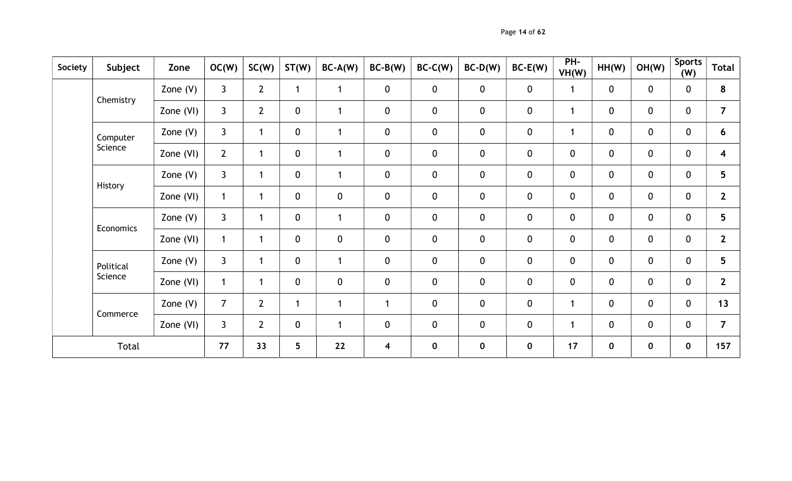Page 14 of 62

| Society | Subject   | Zone       | OC(W)          | SC(W)                   | ST(W)           | $BC-A(W)$    | $BC-B(W)$               | $BC-C(W)$        | $BC-D(W)$   | $BC-E(W)$   | PH-<br>VH(W)     | HH(W)       | OH(W)       | <b>Sports</b><br>(W) | <b>Total</b>            |
|---------|-----------|------------|----------------|-------------------------|-----------------|--------------|-------------------------|------------------|-------------|-------------|------------------|-------------|-------------|----------------------|-------------------------|
|         | Chemistry | Zone $(V)$ | $\mathbf{3}$   | $2 \overline{ }$        | $\mathbf{1}$    | $\mathbf{1}$ | $\boldsymbol{0}$        | $\mathbf 0$      | $\mathbf 0$ | $\mathbf 0$ | 1                | $\mathbf 0$ | $\mathbf 0$ | $\mathbf 0$          | 8                       |
|         |           | Zone (VI)  | $\mathbf{3}$   | $\mathbf{2}$            | $\mathbf 0$     | 1            | 0                       | $\pmb{0}$        | $\mathbf 0$ | $\mathbf 0$ | $\mathbf{1}$     | $\mathbf 0$ | $\mathbf 0$ | $\mathbf 0$          | $\overline{7}$          |
|         | Computer  | Zone $(V)$ | $\mathbf{3}$   | $\overline{\mathbf{1}}$ | $\mathbf 0$     | 1            | $\boldsymbol{0}$        | $\mathbf 0$      | $\mathbf 0$ | $\mathbf 0$ | $\mathbf{1}$     | $\mathbf 0$ | $\mathbf 0$ | $\mathbf 0$          | 6                       |
|         | Science   | Zone (VI)  | $2^{\circ}$    | $\mathbf{1}$            | $\pmb{0}$       | $\mathbf 1$  | $\mathbf 0$             | $\mathbf 0$      | $\pmb{0}$   | $\mathbf 0$ | $\mathbf 0$      | $\mathbf 0$ | $\mathbf 0$ | $\mathbf 0$          | $\overline{\mathbf{4}}$ |
|         |           | Zone $(V)$ | $\mathbf{3}$   | $\overline{1}$          | $\mathbf 0$     | 1            | 0                       | $\boldsymbol{0}$ | $\mathbf 0$ | $\mathbf 0$ | $\pmb{0}$        | $\mathbf 0$ | $\mathbf 0$ | $\mathbf 0$          | $5\phantom{.0}$         |
|         | History   | Zone (VI)  | $\mathbf{1}$   | $\mathbf 1$             | $\mathbf 0$     | $\mathbf 0$  | $\pmb{0}$               | $\pmb{0}$        | $\mathbf 0$ | $\mathbf 0$ | $\boldsymbol{0}$ | $\mathbf 0$ | $\mathbf 0$ | 0                    | $\overline{2}$          |
|         | Economics | Zone $(V)$ | $\mathbf{3}$   | $\overline{1}$          | $\mathbf 0$     | $\mathbf{1}$ | $\mathbf 0$             | $\mathbf 0$      | $\pmb{0}$   | $\pmb{0}$   | $\mathbf 0$      | $\mathbf 0$ | $\mathbf 0$ | $\mathbf{0}$         | $5\phantom{.0}$         |
|         |           | Zone (VI)  | $\mathbf{1}$   | $\overline{1}$          | $\mathbf 0$     | $\mathbf 0$  | $\pmb{0}$               | $\pmb{0}$        | $\mathbf 0$ | $\mathbf 0$ | $\pmb{0}$        | $\mathbf 0$ | $\mathbf 0$ | $\mathbf 0$          | $2^{\circ}$             |
|         | Political | Zone $(V)$ | $\mathbf{3}$   | -1                      | $\mathbf 0$     | 1            | $\pmb{0}$               | $\mathbf 0$      | $\mathbf 0$ | $\mathbf 0$ | $\pmb{0}$        | $\mathbf 0$ | $\mathbf 0$ | $\mathbf 0$          | $5\phantom{.0}$         |
|         | Science   | Zone (VI)  | $\mathbf{1}$   | $\mathbf{1}$            | $\mathbf 0$     | $\mathbf 0$  | $\mathbf 0$             | $\pmb{0}$        | $\mathbf 0$ | $\pmb{0}$   | $\pmb{0}$        | $\mathbf 0$ | $\mathbf 0$ | $\mathbf 0$          | $\overline{2}$          |
|         |           | Zone $(V)$ | $\overline{7}$ | $\overline{2}$          | $\mathbf{1}$    | 1            | 1                       | $\boldsymbol{0}$ | $\mathbf 0$ | $\mathbf 0$ | $\mathbf{1}$     | $\mathbf 0$ | $\mathbf 0$ | $\mathbf 0$          | 13                      |
|         | Commerce  | Zone (VI)  | $\mathbf{3}$   | $\overline{2}$          | $\mathbf 0$     | 1            | 0                       | $\mathbf 0$      | $\mathbf 0$ | $\mathbf 0$ | $\mathbf{1}$     | $\mathbf 0$ | $\mathbf 0$ | $\mathbf 0$          | $\overline{7}$          |
|         | Total     |            | 77             | 33                      | $5\phantom{.0}$ | 22           | $\overline{\mathbf{4}}$ | $\mathbf 0$      | $\mathbf 0$ | $\bf{0}$    | 17               | $\mathbf 0$ | $\mathbf 0$ | $\mathbf 0$          | 157                     |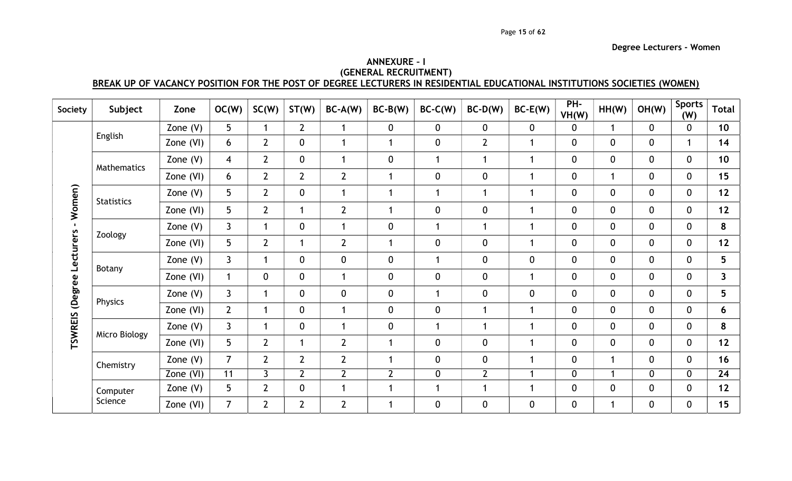## ANNEXURE – I (GENERAL RECRUITMENT) BREAK UP OF VACANCY POSITION FOR THE POST OF DEGREE LECTURERS IN RESIDENTIAL EDUCATIONAL INSTITUTIONS SOCIETIES (WOMEN)

| Society                   | Subject           | Zone       | OC(W)          | SC(W)          | ST(W)          | $BC-A(W)$            | $BC-B(W)$      | $BC-C(W)$    | $BC-D(W)$      | $BC-E(W)$    | PH-<br>VH(W)   | HH(W)        | OH(W)        | <b>Sports</b><br>(W) | <b>Total</b>    |
|---------------------------|-------------------|------------|----------------|----------------|----------------|----------------------|----------------|--------------|----------------|--------------|----------------|--------------|--------------|----------------------|-----------------|
|                           |                   | Zone $(V)$ | 5              |                | $\overline{2}$ | 1                    | $\mathbf 0$    | $\mathbf 0$  | 0              | $\mathbf 0$  | 0              |              | $\mathbf 0$  | $\mathbf{0}$         | 10 <sup>1</sup> |
|                           | English           | Zone (VI)  | 6              | $\overline{2}$ | $\mathbf 0$    | $\blacktriangleleft$ | 1              | $\mathbf 0$  | $\overline{2}$ | 1            | $\mathbf{0}$   | $\mathbf{0}$ | $\mathbf 0$  | $\mathbf{1}$         | 14              |
|                           | Mathematics       | Zone $(V)$ | $\overline{4}$ | $2^{\circ}$    | $\mathbf{0}$   | $\mathbf 1$          | $\mathbf{0}$   |              | $\mathbf{1}$   | $\mathbf 1$  | $\mathbf{0}$   | $\mathbf{0}$ | $\mathbf{0}$ | $\mathbf{0}$         | 10 <sup>°</sup> |
|                           |                   | Zone (VI)  | 6              | $\overline{2}$ | $2^{\circ}$    | $\overline{2}$       | 1              | $\mathbf 0$  | 0              | 1            | $\mathbf 0$    |              | $\mathbf 0$  | $\mathbf 0$          | 15              |
|                           | <b>Statistics</b> | Zone $(V)$ | 5              | $\overline{2}$ | $\mathbf 0$    | $\mathbf 1$          | $\mathbf 1$    |              | $\mathbf{1}$   | 1            | $\mathbf{0}$   | $\mathbf 0$  | $\mathbf 0$  | $\mathbf{0}$         | 12              |
| - Women)                  |                   | Zone (VI)  | 5              | $2^{\circ}$    | 1              | $\overline{2}$       | $\mathbf{1}$   | $\mathbf{0}$ | 0              | 1            | $\mathbf 0$    | $\mathbf{0}$ | $\mathbf 0$  | $\mathbf 0$          | 12              |
|                           |                   | Zone $(V)$ | $\mathsf{3}$   | 1              | $\mathbf 0$    | $\mathbf{1}$         | $\mathbf 0$    |              | $\mathbf{1}$   | $\mathbf 1$  | $\mathbf{0}$   | $\mathbf{0}$ | $\mathbf 0$  | $\mathbf{0}$         | 8               |
|                           | Zoology           | Zone (VI)  | 5              | $\overline{2}$ | 1              | $\overline{2}$       | $\mathbf 1$    | $\mathbf{0}$ | $\overline{0}$ | $\mathbf{1}$ | $\overline{0}$ | $\mathbf{0}$ | $\mathbf 0$  | $\mathbf 0$          | 12              |
| TSWREIS (Degree Lecturers | Botany            | Zone $(V)$ | $\mathsf{3}$   | 1              | $\mathbf 0$    | $\mathbf 0$          | $\mathbf 0$    |              | 0              | $\mathbf 0$  | $\mathbf{0}$   | $\mathbf{0}$ | $\mathbf 0$  | $\mathbf{0}$         | 5               |
|                           |                   | Zone (VI)  | 1              | $\mathbf 0$    | $\mathbf 0$    | -1                   | $\mathbf 0$    | $\mathbf{0}$ | 0              | $\mathbf 1$  | $\mathbf{0}$   | $\Omega$     | $\mathbf 0$  | $\mathbf 0$          | $\mathbf{3}$    |
|                           | Physics           | Zone $(V)$ | $\overline{3}$ | 1              | $\mathbf 0$    | $\mathbf 0$          | $\mathbf 0$    |              | 0              | $\mathbf 0$  | $\mathbf{0}$   | $\mathbf{0}$ | $\mathbf 0$  | $\mathbf{0}$         | 5               |
|                           |                   | Zone (VI)  | $\overline{2}$ | 1              | $\mathbf 0$    | $\blacktriangleleft$ | $\mathbf 0$    | $\mathbf 0$  | $\mathbf 1$    | $\mathbf{1}$ | $\mathbf 0$    | $\mathbf 0$  | $\mathbf 0$  | $\mathbf{0}$         | 6               |
|                           | Micro Biology     | Zone $(V)$ | $\mathbf{3}$   | 1              | $\mathbf 0$    | $\overline{1}$       | $\mathbf 0$    | $\mathbf{1}$ | 1              | 1            | $\mathbf 0$    | $\mathbf{0}$ | $\mathbf 0$  | $\mathbf 0$          | 8               |
|                           |                   | Zone (VI)  | 5              | $\overline{2}$ | $\mathbf{1}$   | $\overline{2}$       | $\mathbf 1$    | $\mathbf{0}$ | 0              | $\mathbf{1}$ | $\mathbf 0$    | $\mathbf{0}$ | $\mathbf{0}$ | $\mathbf 0$          | 12              |
|                           | Chemistry         | Zone $(V)$ | $\overline{7}$ | $\overline{2}$ | $2^{\circ}$    | $\overline{2}$       | 1              | $\mathbf 0$  | $\mathbf 0$    | 1            | $\overline{0}$ |              | $\mathbf{0}$ | $\mathbf{0}$         | 16              |
|                           |                   | Zone (VI)  | 11             | $\mathsf{3}$   | $2^{\circ}$    | $\overline{2}$       | $\overline{2}$ | 0            | $\overline{2}$ | 1            | 0              |              | $\mathbf 0$  | $\mathbf{0}$         | 24              |
|                           | Computer          | Zone $(V)$ | 5              | $\overline{2}$ | $\mathbf 0$    | -1                   | 1              |              | 1              | 1            | $\mathbf{0}$   | $\Omega$     | $\mathbf{0}$ | $\mathbf{0}$         | 12              |
|                           | Science           | Zone (VI)  | $\overline{7}$ | $\overline{2}$ | $\overline{2}$ | $\overline{2}$       | 1              | $\mathbf 0$  | 0              | $\mathbf 0$  | $\mathbf 0$    |              | $\mathbf 0$  | $\mathbf 0$          | 15              |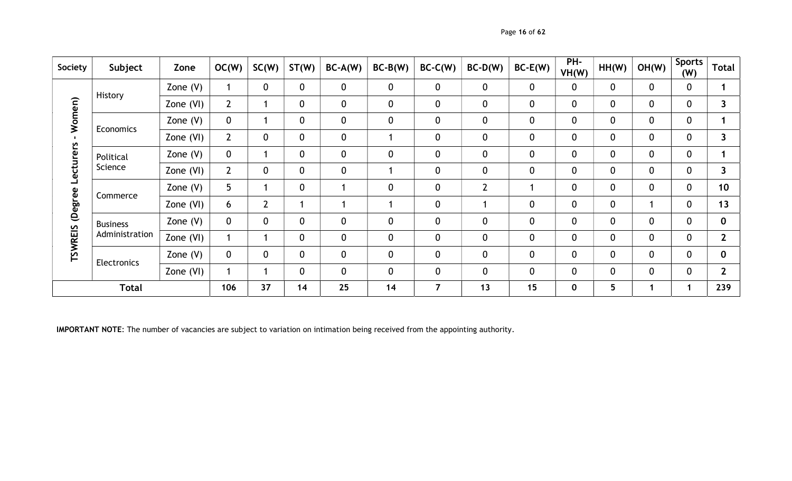| Society                          | Subject         | Zone       | OC(W)          | SC(W)            | ST(W) | $BC-A(W)$   | $BC-B(W)$    | $BC-C(W)$   | $BC-D(W)$      | $BC-E(W)$        | PH-<br>VH(W) | HH(W)       | OH(W)       | <b>Sports</b><br>(W) | <b>Total</b>    |
|----------------------------------|-----------------|------------|----------------|------------------|-------|-------------|--------------|-------------|----------------|------------------|--------------|-------------|-------------|----------------------|-----------------|
|                                  | History         | Zone $(V)$ |                | $\mathbf 0$      | 0     | $\mathbf 0$ | $\mathbf 0$  | $\mathbf 0$ | 0              | $\mathbf 0$      | $\mathbf 0$  | $\mathbf 0$ | $\mathbf 0$ | $\mathbf 0$          |                 |
|                                  |                 | Zone (VI)  | $2^{\circ}$    |                  | 0     | $\mathbf 0$ | $\mathbf 0$  | $\mathbf 0$ | 0              | $\mathbf 0$      | $\mathbf{0}$ | $\mathbf 0$ | $\mathbf 0$ | $\mathbf 0$          | 3               |
| Women)                           | Economics       | Zone $(V)$ | $\mathbf 0$    |                  | 0     | $\mathbf 0$ | $\mathbf 0$  | $\mathbf 0$ | 0              | $\boldsymbol{0}$ | $\mathbf 0$  | $\mathbf 0$ | $\mathbf 0$ | $\mathbf 0$          |                 |
| 2                                |                 | Zone (VI)  | $2^{\circ}$    | $\boldsymbol{0}$ | 0     | $\mathbf 0$ | 1            | $\mathbf 0$ | 0              | $\boldsymbol{0}$ | $\mathbf 0$  | $\mathbf 0$ | $\mathbf 0$ | $\mathbf 0$          | 3               |
| cture                            | Political       | Zone $(V)$ | $\mathbf 0$    |                  | 0     | $\mathbf 0$ | $\mathbf 0$  | $\mathbf 0$ | 0              | $\boldsymbol{0}$ | $\mathbf 0$  | $\mathbf 0$ | $\mathbf 0$ | $\mathbf 0$          |                 |
|                                  | Science         | Zone (VI)  | $2^{\circ}$    | $\mathbf 0$      | 0     | $\mathbf 0$ |              | $\mathbf 0$ | 0              | $\mathbf 0$      | $\mathbf 0$  | $\mathbf 0$ | $\mathbf 0$ | $\mathbf 0$          | 3               |
| ڭ                                | Commerce        | Zone $(V)$ | 5 <sup>5</sup> |                  | 0     |             | $\mathbf 0$  | $\mathbf 0$ | $\overline{2}$ |                  | $\mathbf 0$  | 0           | $\mathbf 0$ | $\mathbf 0$          | 10 <sup>°</sup> |
| (Degree                          |                 | Zone (VI)  | 6              | $2^{\circ}$      |       |             | 1            | $\mathbf 0$ |                | $\mathbf 0$      | $\mathbf{0}$ | $\mathbf 0$ |             | $\mathbf 0$          | 13              |
|                                  | <b>Business</b> | Zone $(V)$ | $\mathbf 0$    | $\mathbf 0$      | 0     | $\mathbf 0$ | $\mathbf 0$  | $\mathbf 0$ | 0              | $\mathbf 0$      | $\mathbf 0$  | 0           | $\mathbf 0$ | $\mathbf 0$          | 0               |
| <b>TSWREIS</b><br>Administration |                 | Zone (VI)  |                |                  | 0     | $\mathbf 0$ | $\mathbf 0$  | $\mathbf 0$ | 0              | $\mathbf 0$      | $\mathbf{0}$ | $\mathbf 0$ | $\mathbf 0$ | $\mathbf 0$          | $\mathbf{2}$    |
|                                  | Electronics     | Zone $(V)$ | $\mathbf 0$    | $\mathbf{0}$     | 0     | $\mathbf 0$ | $\mathbf{0}$ | $\mathbf 0$ | 0              | $\mathbf 0$      | $\mathbf{0}$ | $\mathbf 0$ | $\mathbf 0$ | $\mathbf{0}$         | 0               |
|                                  |                 | Zone (VI)  |                |                  | 0     | $\mathbf 0$ | $\mathbf 0$  | $\mathbf 0$ | 0              | $\mathbf 0$      | $\mathbf 0$  | $\mathbf 0$ | $\mathbf 0$ | $\mathbf 0$          | $\mathbf{2}$    |
|                                  | <b>Total</b>    |            |                | 37               | 14    | 25          | 14           | 7           | 13             | 15               | $\mathbf{0}$ | 5           |             | 1                    | 239             |

IMPORTANT NOTE: The number of vacancies are subject to variation on intimation being received from the appointing authority.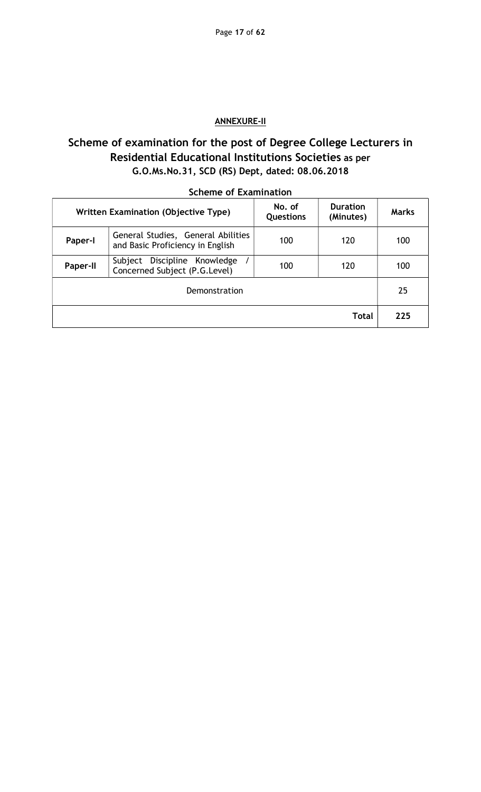# ANNEXURE-II

# Scheme of examination for the post of Degree College Lecturers in Residential Educational Institutions Societies as per G.O.Ms.No.31, SCD (RS) Dept, dated: 08.06.2018

|                 | <b>Written Examination (Objective Type)</b>                            | No. of<br><b>Questions</b> | <b>Duration</b><br>(Minutes) | <b>Marks</b> |  |  |  |  |  |  |  |
|-----------------|------------------------------------------------------------------------|----------------------------|------------------------------|--------------|--|--|--|--|--|--|--|
| Paper-I         | General Studies, General Abilities<br>and Basic Proficiency in English | 100                        | 120                          | 100          |  |  |  |  |  |  |  |
| <b>Paper-II</b> | Discipline Knowledge<br>Subject<br>Concerned Subject (P.G.Level)       | 100                        | 120                          | 100          |  |  |  |  |  |  |  |
|                 | Demonstration                                                          |                            |                              |              |  |  |  |  |  |  |  |
| Total           |                                                                        |                            |                              |              |  |  |  |  |  |  |  |

## Scheme of Examination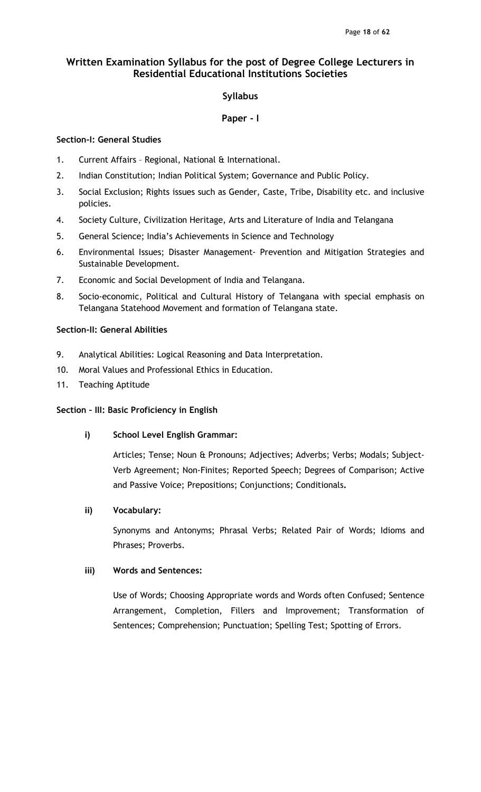## Syllabus

## Paper - I

## Section-I: General Studies

- 1. Current Affairs Regional, National & International.
- 2. Indian Constitution; Indian Political System; Governance and Public Policy.
- 3. Social Exclusion; Rights issues such as Gender, Caste, Tribe, Disability etc. and inclusive policies.
- 4. Society Culture, Civilization Heritage, Arts and Literature of India and Telangana
- 5. General Science; India's Achievements in Science and Technology
- 6. Environmental Issues; Disaster Management- Prevention and Mitigation Strategies and Sustainable Development.
- 7. Economic and Social Development of India and Telangana.
- 8. Socio-economic, Political and Cultural History of Telangana with special emphasis on Telangana Statehood Movement and formation of Telangana state.

## Section-II: General Abilities

- 9. Analytical Abilities: Logical Reasoning and Data Interpretation.
- 10. Moral Values and Professional Ethics in Education.
- 11. Teaching Aptitude

## Section – III: Basic Proficiency in English

i) School Level English Grammar:

Articles; Tense; Noun & Pronouns; Adjectives; Adverbs; Verbs; Modals; Subject-Verb Agreement; Non-Finites; Reported Speech; Degrees of Comparison; Active and Passive Voice; Prepositions; Conjunctions; Conditionals.

## ii) Vocabulary:

Synonyms and Antonyms; Phrasal Verbs; Related Pair of Words; Idioms and Phrases; Proverbs.

# iii) Words and Sentences:

Use of Words; Choosing Appropriate words and Words often Confused; Sentence Arrangement, Completion, Fillers and Improvement; Transformation of Sentences; Comprehension; Punctuation; Spelling Test; Spotting of Errors.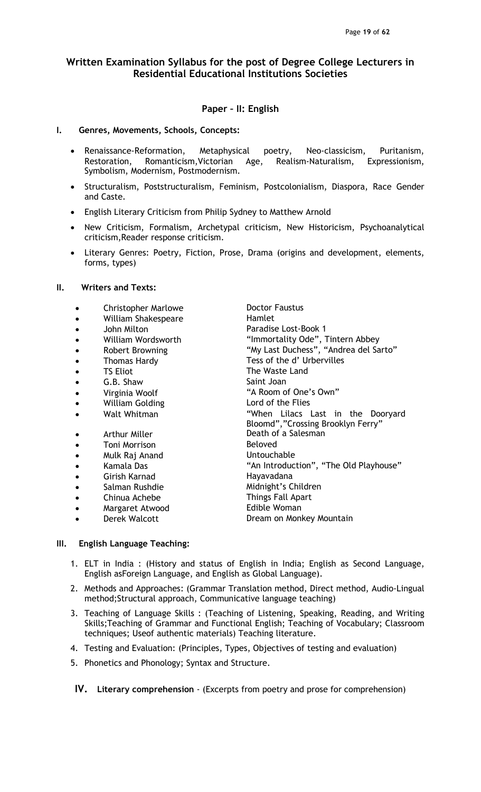## Paper – II: English

### I. Genres, Movements, Schools, Concepts:

- Renaissance-Reformation, Metaphysical poetry, Neo-classicism, Puritanism, Restoration, Romanticism,Victorian Age, Realism-Naturalism, Expressionism, Symbolism, Modernism, Postmodernism.
- Structuralism, Poststructuralism, Feminism, Postcolonialism, Diaspora, Race Gender and Caste.
- English Literary Criticism from Philip Sydney to Matthew Arnold
- New Criticism, Formalism, Archetypal criticism, New Historicism, Psychoanalytical criticism,Reader response criticism.
- Literary Genres: Poetry, Fiction, Prose, Drama (origins and development, elements, forms, types)

## II. Writers and Texts:

- Christopher Marlowe **Doctor Faustus**
- William Shakespeare **Hamlet**
- 
- 
- 
- 
- 
- 
- 
- 
- 
- 
- Toni Morrison **Beloved**
- Mulk Raj Anand Vintouchable
- 
- Girish Karnad **Hayavadana**
- 
- Chinua Achebe Things Fall Apart
- 
- 

 John Milton Paradise Lost-Book 1 • William Wordsworth "Immortality Ode", Tintern Abbey • Robert Browning The South Control and My Last Duchess", "Andrea del Sarto" Thomas Hardy Tess of the d'Urbervilles TS Eliot The Waste Land G.B. Shaw Saint Joan Virginia Woolf "A Room of One's Own" William Golding **Lord of the Flies** Walt Whitman The Controller When Lilacs Last in the Dooryard Bloomd","Crossing Brooklyn Ferry" • Arthur Miller **Death of a Salesman** • Kamala Das The Content of the Manusian "An Introduction", "The Old Playhouse" • Salman Rushdie Midnight's Children Margaret Atwood **Edible Woman** Derek Walcott **Dream on Monkey Mountain** 

### III. English Language Teaching:

- 1. ELT in India : (History and status of English in India; English as Second Language, English asForeign Language, and English as Global Language).
- 2. Methods and Approaches: (Grammar Translation method, Direct method, Audio-Lingual method;Structural approach, Communicative language teaching)
- 3. Teaching of Language Skills : (Teaching of Listening, Speaking, Reading, and Writing Skills;Teaching of Grammar and Functional English; Teaching of Vocabulary; Classroom techniques; Useof authentic materials) Teaching literature.
- 4. Testing and Evaluation: (Principles, Types, Objectives of testing and evaluation)
- 5. Phonetics and Phonology; Syntax and Structure.

IV. Literary comprehension - (Excerpts from poetry and prose for comprehension)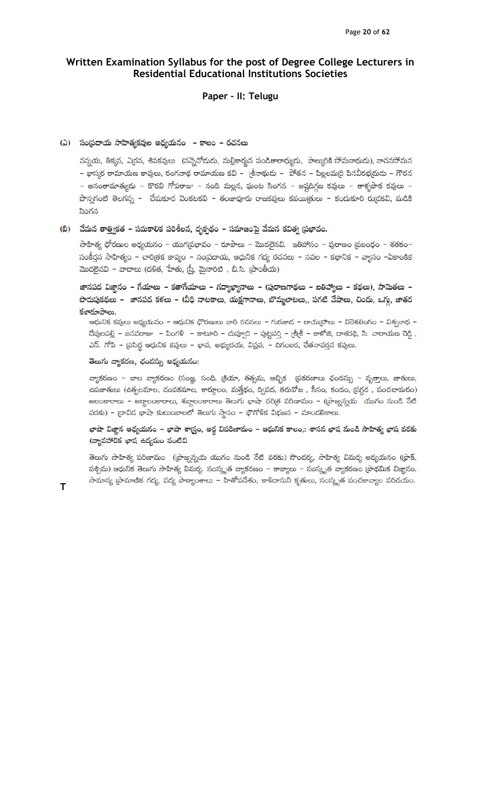# Paper – II: Telugu

#### (ఎ) సంప్రదాయ సాహిత్యకవుల అధ్యయనం - కాలం - రచనలు

నన్నయ, తిక్కన, ఎర్రన, శివకవులు (నన్నెచోదుడు, మల్లికార్జున పండితారాధ్యుడు, పాల్కురికి సోమనాథుడు), నాచనసోమన - భాస్మర రామాయణ కావులు, రంగనాథ రామాయణ కవి - (శీనాథుడు - పోతన - పిల్లలమ(రి పినవీరభ(దుడు - గౌరన – అనంతామాత్యుడు – కొరవి గోపరాజు – నంది మల్లన, ఘంట సింగన – అష్టదిగ్గజ కవులు – తాళ్ళపాక కవులు – పొన్నగంటి తెలగన్న – చేమకూర వెంకటకవి – తంజావూరు రాజకవులు కవయి(తులు – కందుకూరి రు(దకవి, మడికి సింగన

### (బి) మేమన తాత్వికత – సమకాలిక పరిశీలన, దృక్పథం – సమాజంపై వేమన కవిత్వ ప్రభావం.

 $\pi$ హిత్య ధోరణుల అధ్యయనం – యుగ(పభావం – రూపాలు – మొదలైనవి. ఇతిహాసం – పురాణం (పబంధం – శతకం– సంకీర్తన సాహిత్యం – చారిత్రక కావ్యం – సంప్రదాయ, ఆధునిక గద్య రచనలు – నవల – కథానిక – వ్యాసం –ఏకాంకిక మొదలైనవి – వాదాలు (దళిత, హేతు, స్ర్తీ, మైనారిటి , బి.సి. (పాంతీయ)

జానపద విజ్ఞానం – గేయాలు – కతాగేయాలు – గద్యాఖ్యానాలు – (పురాణగాథలు – ఐతిహ్యాలు – కథలు), సామెతలు – పొదుపుకథలు – జానపద కళలు – (వీధి నాటకాలు, యక్షగానాలు, బొమ్మలాటలు,, పగటి వేషాలు, చిందు, ఒగ్గు, జాతర కళారూపాలు.

ఆధునిక కవులు అధ్యయనం - ఆధునిక ధొరణులు వారి రచనలు - గురజాద - రాయ(పోలు - విరెశలింగం - విశ్వనాథ -దేవులపల్లి – బసవరాజు – పింగళి – కాటూరి – దువ్వూరి – పుట్టపర్తి – <sub>(</sub>శ్రీశీ – కాళోజి, దాశరథి, సి. నారాయణ రెడ్డి , ఎన్. గోపి - ప్రసిద్ధ ఆధునిక కవులు - భావ, అభ్యుదయ, విప్లవ, - దిగంబర, చేతనావర్తన కవులు.

### తెలుగు వ్యాకరణ, ఛందస్సు అధ్యయనం:

వ్యాకరణం – బాల వ్యాకరణం (సంజ్ఞ, సంధి, క్రియా, తత్సమ, ఆచ్చిక (పకరణాలు ఛందస్సు – వృతాలు, జాతులు, ఉపజాతులు (ఉత్పలమాల, చంపకమాల, శార్ధూలం, మత్తేభం, ద్విపద, తరువోజ , సీసం, కందం, (సగ్గర , పంచచామరం) అలంకారాలు – అర్థాలంకారాలు, శబ్దాలంకారాలు తెలుగు భాషా చరిత్ర పరిణామం – ((పాజ్నన్నయ యుగం నుండి నేటి వరకు) - ద్రావిడ భాషా కుటుంబాలలో తెలుగు స్థానం - భౌగోళిక విభజన - మాండలికాలు.

## భాషా విజ్ఞాన అధ్యయనం – భాషా శాస్ర్టం, అర్థ విపరిణామం – ఆధునిక కాలం,: శాసన భాష నుండి సాహిత్య భాష వరకు (వ్యావహారిక ఖాష ఉద్యమం వంటివి

తెలుగు సాహిత్య పరిణామం ((పాజ్నన్నయ యుగం నుండి నేటి వరకు) సాందర్య, సాహిత్య విమర్శ అధ్యయనం ((ఫాక్, పశ్చిమ) ఆధునిక తెలుగు సాహిత్య విమర్శ. సంస్కృత వ్యాకరణం – కావ్యాలు – సంస్కృత వ్యాకరణం (పాథమిక విజ్ఞానం, సామాన్య (పామాణిక గద్య, పద్య పాఠ్యాంశాలు – హితోపదేశం, కాళిదాసుని కృతులు, సంస్కృత పంచకావ్యాల పరిచయం.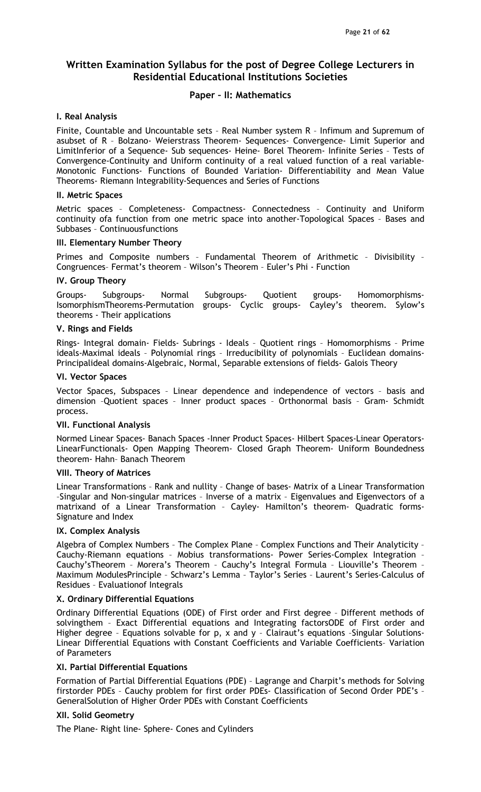### Paper – II: Mathematics

### I. Real Analysis

Finite, Countable and Uncountable sets – Real Number system R – Infimum and Supremum of asubset of R – Bolzano- Weierstrass Theorem- Sequences- Convergence- Limit Superior and LimitInferior of a Sequence- Sub sequences- Heine- Borel Theorem- Infinite Series – Tests of Convergence-Continuity and Uniform continuity of a real valued function of a real variable-Monotonic Functions- Functions of Bounded Variation- Differentiability and Mean Value Theorems- Riemann Integrability-Sequences and Series of Functions

#### II. Metric Spaces

Metric spaces – Completeness- Compactness- Connectedness – Continuity and Uniform continuity ofa function from one metric space into another-Topological Spaces – Bases and Subbases – Continuousfunctions

### III. Elementary Number Theory

Primes and Composite numbers – Fundamental Theorem of Arithmetic – Divisibility – Congruences– Fermat's theorem – Wilson's Theorem – Euler's Phi - Function

### IV. Group Theory

Groups- Subgroups- Normal Subgroups- Quotient groups- Homomorphisms-IsomorphismTheorems-Permutation groups- Cyclic groups- Cayley's theorem. Sylow's theorems - Their applications

## V. Rings and Fields

Rings- Integral domain- Fields- Subrings - Ideals – Quotient rings – Homomorphisms – Prime ideals-Maximal ideals – Polynomial rings – Irreducibility of polynomials – Euclidean domains-Principalideal domains-Algebraic, Normal, Separable extensions of fields- Galois Theory

### VI. Vector Spaces

Vector Spaces, Subspaces – Linear dependence and independence of vectors – basis and dimension –Quotient spaces – Inner product spaces – Orthonormal basis – Gram- Schmidt process.

### VII. Functional Analysis

Normed Linear Spaces- Banach Spaces -Inner Product Spaces- Hilbert Spaces-Linear Operators-LinearFunctionals- Open Mapping Theorem- Closed Graph Theorem- Uniform Boundedness theorem- Hahn– Banach Theorem

### VIII. Theory of Matrices

Linear Transformations – Rank and nullity – Change of bases- Matrix of a Linear Transformation –Singular and Non-singular matrices – Inverse of a matrix – Eigenvalues and Eigenvectors of a matrixand of a Linear Transformation – Cayley- Hamilton's theorem- Quadratic forms-Signature and Index

### IX. Complex Analysis

Algebra of Complex Numbers – The Complex Plane – Complex Functions and Their Analyticity – Cauchy-Riemann equations – Mobius transformations- Power Series-Complex Integration – Cauchy'sTheorem – Morera's Theorem – Cauchy's Integral Formula – Liouville's Theorem – Maximum ModulesPrinciple – Schwarz's Lemma – Taylor's Series – Laurent's Series-Calculus of Residues – Evaluationof Integrals

### X. Ordinary Differential Equations

Ordinary Differential Equations (ODE) of First order and First degree – Different methods of solvingthem – Exact Differential equations and Integrating factorsODE of First order and Higher degree - Equations solvable for p, x and y - Clairaut's equations -Singular Solutions-Linear Differential Equations with Constant Coefficients and Variable Coefficients– Variation of Parameters

## XI. Partial Differential Equations

Formation of Partial Differential Equations (PDE) – Lagrange and Charpit's methods for Solving firstorder PDEs – Cauchy problem for first order PDEs- Classification of Second Order PDE's – GeneralSolution of Higher Order PDEs with Constant Coefficients

## XII. Solid Geometry

The Plane- Right line- Sphere- Cones and Cylinders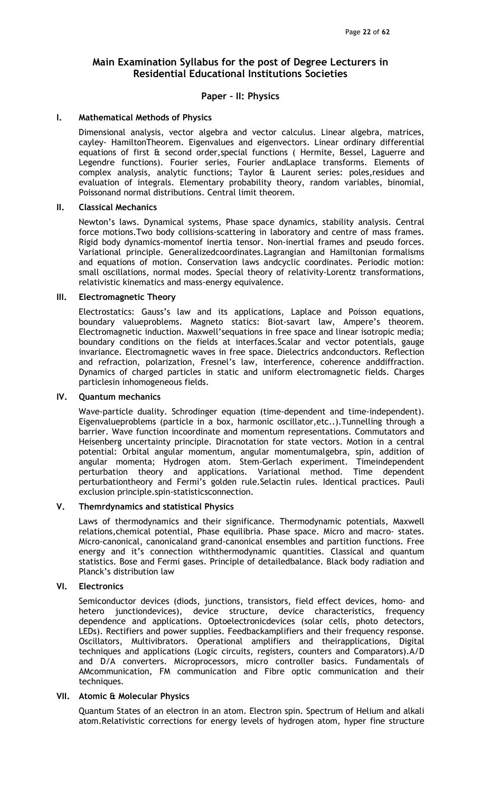## Paper – II: Physics

#### I. Mathematical Methods of Physics

 Dimensional analysis, vector algebra and vector calculus. Linear algebra, matrices, cayley- HamiltonTheorem. Eigenvalues and eigenvectors. Linear ordinary differential equations of first & second order,special functions ( Hermite, Bessel, Laguerre and Legendre functions). Fourier series, Fourier andLaplace transforms. Elements of complex analysis, analytic functions; Taylor & Laurent series: poles,residues and evaluation of integrals. Elementary probability theory, random variables, binomial, Poissonand normal distributions. Central limit theorem.

#### II. Classical Mechanics

 Newton's laws. Dynamical systems, Phase space dynamics, stability analysis. Central force motions.Two body collisions-scattering in laboratory and centre of mass frames. Rigid body dynamics-momentof inertia tensor. Non-inertial frames and pseudo forces. Variational principle. Generalizedcoordinates.Lagrangian and Hamiltonian formalisms and equations of motion. Conservation laws andcyclic coordinates. Periodic motion: small oscillations, normal modes. Special theory of relativity-Lorentz transformations, relativistic kinematics and mass-energy equivalence.

#### III. Electromagnetic Theory

 Electrostatics: Gauss's law and its applications, Laplace and Poisson equations, boundary valueproblems. Magneto statics: Biot-savart law, Ampere's theorem. Electromagnetic induction. Maxwell'sequations in free space and linear isotropic media; boundary conditions on the fields at interfaces.Scalar and vector potentials, gauge invariance. Electromagnetic waves in free space. Dielectrics andconductors. Reflection and refraction, polarization, Fresnel's law, interference, coherence anddiffraction. Dynamics of charged particles in static and uniform electromagnetic fields. Charges particlesin inhomogeneous fields.

### IV. Quantum mechanics

 Wave-particle duality. Schrodinger equation (time-dependent and time-independent). Eigenvalueproblems (particle in a box, harmonic oscillator,etc..).Tunnelling through a barrier. Wave function incoordinate and momentum representations. Commutators and Heisenberg uncertainty principle. Diracnotation for state vectors. Motion in a central potential: Orbital angular momentum, angular momentumalgebra, spin, addition of angular momenta; Hydrogen atom. Stem-Gerlach experiment. Timeindependent perturbation theory and applications. Variational method. Time dependent perturbationtheory and Fermi's golden rule.Selactin rules. Identical practices. Pauli exclusion principle.spin-statisticsconnection.

### V. Themrdynamics and statistical Physics

 Laws of thermodynamics and their significance. Thermodynamic potentials, Maxwell relations,chemical potential, Phase equilibria. Phase space. Micro and macro- states. Micro-canonical, canonicaland grand-canonical ensembles and partition functions. Free energy and it's connection withthermodynamic quantities. Classical and quantum statistics. Bose and Fermi gases. Principle of detailedbalance. Black body radiation and Planck's distribution law

### VI. Electronics

 Semiconductor devices (diods, junctions, transistors, field effect devices, homo- and hetero junctiondevices), device structure, device characteristics, frequency dependence and applications. Optoelectronicdevices (solar cells, photo detectors, LEDs). Rectifiers and power supplies. Feedbackamplifiers and their frequency response. Oscillators, Multivibrators. Operational amplifiers and theirapplications, Digital techniques and applications (Logic circuits, registers, counters and Comparators).A/D and D/A converters. Microprocessors, micro controller basics. Fundamentals of AMcommunication, FM communication and Fibre optic communication and their techniques.

### VII. Atomic & Molecular Physics

 Quantum States of an electron in an atom. Electron spin. Spectrum of Helium and alkali atom.Relativistic corrections for energy levels of hydrogen atom, hyper fine structure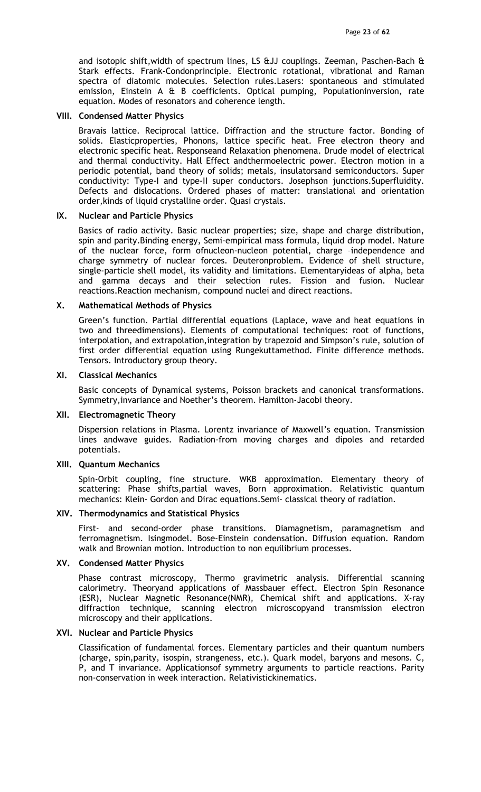and isotopic shift,width of spectrum lines, LS &JJ couplings. Zeeman, Paschen-Bach & Stark effects. Frank-Condonprinciple. Electronic rotational, vibrational and Raman spectra of diatomic molecules. Selection rules.Lasers: spontaneous and stimulated emission, Einstein A & B coefficients. Optical pumping, Populationinversion, rate equation. Modes of resonators and coherence length.

#### VIII. Condensed Matter Physics

 Bravais lattice. Reciprocal lattice. Diffraction and the structure factor. Bonding of solids. Elasticproperties, Phonons, lattice specific heat. Free electron theory and electronic specific heat. Responseand Relaxation phenomena. Drude model of electrical and thermal conductivity. Hall Effect andthermoelectric power. Electron motion in a periodic potential, band theory of solids; metals, insulatorsand semiconductors. Super conductivity: Type-I and type-II super conductors. Josephson junctions.Superfluidity. Defects and dislocations. Ordered phases of matter: translational and orientation order,kinds of liquid crystalline order. Quasi crystals.

#### IX. Nuclear and Particle Physics

 Basics of radio activity. Basic nuclear properties; size, shape and charge distribution, spin and parity.Binding energy, Semi-empirical mass formula, liquid drop model. Nature of the nuclear force, form ofnucleon-nucleon potential, charge –independence and charge symmetry of nuclear forces. Deuteronproblem. Evidence of shell structure, single-particle shell model, its validity and limitations. Elementaryideas of alpha, beta and gamma decays and their selection rules. Fission and fusion. Nuclear reactions.Reaction mechanism, compound nuclei and direct reactions.

#### X. Mathematical Methods of Physics

 Green's function. Partial differential equations (Laplace, wave and heat equations in two and threedimensions). Elements of computational techniques: root of functions, interpolation, and extrapolation,integration by trapezoid and Simpson's rule, solution of first order differential equation using Rungekuttamethod. Finite difference methods. Tensors. Introductory group theory.

#### XI. Classical Mechanics

 Basic concepts of Dynamical systems, Poisson brackets and canonical transformations. Symmetry,invariance and Noether's theorem. Hamilton-Jacobi theory.

#### XII. Electromagnetic Theory

 Dispersion relations in Plasma. Lorentz invariance of Maxwell's equation. Transmission lines andwave guides. Radiation-from moving charges and dipoles and retarded potentials.

#### XIII. Quantum Mechanics

 Spin-Orbit coupling, fine structure. WKB approximation. Elementary theory of scattering: Phase shifts,partial waves, Born approximation. Relativistic quantum mechanics: Klein- Gordon and Dirac equations.Semi- classical theory of radiation.

### XIV. Thermodynamics and Statistical Physics

 First- and second-order phase transitions. Diamagnetism, paramagnetism and ferromagnetism. Isingmodel. Bose-Einstein condensation. Diffusion equation. Random walk and Brownian motion. Introduction to non equilibrium processes.

### XV. Condensed Matter Physics

 Phase contrast microscopy, Thermo gravimetric analysis. Differential scanning calorimetry. Theoryand applications of Massbauer effect. Electron Spin Resonance (ESR), Nuclear Magnetic Resonance(NMR), Chemical shift and applications. X-ray diffraction technique, scanning electron microscopyand transmission electron microscopy and their applications.

#### XVI. Nuclear and Particle Physics

 Classification of fundamental forces. Elementary particles and their quantum numbers (charge, spin,parity, isospin, strangeness, etc.). Quark model, baryons and mesons. C, P, and T invariance. Applicationsof symmetry arguments to particle reactions. Parity non-conservation in week interaction. Relativistickinematics.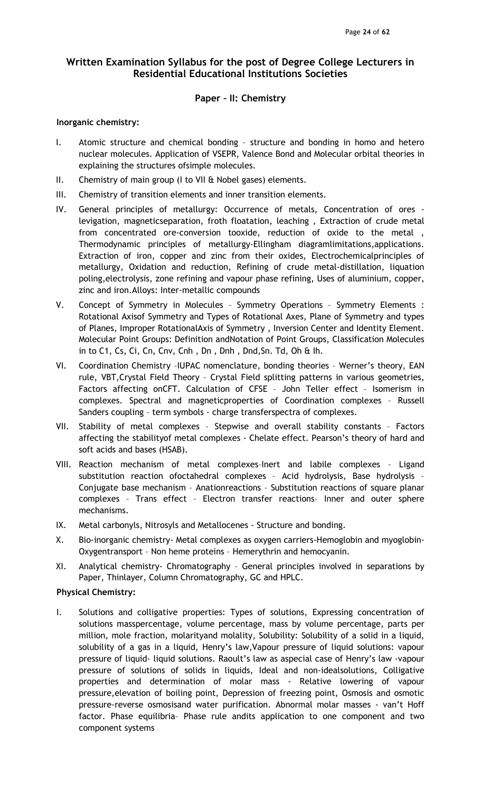## Paper – II: Chemistry

### Inorganic chemistry:

- I. Atomic structure and chemical bonding structure and bonding in homo and hetero nuclear molecules. Application of VSEPR, Valence Bond and Molecular orbital theories in explaining the structures ofsimple molecules.
- II. Chemistry of main group (I to VII & Nobel gases) elements.
- III. Chemistry of transition elements and inner transition elements.
- IV. General principles of metallurgy: Occurrence of metals, Concentration of ores levigation, magneticseparation, froth floatation, leaching , Extraction of crude metal from concentrated ore-conversion tooxide, reduction of oxide to the metal , Thermodynamic principles of metallurgy-Ellingham diagramlimitations,applications. Extraction of iron, copper and zinc from their oxides, Electrochemicalprinciples of metallurgy, Oxidation and reduction, Refining of crude metal-distillation, liquation poling,electrolysis, zone refining and vapour phase refining, Uses of aluminium, copper, zinc and iron.Alloys: Inter-metallic compounds
- V. Concept of Symmetry in Molecules Symmetry Operations Symmetry Elements : Rotational Axisof Symmetry and Types of Rotational Axes, Plane of Symmetry and types of Planes, Improper RotationalAxis of Symmetry , Inversion Center and Identity Element. Molecular Point Groups: Definition andNotation of Point Groups, Classification Molecules in to C1, Cs, Ci, Cn, Cnv, Cnh , Dn , Dnh , Dnd,Sn. Td, Oh & Ih.
- VI. Coordination Chemistry –IUPAC nomenclature, bonding theories Werner's theory, EAN rule, VBT,Crystal Field Theory – Crystal Field splitting patterns in various geometries, Factors affecting onCFT. Calculation of CFSE – John Teller effect – Isomerism in complexes. Spectral and magneticproperties of Coordination complexes – Russell Sanders coupling – term symbols - charge transferspectra of complexes.
- VII. Stability of metal complexes Stepwise and overall stability constants Factors affecting the stabilityof metal complexes - Chelate effect. Pearson's theory of hard and soft acids and bases (HSAB).
- VIII. Reaction mechanism of metal complexes–Inert and labile complexes Ligand substitution reaction ofoctahedral complexes – Acid hydrolysis, Base hydrolysis – Conjugate base mechanism – Anationreactions – Substitution reactions of square planar complexes – Trans effect – Electron transfer reactions– Inner and outer sphere mechanisms.
- IX. Metal carbonyls, Nitrosyls and Metallocenes Structure and bonding.
- X. Bio-inorganic chemistry- Metal complexes as oxygen carriers-Hemoglobin and myoglobin-Oxygentransport – Non heme proteins – Hemerythrin and hemocyanin.
- XI. Analytical chemistry- Chromatography General principles involved in separations by Paper, Thinlayer, Column Chromatography, GC and HPLC.

## Physical Chemistry:

I. Solutions and colligative properties: Types of solutions, Expressing concentration of solutions masspercentage, volume percentage, mass by volume percentage, parts per million, mole fraction, molarityand molality, Solubility: Solubility of a solid in a liquid, solubility of a gas in a liquid, Henry's law,Vapour pressure of liquid solutions: vapour pressure of liquid- liquid solutions. Raoult's law as aspecial case of Henry's law -vapour pressure of solutions of solids in liquids, Ideal and non-idealsolutions, Colligative properties and determination of molar mass - Relative lowering of vapour pressure,elevation of boiling point, Depression of freezing point, Osmosis and osmotic pressure-reverse osmosisand water purification. Abnormal molar masses - van't Hoff factor. Phase equilibria– Phase rule andits application to one component and two component systems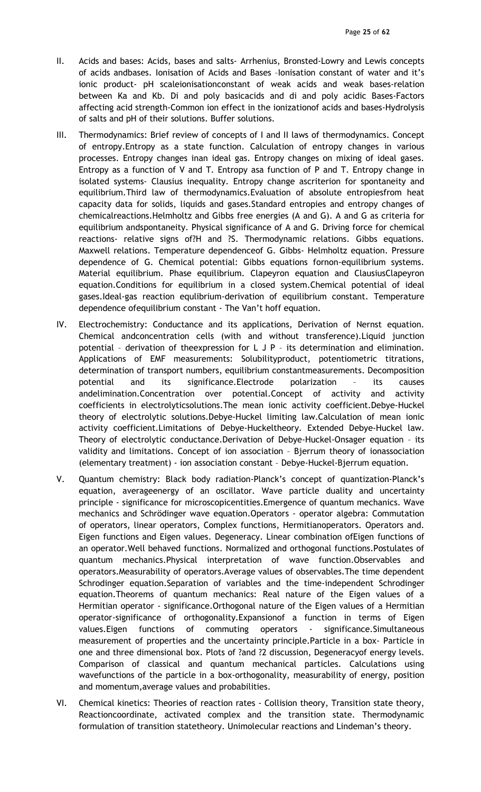- II. Acids and bases: Acids, bases and salts- Arrhenius, Bronsted-Lowry and Lewis concepts of acids andbases. Ionisation of Acids and Bases –Ionisation constant of water and it's ionic product- pH scaleionisationconstant of weak acids and weak bases-relation between Ka and Kb. Di and poly basicacids and di and poly acidic Bases-Factors affecting acid strength-Common ion effect in the ionizationof acids and bases-Hydrolysis of salts and pH of their solutions. Buffer solutions.
- III. Thermodynamics: Brief review of concepts of I and II laws of thermodynamics. Concept of entropy.Entropy as a state function. Calculation of entropy changes in various processes. Entropy changes inan ideal gas. Entropy changes on mixing of ideal gases. Entropy as a function of V and T. Entropy asa function of P and T. Entropy change in isolated systems- Clausius inequality. Entropy change ascriterion for spontaneity and equilibrium.Third law of thermodynamics.Evaluation of absolute entropiesfrom heat capacity data for solids, liquids and gases.Standard entropies and entropy changes of chemicalreactions.Helmholtz and Gibbs free energies (A and G). A and G as criteria for equilibrium andspontaneity. Physical significance of A and G. Driving force for chemical reactions- relative signs of?H and ?S. Thermodynamic relations. Gibbs equations. Maxwell relations. Temperature dependenceof G. Gibbs- Helmholtz equation. Pressure dependence of G. Chemical potential: Gibbs equations fornon-equilibrium systems. Material equilibrium. Phase equilibrium. Clapeyron equation and ClausiusClapeyron equation.Conditions for equilibrium in a closed system.Chemical potential of ideal gases.Ideal-gas reaction equlibrium-derivation of equilibrium constant. Temperature dependence ofequilibrium constant - The Van't hoff equation.
- IV. Electrochemistry: Conductance and its applications, Derivation of Nernst equation. Chemical andconcentration cells (with and without transference).Liquid junction potential – derivation of theexpression for L J P – its determination and elimination. Applications of EMF measurements: Solubilityproduct, potentiometric titrations, determination of transport numbers, equilibrium constantmeasurements. Decomposition potential and its significance.Electrode polarization – its causes andelimination.Concentration over potential.Concept of activity and activity coefficients in electrolyticsolutions.The mean ionic activity coefficient.Debye-Huckel theory of electrolytic solutions.Debye-Huckel limiting law.Calculation of mean ionic activity coefficient.Limitations of Debye-Huckeltheory. Extended Debye-Huckel law. Theory of electrolytic conductance.Derivation of Debye-Huckel-Onsager equation – its validity and limitations. Concept of ion association – Bjerrum theory of ionassociation (elementary treatment) - ion association constant – Debye-Huckel-Bjerrum equation.
- V. Quantum chemistry: Black body radiation-Planck's concept of quantization-Planck's equation, averageenergy of an oscillator. Wave particle duality and uncertainty principle - significance for microscopicentities.Emergence of quantum mechanics. Wave mechanics and Schrödinger wave equation.Operators - operator algebra: Commutation of operators, linear operators, Complex functions, Hermitianoperators. Operators and. Eigen functions and Eigen values. Degeneracy. Linear combination ofEigen functions of an operator.Well behaved functions. Normalized and orthogonal functions.Postulates of quantum mechanics.Physical interpretation of wave function.Observables and operators.Measurability of operators.Average values of observables.The time dependent Schrodinger equation.Separation of variables and the time-independent Schrodinger equation.Theorems of quantum mechanics: Real nature of the Eigen values of a Hermitian operator - significance.Orthogonal nature of the Eigen values of a Hermitian operator-significance of orthogonality.Expansionof a function in terms of Eigen values.Eigen functions of commuting operators - significance.Simultaneous measurement of properties and the uncertainty principle.Particle in a box- Particle in one and three dimensional box. Plots of ?and ?2 discussion, Degeneracyof energy levels. Comparison of classical and quantum mechanical particles. Calculations using wavefunctions of the particle in a box-orthogonality, measurability of energy, position and momentum,average values and probabilities.
- VI. Chemical kinetics: Theories of reaction rates Collision theory, Transition state theory, Reactioncoordinate, activated complex and the transition state. Thermodynamic formulation of transition statetheory. Unimolecular reactions and Lindeman's theory.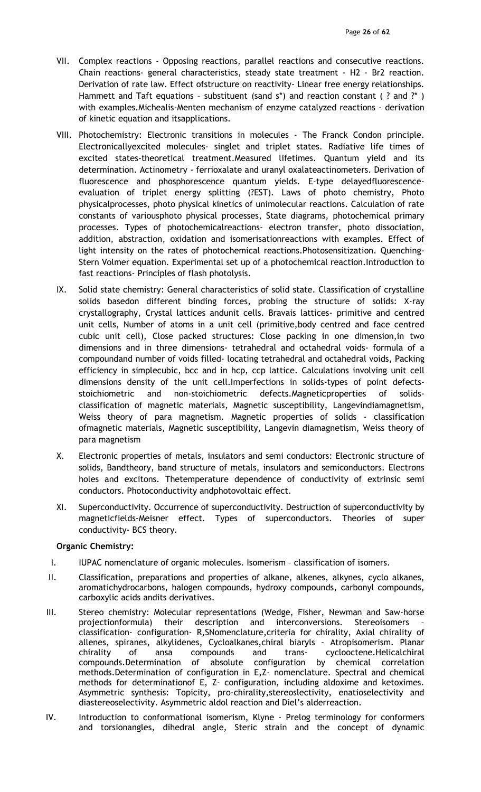- VII. Complex reactions Opposing reactions, parallel reactions and consecutive reactions. Chain reactions- general characteristics, steady state treatment - H2 - Br2 reaction. Derivation of rate law. Effect ofstructure on reactivity- Linear free energy relationships. Hammett and Taft equations - substituent (sand s\*) and reaction constant (? and ?\*) with examples.Michealis-Menten mechanism of enzyme catalyzed reactions - derivation of kinetic equation and itsapplications.
- VIII. Photochemistry: Electronic transitions in molecules The Franck Condon principle. Electronicallyexcited molecules- singlet and triplet states. Radiative life times of excited states-theoretical treatment.Measured lifetimes. Quantum yield and its determination. Actinometry - ferrioxalate and uranyl oxalateactinometers. Derivation of fluorescence and phosphorescence quantum yields. E-type delayedfluorescenceevaluation of triplet energy splitting (?EST). Laws of photo chemistry, Photo physicalprocesses, photo physical kinetics of unimolecular reactions. Calculation of rate constants of variousphoto physical processes, State diagrams, photochemical primary processes. Types of photochemicalreactions- electron transfer, photo dissociation, addition, abstraction, oxidation and isomerisationreactions with examples. Effect of light intensity on the rates of photochemical reactions.Photosensitization. Quenching-Stern Volmer equation. Experimental set up of a photochemical reaction.Introduction to fast reactions- Principles of flash photolysis.
- IX. Solid state chemistry: General characteristics of solid state. Classification of crystalline solids basedon different binding forces, probing the structure of solids: X-ray crystallography, Crystal lattices andunit cells. Bravais lattices- primitive and centred unit cells, Number of atoms in a unit cell (primitive,body centred and face centred cubic unit cell), Close packed structures: Close packing in one dimension,in two dimensions and in three dimensions- tetrahedral and octahedral voids- formula of a compoundand number of voids filled- locating tetrahedral and octahedral voids, Packing efficiency in simplecubic, bcc and in hcp, ccp lattice. Calculations involving unit cell dimensions density of the unit cell.Imperfections in solids-types of point defectsstoichiometric and non-stoichiometric defects.Magneticproperties of solidsclassification of magnetic materials, Magnetic susceptibility, Langevindiamagnetism, Weiss theory of para magnetism. Magnetic properties of solids - classification ofmagnetic materials, Magnetic susceptibility, Langevin diamagnetism, Weiss theory of para magnetism
- X. Electronic properties of metals, insulators and semi conductors: Electronic structure of solids, Bandtheory, band structure of metals, insulators and semiconductors. Electrons holes and excitons. Thetemperature dependence of conductivity of extrinsic semi conductors. Photoconductivity andphotovoltaic effect.
- XI. Superconductivity. Occurrence of superconductivity. Destruction of superconductivity by magneticfields-Meisner effect. Types of superconductors. Theories of super conductivity- BCS theory.

### Organic Chemistry:

- I. IUPAC nomenclature of organic molecules. Isomerism classification of isomers.
- II. Classification, preparations and properties of alkane, alkenes, alkynes, cyclo alkanes, aromatichydrocarbons, halogen compounds, hydroxy compounds, carbonyl compounds, carboxylic acids andits derivatives.
- III. Stereo chemistry: Molecular representations (Wedge, Fisher, Newman and Saw-horse projectionformula) their description and interconversions. Stereoisomers – classification- configuration- R,SNomenclature,criteria for chirality, Axial chirality of allenes, spiranes, alkylidenes, Cycloalkanes,chiral biaryls - Atropisomerism. Planar chirality of ansa compounds and trans- cyclooctene.Helicalchiral compounds.Determination of absolute configuration by chemical correlation methods.Determination of configuration in E,Z- nomenclature. Spectral and chemical methods for determinationof E, Z- configuration, including aldoxime and ketoximes. Asymmetric synthesis: Topicity, pro-chirality,stereoslectivity, enatioselectivity and diastereoselectivity. Asymmetric aldol reaction and Diel's alderreaction.
- IV. Introduction to conformational isomerism, Klyne Prelog terminology for conformers and torsionangles, dihedral angle, Steric strain and the concept of dynamic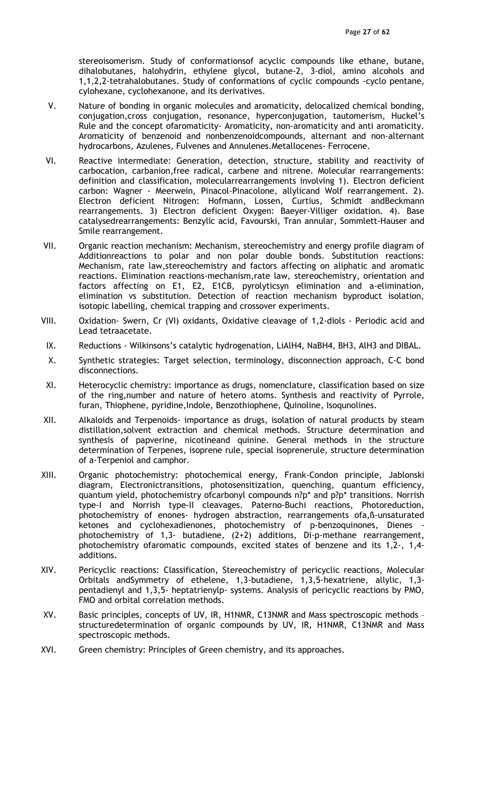stereoisomerism. Study of conformationsof acyclic compounds like ethane, butane, dihalobutanes, halohydrin, ethylene glycol, butane-2, 3-diol, amino alcohols and 1,1,2,2-tetrahalobutanes. Study of conformations of cyclic compounds -cyclo pentane, cylohexane, cyclohexanone, and its derivatives.

- V. Nature of bonding in organic molecules and aromaticity, delocalized chemical bonding, conjugation,cross conjugation, resonance, hyperconjugation, tautomerism, Huckel's Rule and the concept ofaromaticity- Aromaticity, non-aromaticity and anti aromaticity. Aromaticity of benzenoid and nonbenzenoidcompounds, alternant and non-alternant hydrocarbons, Azulenes, Fulvenes and Annulenes.Metallocenes- Ferrocene.
- VI. Reactive intermediate: Generation, detection, structure, stability and reactivity of carbocation, carbanion,free radical, carbene and nitrene. Molecular rearrangements: definition and classification, molecularrearrangements involving 1). Electron deficient carbon: Wagner - Meerwein, Pinacol-Pinacolone, allylicand Wolf rearrangement. 2). Electron deficient Nitrogen: Hofmann, Lossen, Curtius, Schmidt andBeckmann rearrangements. 3) Electron deficient Oxygen: Baeyer-Villiger oxidation. 4). Base catalysedrearrangements: Benzylic acid, Favourski, Tran annular, Sommlett-Hauser and Smile rearrangement.
- VII. Organic reaction mechanism: Mechanism, stereochemistry and energy profile diagram of Additionreactions to polar and non polar double bonds. Substitution reactions: Mechanism, rate law,stereochemistry and factors affecting on aliphatic and aromatic reactions. Elimination reactions-mechanism,rate law, stereochemistry, orientation and factors affecting on E1, E2, E1CB, pyrolyticsyn elimination and a-elimination, elimination vs substitution. Detection of reaction mechanism byproduct isolation, isotopic labelling, chemical trapping and crossover experiments.
- VIII. Oxidation- Swern, Cr (VI) oxidants, Oxidative cleavage of 1,2-diols Periodic acid and Lead tetraacetate.
- IX. Reductions Wilkinsons's catalytic hydrogenation, LiAlH4, NaBH4, BH3, AlH3 and DIBAL.
- X. Synthetic strategies: Target selection, terminology, disconnection approach, C-C bond disconnections.
- XI. Heterocyclic chemistry: importance as drugs, nomenclature, classification based on size of the ring,number and nature of hetero atoms. Synthesis and reactivity of Pyrrole, furan, Thiophene, pyridine, Indole, Benzothiophene, Quinoline, Isoqunolines.
- XII. Alkaloids and Terpenoids- importance as drugs, isolation of natural products by steam distillation,solvent extraction and chemical methods. Structure determination and synthesis of papverine, nicotineand quinine. General methods in the structure determination of Terpenes, isoprene rule, special isoprenerule, structure determination of a-Terpeniol and camphor.
- XIII. Organic photochemistry: photochemical energy, Frank-Condon principle, Jablonski diagram, Electronictransitions, photosensitization, quenching, quantum efficiency, quantum yield, photochemistry ofcarbonyl compounds n?p\* and p?p\* transitions. Norrish type-I and Norrish type-II cleavages. Paterno-Buchi reactions, Photoreduction, photochemistry of enones- hydrogen abstraction, rearrangements ofa,ß-unsaturated ketones and cyclohexadienones, photochemistry of p-benzoquinones, Dienes photochemistry of 1,3- butadiene, (2+2) additions, Di-p-methane rearrangement, photochemistry ofaromatic compounds, excited states of benzene and its 1,2-, 1,4 additions.
- XIV. Pericyclic reactions: Classification, Stereochemistry of pericyclic reactions, Molecular Orbitals andSymmetry of ethelene, 1,3-butadiene, 1,3,5-hexatriene, allylic, 1,3 pentadienyl and 1,3,5- heptatrienylp- systems. Analysis of pericyclic reactions by PMO, FMO and orbital correlation methods.
- XV. Basic principles, concepts of UV, IR, H1NMR, C13NMR and Mass spectroscopic methods structuredetermination of organic compounds by UV, IR, H1NMR, C13NMR and Mass spectroscopic methods.
- XVI. Green chemistry: Principles of Green chemistry, and its approaches.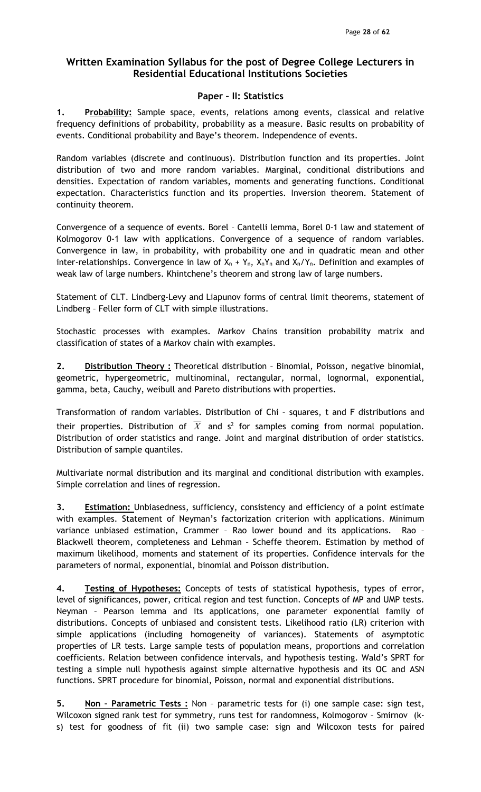## Paper – II: Statistics

1. Probability: Sample space, events, relations among events, classical and relative frequency definitions of probability, probability as a measure. Basic results on probability of events. Conditional probability and Baye's theorem. Independence of events.

Random variables (discrete and continuous). Distribution function and its properties. Joint distribution of two and more random variables. Marginal, conditional distributions and densities. Expectation of random variables, moments and generating functions. Conditional expectation. Characteristics function and its properties. Inversion theorem. Statement of continuity theorem.

Convergence of a sequence of events. Borel – Cantelli lemma, Borel 0-1 law and statement of Kolmogorov 0-1 law with applications. Convergence of a sequence of random variables. Convergence in law, in probability, with probability one and in quadratic mean and other inter-relationships. Convergence in law of  $X_n + Y_n$ ,  $X_nY_n$  and  $X_n/Y_n$ . Definition and examples of weak law of large numbers. Khintchene's theorem and strong law of large numbers.

Statement of CLT. Lindberg-Levy and Liapunov forms of central limit theorems, statement of Lindberg – Feller form of CLT with simple illustrations.

Stochastic processes with examples. Markov Chains transition probability matrix and classification of states of a Markov chain with examples.

2. Distribution Theory: Theoretical distribution - Binomial, Poisson, negative binomial, geometric, hypergeometric, multinominal, rectangular, normal, lognormal, exponential, gamma, beta, Cauchy, weibull and Pareto distributions with properties.

Transformation of random variables. Distribution of Chi – squares, t and F distributions and their properties. Distribution of  $X$  and s<sup>2</sup> for samples coming from normal population. Distribution of order statistics and range. Joint and marginal distribution of order statistics. Distribution of sample quantiles.

Multivariate normal distribution and its marginal and conditional distribution with examples. Simple correlation and lines of regression.

3. Estimation: Unbiasedness, sufficiency, consistency and efficiency of a point estimate with examples. Statement of Neyman's factorization criterion with applications. Minimum variance unbiased estimation, Crammer – Rao lower bound and its applications. Rao – Blackwell theorem, completeness and Lehman – Scheffe theorem. Estimation by method of maximum likelihood, moments and statement of its properties. Confidence intervals for the parameters of normal, exponential, binomial and Poisson distribution.

4. Testing of Hypotheses: Concepts of tests of statistical hypothesis, types of error, level of significances, power, critical region and test function. Concepts of MP and UMP tests. Neyman – Pearson lemma and its applications, one parameter exponential family of distributions. Concepts of unbiased and consistent tests. Likelihood ratio (LR) criterion with simple applications (including homogeneity of variances). Statements of asymptotic properties of LR tests. Large sample tests of population means, proportions and correlation coefficients. Relation between confidence intervals, and hypothesis testing. Wald's SPRT for testing a simple null hypothesis against simple alternative hypothesis and its OC and ASN functions. SPRT procedure for binomial, Poisson, normal and exponential distributions.

5. Non - Parametric Tests : Non - parametric tests for (i) one sample case: sign test, Wilcoxon signed rank test for symmetry, runs test for randomness, Kolmogorov – Smirnov (ks) test for goodness of fit (ii) two sample case: sign and Wilcoxon tests for paired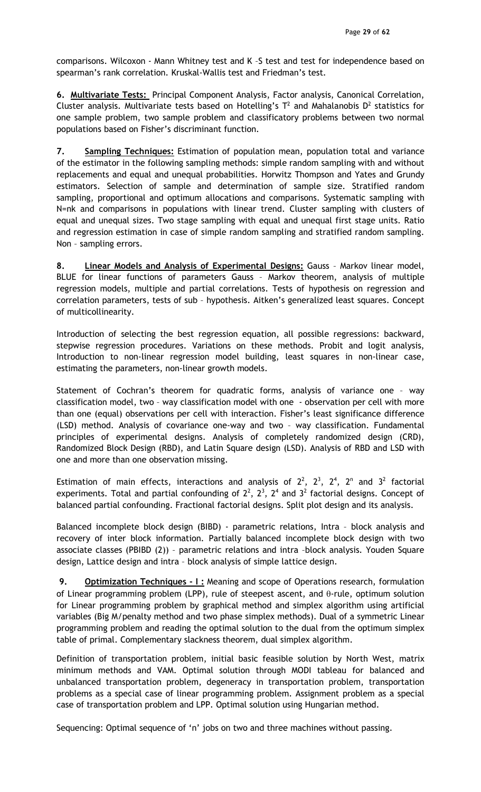comparisons. Wilcoxon - Mann Whitney test and K –S test and test for independence based on spearman's rank correlation. Kruskal-Wallis test and Friedman's test.

6. Multivariate Tests: Principal Component Analysis, Factor analysis, Canonical Correlation, Cluster analysis. Multivariate tests based on Hotelling's  $T^2$  and Mahalanobis  $D^2$  statistics for one sample problem, two sample problem and classificatory problems between two normal populations based on Fisher's discriminant function.

7. Sampling Techniques: Estimation of population mean, population total and variance of the estimator in the following sampling methods: simple random sampling with and without replacements and equal and unequal probabilities. Horwitz Thompson and Yates and Grundy estimators. Selection of sample and determination of sample size. Stratified random sampling, proportional and optimum allocations and comparisons. Systematic sampling with N=nk and comparisons in populations with linear trend. Cluster sampling with clusters of equal and unequal sizes. Two stage sampling with equal and unequal first stage units. Ratio and regression estimation in case of simple random sampling and stratified random sampling. Non – sampling errors.

8. Linear Models and Analysis of Experimental Designs: Gauss - Markov linear model, BLUE for linear functions of parameters Gauss – Markov theorem, analysis of multiple regression models, multiple and partial correlations. Tests of hypothesis on regression and correlation parameters, tests of sub – hypothesis. Aitken's generalized least squares. Concept of multicollinearity.

Introduction of selecting the best regression equation, all possible regressions: backward, stepwise regression procedures. Variations on these methods. Probit and logit analysis, Introduction to non-linear regression model building, least squares in non-linear case, estimating the parameters, non-linear growth models.

Statement of Cochran's theorem for quadratic forms, analysis of variance one – way classification model, two – way classification model with one - observation per cell with more than one (equal) observations per cell with interaction. Fisher's least significance difference (LSD) method. Analysis of covariance one-way and two – way classification. Fundamental principles of experimental designs. Analysis of completely randomized design (CRD), Randomized Block Design (RBD), and Latin Square design (LSD). Analysis of RBD and LSD with one and more than one observation missing.

Estimation of main effects, interactions and analysis of  $2^2$ ,  $2^3$ ,  $2^4$ ,  $2^n$  and  $3^2$  factorial experiments. Total and partial confounding of  $2^2$ ,  $2^3$ ,  $2^4$  and  $3^2$  factorial designs. Concept of balanced partial confounding. Fractional factorial designs. Split plot design and its analysis.

Balanced incomplete block design (BIBD) - parametric relations, Intra – block analysis and recovery of inter block information. Partially balanced incomplete block design with two associate classes (PBIBD (2)) – parametric relations and intra –block analysis. Youden Square design, Lattice design and intra – block analysis of simple lattice design.

9. Optimization Techniques - I: Meaning and scope of Operations research, formulation of Linear programming problem (LPP), rule of steepest ascent, and  $\theta$ -rule, optimum solution for Linear programming problem by graphical method and simplex algorithm using artificial variables (Big M/penalty method and two phase simplex methods). Dual of a symmetric Linear programming problem and reading the optimal solution to the dual from the optimum simplex table of primal. Complementary slackness theorem, dual simplex algorithm.

Definition of transportation problem, initial basic feasible solution by North West, matrix minimum methods and VAM. Optimal solution through MODI tableau for balanced and unbalanced transportation problem, degeneracy in transportation problem, transportation problems as a special case of linear programming problem. Assignment problem as a special case of transportation problem and LPP. Optimal solution using Hungarian method.

Sequencing: Optimal sequence of 'n' jobs on two and three machines without passing.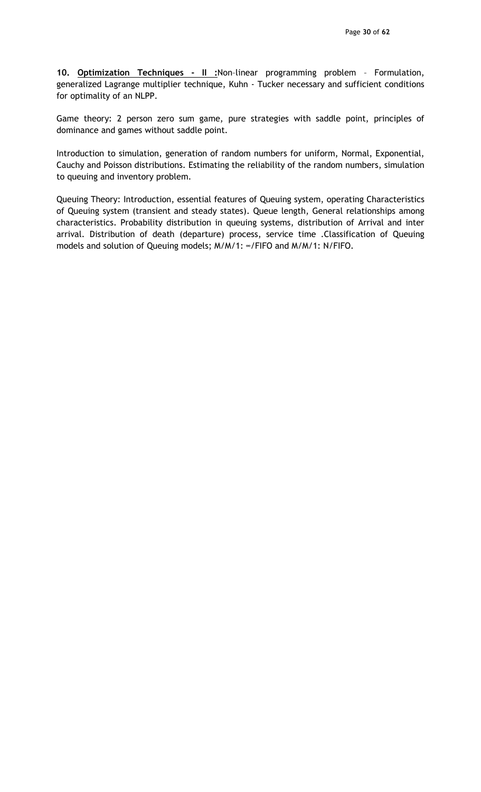10. **Optimization Techniques - II :**Non-linear programming problem - Formulation, generalized Lagrange multiplier technique, Kuhn - Tucker necessary and sufficient conditions for optimality of an NLPP.

Game theory: 2 person zero sum game, pure strategies with saddle point, principles of dominance and games without saddle point.

Introduction to simulation, generation of random numbers for uniform, Normal, Exponential, Cauchy and Poisson distributions. Estimating the reliability of the random numbers, simulation to queuing and inventory problem.

Queuing Theory: Introduction, essential features of Queuing system, operating Characteristics of Queuing system (transient and steady states). Queue length, General relationships among characteristics. Probability distribution in queuing systems, distribution of Arrival and inter arrival. Distribution of death (departure) process, service time .Classification of Queuing models and solution of Queuing models; M/M/1: ∞/FIFO and M/M/1: N/FIFO.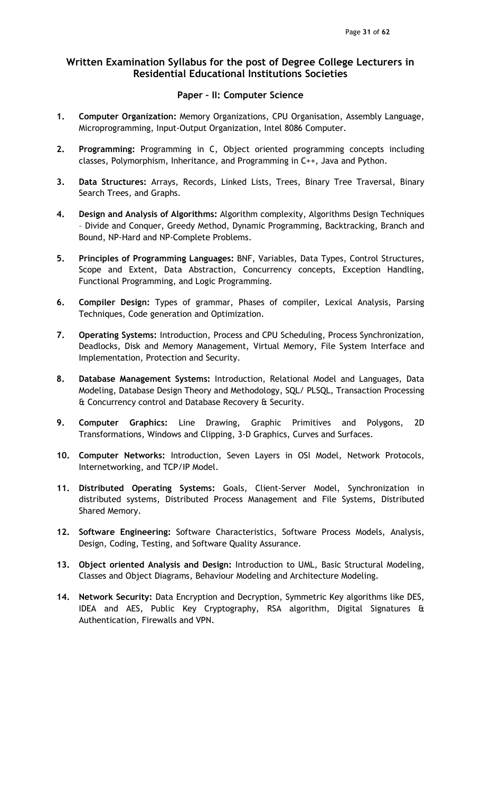## Paper – II: Computer Science

- 1. Computer Organization: Memory Organizations, CPU Organisation, Assembly Language, Microprogramming, Input-Output Organization, Intel 8086 Computer.
- 2. Programming: Programming in C, Object oriented programming concepts including classes, Polymorphism, Inheritance, and Programming in C++, Java and Python.
- 3. Data Structures: Arrays, Records, Linked Lists, Trees, Binary Tree Traversal, Binary Search Trees, and Graphs.
- 4. Design and Analysis of Algorithms: Algorithm complexity, Algorithms Design Techniques – Divide and Conquer, Greedy Method, Dynamic Programming, Backtracking, Branch and Bound, NP-Hard and NP-Complete Problems.
- 5. Principles of Programming Languages: BNF, Variables, Data Types, Control Structures, Scope and Extent, Data Abstraction, Concurrency concepts, Exception Handling, Functional Programming, and Logic Programming.
- 6. Compiler Design: Types of grammar, Phases of compiler, Lexical Analysis, Parsing Techniques, Code generation and Optimization.
- 7. Operating Systems: Introduction, Process and CPU Scheduling, Process Synchronization, Deadlocks, Disk and Memory Management, Virtual Memory, File System Interface and Implementation, Protection and Security.
- 8. Database Management Systems: Introduction, Relational Model and Languages, Data Modeling, Database Design Theory and Methodology, SQL/ PLSQL, Transaction Processing & Concurrency control and Database Recovery & Security.
- 9. Computer Graphics: Line Drawing, Graphic Primitives and Polygons, 2D Transformations, Windows and Clipping, 3-D Graphics, Curves and Surfaces.
- 10. Computer Networks: Introduction, Seven Layers in OSI Model, Network Protocols, Internetworking, and TCP/IP Model.
- 11. Distributed Operating Systems: Goals, Client-Server Model, Synchronization in distributed systems, Distributed Process Management and File Systems, Distributed Shared Memory.
- 12. Software Engineering: Software Characteristics, Software Process Models, Analysis, Design, Coding, Testing, and Software Quality Assurance.
- 13. Object oriented Analysis and Design: Introduction to UML, Basic Structural Modeling, Classes and Object Diagrams, Behaviour Modeling and Architecture Modeling.
- 14. Network Security: Data Encryption and Decryption, Symmetric Key algorithms like DES, IDEA and AES, Public Key Cryptography, RSA algorithm, Digital Signatures & Authentication, Firewalls and VPN.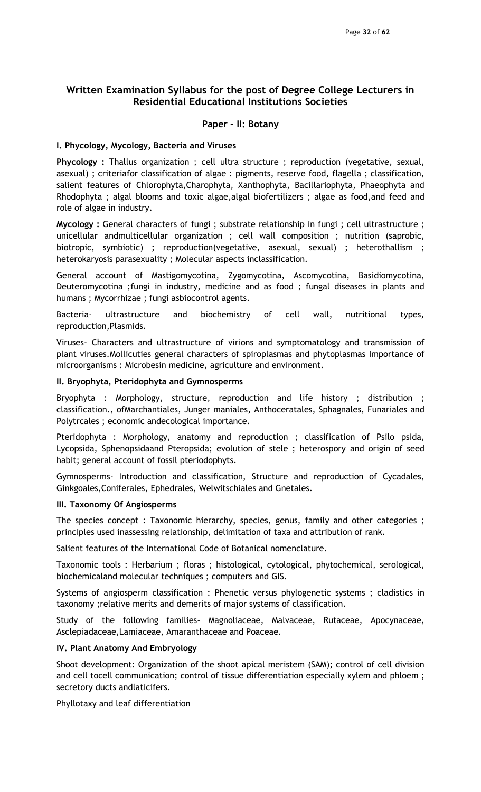## Paper – II: Botany

#### I. Phycology, Mycology, Bacteria and Viruses

Phycology : Thallus organization ; cell ultra structure ; reproduction (vegetative, sexual, asexual) ; criteriafor classification of algae : pigments, reserve food, flagella ; classification, salient features of Chlorophyta,Charophyta, Xanthophyta, Bacillariophyta, Phaeophyta and Rhodophyta ; algal blooms and toxic algae,algal biofertilizers ; algae as food,and feed and role of algae in industry.

Mycology : General characters of fungi ; substrate relationship in fungi ; cell ultrastructure ; unicellular andmulticellular organization ; cell wall composition ; nutrition (saprobic, biotropic, symbiotic) ; reproduction(vegetative, asexual, sexual) ; heterothallism ; heterokaryosis parasexuality ; Molecular aspects inclassification.

General account of Mastigomycotina, Zygomycotina, Ascomycotina, Basidiomycotina, Deuteromycotina ;fungi in industry, medicine and as food ; fungal diseases in plants and humans ; Mycorrhizae ; fungi asbiocontrol agents.

Bacteria- ultrastructure and biochemistry of cell wall, nutritional types, reproduction,Plasmids.

Viruses- Characters and ultrastructure of virions and symptomatology and transmission of plant viruses.Mollicuties general characters of spiroplasmas and phytoplasmas Importance of microorganisms : Microbesin medicine, agriculture and environment.

### II. Bryophyta, Pteridophyta and Gymnosperms

Bryophyta : Morphology, structure, reproduction and life history ; distribution ; classification., ofMarchantiales, Junger maniales, Anthoceratales, Sphagnales, Funariales and Polytrcales ; economic andecological importance.

Pteridophyta : Morphology, anatomy and reproduction ; classification of Psilo psida, Lycopsida, Sphenopsidaand Pteropsida; evolution of stele ; heterospory and origin of seed habit; general account of fossil pteriodophyts.

Gymnosperms- Introduction and classification, Structure and reproduction of Cycadales, Ginkgoales,Coniferales, Ephedrales, Welwitschiales and Gnetales.

### III. Taxonomy Of Angiosperms

The species concept : Taxonomic hierarchy, species, genus, family and other categories ; principles used inassessing relationship, delimitation of taxa and attribution of rank.

Salient features of the International Code of Botanical nomenclature.

Taxonomic tools : Herbarium ; floras ; histological, cytological, phytochemical, serological, biochemicaland molecular techniques ; computers and GIS.

Systems of angiosperm classification : Phenetic versus phylogenetic systems ; cladistics in taxonomy ;relative merits and demerits of major systems of classification.

Study of the following families- Magnoliaceae, Malvaceae, Rutaceae, Apocynaceae, Asclepiadaceae,Lamiaceae, Amaranthaceae and Poaceae.

### IV. Plant Anatomy And Embryology

Shoot development: Organization of the shoot apical meristem (SAM); control of cell division and cell tocell communication; control of tissue differentiation especially xylem and phloem ; secretory ducts andlaticifers.

Phyllotaxy and leaf differentiation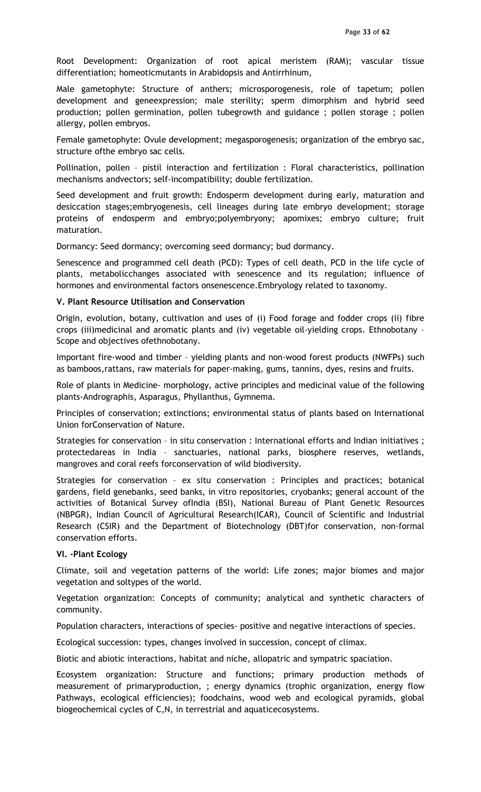Root Development: Organization of root apical meristem (RAM); vascular tissue differentiation; homeoticmutants in Arabidopsis and Antirrhinum,

Male gametophyte: Structure of anthers; microsporogenesis, role of tapetum; pollen development and geneexpression; male sterility; sperm dimorphism and hybrid seed production; pollen germination, pollen tubegrowth and guidance ; pollen storage ; pollen allergy, pollen embryos.

Female gametophyte: Ovule development; megasporogenesis; organization of the embryo sac, structure ofthe embryo sac cells.

Pollination, pollen – pistil interaction and fertilization : Floral characteristics, pollination mechanisms andvectors; self-incompatibility; double fertilization.

Seed development and fruit growth: Endosperm development during early, maturation and desiccation stages;embryogenesis, cell lineages during late embryo development; storage proteins of endosperm and embryo;polyembryony; apomixes; embryo culture; fruit maturation.

Dormancy: Seed dormancy; overcoming seed dormancy; bud dormancy.

Senescence and programmed cell death (PCD): Types of cell death, PCD in the life cycle of plants, metabolicchanges associated with senescence and its regulation; influence of hormones and environmental factors onsenescence.Embryology related to taxonomy.

### V. Plant Resource Utilisation and Conservation

Origin, evolution, botany, cultivation and uses of (i) Food forage and fodder crops (ii) fibre crops (iii)medicinal and aromatic plants and (iv) vegetable oil-yielding crops. Ethnobotany – Scope and objectives ofethnobotany.

Important fire-wood and timber – yielding plants and non-wood forest products (NWFPs) such as bamboos,rattans, raw materials for paper-making, gums, tannins, dyes, resins and fruits.

Role of plants in Medicine- morphology, active principles and medicinal value of the following plants-Andrographis, Asparagus, Phyllanthus, Gymnema.

Principles of conservation; extinctions; environmental status of plants based on International Union forConservation of Nature.

Strategies for conservation – in situ conservation : International efforts and Indian initiatives ; protectedareas in India – sanctuaries, national parks, biosphere reserves, wetlands, mangroves and coral reefs forconservation of wild biodiversity.

Strategies for conservation – ex situ conservation : Principles and practices; botanical gardens, field genebanks, seed banks, in vitro repositories, cryobanks; general account of the activities of Botanical Survey ofIndia (BSI), National Bureau of Plant Genetic Resources (NBPGR), Indian Council of Agricultural Research(ICAR), Council of Scientific and Industrial Research (CSIR) and the Department of Biotechnology (DBT)for conservation, non-formal conservation efforts.

### VI. -Plant Ecology

Climate, soil and vegetation patterns of the world: Life zones; major biomes and major vegetation and soltypes of the world.

Vegetation organization: Concepts of community; analytical and synthetic characters of community.

Population characters, interactions of species- positive and negative interactions of species.

Ecological succession: types, changes involved in succession, concept of climax.

Biotic and abiotic interactions, habitat and niche, allopatric and sympatric spaciation.

Ecosystem organization: Structure and functions; primary production methods of measurement of primaryproduction, ; energy dynamics (trophic organization, energy flow Pathways, ecological efficiencies); foodchains, wood web and ecological pyramids, global biogeochemical cycles of C,N, in terrestrial and aquaticecosystems.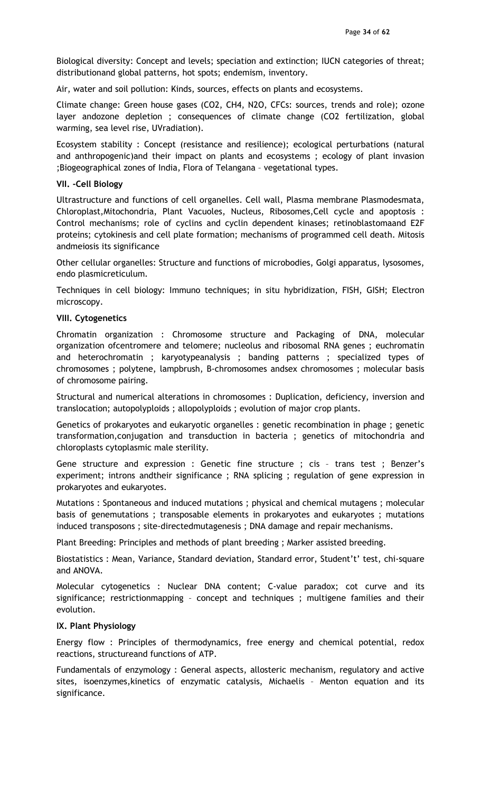Biological diversity: Concept and levels; speciation and extinction; IUCN categories of threat; distributionand global patterns, hot spots; endemism, inventory.

Air, water and soil pollution: Kinds, sources, effects on plants and ecosystems.

Climate change: Green house gases (CO2, CH4, N2O, CFCs: sources, trends and role); ozone layer andozone depletion ; consequences of climate change (CO2 fertilization, global warming, sea level rise, UVradiation).

Ecosystem stability : Concept (resistance and resilience); ecological perturbations (natural and anthropogenic)and their impact on plants and ecosystems ; ecology of plant invasion ;Biogeographical zones of India, Flora of Telangana – vegetational types.

### VII. -Cell Biology

Ultrastructure and functions of cell organelles. Cell wall, Plasma membrane Plasmodesmata, Chloroplast,Mitochondria, Plant Vacuoles, Nucleus, Ribosomes,Cell cycle and apoptosis : Control mechanisms; role of cyclins and cyclin dependent kinases; retinoblastomaand E2F proteins; cytokinesis and cell plate formation; mechanisms of programmed cell death. Mitosis andmeiosis its significance

Other cellular organelles: Structure and functions of microbodies, Golgi apparatus, lysosomes, endo plasmicreticulum.

Techniques in cell biology: Immuno techniques; in situ hybridization, FISH, GISH; Electron microscopy.

#### VIII. Cytogenetics

Chromatin organization : Chromosome structure and Packaging of DNA, molecular organization ofcentromere and telomere; nucleolus and ribosomal RNA genes ; euchromatin and heterochromatin ; karyotypeanalysis ; banding patterns ; specialized types of chromosomes ; polytene, lampbrush, B-chromosomes andsex chromosomes ; molecular basis of chromosome pairing.

Structural and numerical alterations in chromosomes : Duplication, deficiency, inversion and translocation; autopolyploids ; allopolyploids ; evolution of major crop plants.

Genetics of prokaryotes and eukaryotic organelles : genetic recombination in phage ; genetic transformation,conjugation and transduction in bacteria ; genetics of mitochondria and chloroplasts cytoplasmic male sterility.

Gene structure and expression : Genetic fine structure ; cis – trans test ; Benzer's experiment; introns andtheir significance ; RNA splicing ; regulation of gene expression in prokaryotes and eukaryotes.

Mutations : Spontaneous and induced mutations ; physical and chemical mutagens ; molecular basis of genemutations ; transposable elements in prokaryotes and eukaryotes ; mutations induced transposons ; site-directedmutagenesis ; DNA damage and repair mechanisms.

Plant Breeding: Principles and methods of plant breeding ; Marker assisted breeding.

Biostatistics : Mean, Variance, Standard deviation, Standard error, Student't' test, chi-square and ANOVA.

Molecular cytogenetics : Nuclear DNA content; C-value paradox; cot curve and its significance; restrictionmapping – concept and techniques ; multigene families and their evolution.

#### IX. Plant Physiology

Energy flow : Principles of thermodynamics, free energy and chemical potential, redox reactions, structureand functions of ATP.

Fundamentals of enzymology : General aspects, allosteric mechanism, regulatory and active sites, isoenzymes,kinetics of enzymatic catalysis, Michaelis – Menton equation and its significance.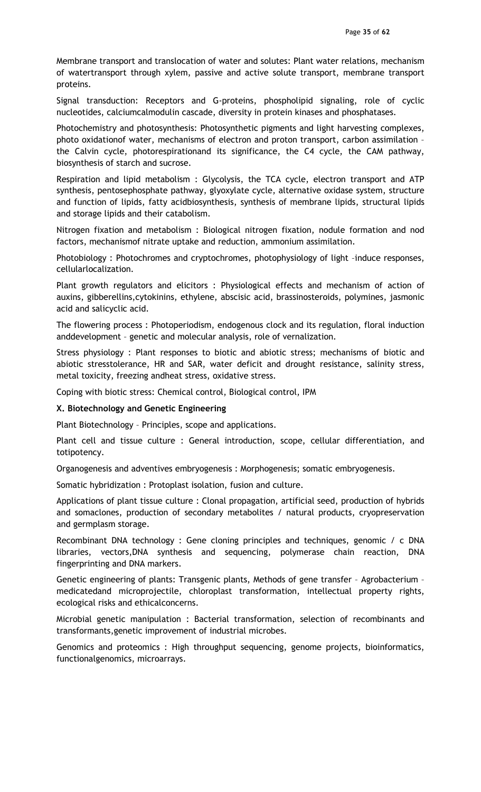Membrane transport and translocation of water and solutes: Plant water relations, mechanism of watertransport through xylem, passive and active solute transport, membrane transport proteins.

Signal transduction: Receptors and G-proteins, phospholipid signaling, role of cyclic nucleotides, calciumcalmodulin cascade, diversity in protein kinases and phosphatases.

Photochemistry and photosynthesis: Photosynthetic pigments and light harvesting complexes, photo oxidationof water, mechanisms of electron and proton transport, carbon assimilation – the Calvin cycle, photorespirationand its significance, the C4 cycle, the CAM pathway, biosynthesis of starch and sucrose.

Respiration and lipid metabolism : Glycolysis, the TCA cycle, electron transport and ATP synthesis, pentosephosphate pathway, glyoxylate cycle, alternative oxidase system, structure and function of lipids, fatty acidbiosynthesis, synthesis of membrane lipids, structural lipids and storage lipids and their catabolism.

Nitrogen fixation and metabolism : Biological nitrogen fixation, nodule formation and nod factors, mechanismof nitrate uptake and reduction, ammonium assimilation.

Photobiology : Photochromes and cryptochromes, photophysiology of light –induce responses, cellularlocalization.

Plant growth regulators and elicitors : Physiological effects and mechanism of action of auxins, gibberellins,cytokinins, ethylene, abscisic acid, brassinosteroids, polymines, jasmonic acid and salicyclic acid.

The flowering process : Photoperiodism, endogenous clock and its regulation, floral induction anddevelopment – genetic and molecular analysis, role of vernalization.

Stress physiology : Plant responses to biotic and abiotic stress; mechanisms of biotic and abiotic stresstolerance, HR and SAR, water deficit and drought resistance, salinity stress, metal toxicity, freezing andheat stress, oxidative stress.

Coping with biotic stress: Chemical control, Biological control, IPM

### X. Biotechnology and Genetic Engineering

Plant Biotechnology – Principles, scope and applications.

Plant cell and tissue culture : General introduction, scope, cellular differentiation, and totipotency.

Organogenesis and adventives embryogenesis : Morphogenesis; somatic embryogenesis.

Somatic hybridization : Protoplast isolation, fusion and culture.

Applications of plant tissue culture : Clonal propagation, artificial seed, production of hybrids and somaclones, production of secondary metabolites / natural products, cryopreservation and germplasm storage.

Recombinant DNA technology : Gene cloning principles and techniques, genomic / c DNA libraries, vectors,DNA synthesis and sequencing, polymerase chain reaction, DNA fingerprinting and DNA markers.

Genetic engineering of plants: Transgenic plants, Methods of gene transfer – Agrobacterium – medicatedand microprojectile, chloroplast transformation, intellectual property rights, ecological risks and ethicalconcerns.

Microbial genetic manipulation : Bacterial transformation, selection of recombinants and transformants,genetic improvement of industrial microbes.

Genomics and proteomics : High throughput sequencing, genome projects, bioinformatics, functionalgenomics, microarrays.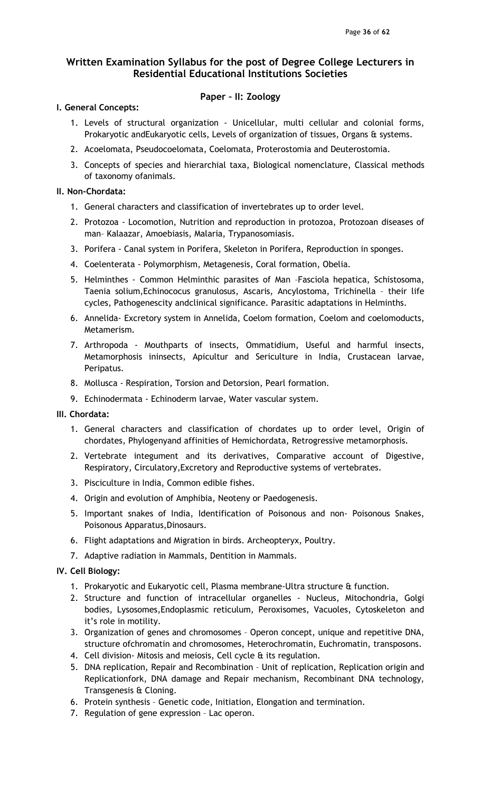## Paper – II: Zoology

## I. General Concepts:

- 1. Levels of structural organization Unicellular, multi cellular and colonial forms, Prokaryotic andEukaryotic cells, Levels of organization of tissues, Organs & systems.
- 2. Acoelomata, Pseudocoelomata, Coelomata, Proterostomia and Deuterostomia.
- 3. Concepts of species and hierarchial taxa, Biological nomenclature, Classical methods of taxonomy ofanimals.

### II. Non-Chordata:

- 1. General characters and classification of invertebrates up to order level.
- 2. Protozoa Locomotion, Nutrition and reproduction in protozoa, Protozoan diseases of man– Kalaazar, Amoebiasis, Malaria, Trypanosomiasis.
- 3. Porifera Canal system in Porifera, Skeleton in Porifera, Reproduction in sponges.
- 4. Coelenterata Polymorphism, Metagenesis, Coral formation, Obelia.
- 5. Helminthes Common Helminthic parasites of Man –Fasciola hepatica, Schistosoma, Taenia solium,Echinococus granulosus, Ascaris, Ancylostoma, Trichinella – their life cycles, Pathogenescity andclinical significance. Parasitic adaptations in Helminths.
- 6. Annelida- Excretory system in Annelida, Coelom formation, Coelom and coelomoducts, Metamerism.
- 7. Arthropoda Mouthparts of insects, Ommatidium, Useful and harmful insects, Metamorphosis ininsects, Apicultur and Sericulture in India, Crustacean larvae, Peripatus.
- 8. Mollusca Respiration, Torsion and Detorsion, Pearl formation.
- 9. Echinodermata Echinoderm larvae, Water vascular system.

## III. Chordata:

- 1. General characters and classification of chordates up to order level, Origin of chordates, Phylogenyand affinities of Hemichordata, Retrogressive metamorphosis.
- 2. Vertebrate integument and its derivatives, Comparative account of Digestive, Respiratory, Circulatory,Excretory and Reproductive systems of vertebrates.
- 3. Pisciculture in India, Common edible fishes.
- 4. Origin and evolution of Amphibia, Neoteny or Paedogenesis.
- 5. Important snakes of India, Identification of Poisonous and non- Poisonous Snakes, Poisonous Apparatus, Dinosaurs.
- 6. Flight adaptations and Migration in birds. Archeopteryx, Poultry.
- 7. Adaptive radiation in Mammals, Dentition in Mammals.

## IV. Cell Biology:

- 1. Prokaryotic and Eukaryotic cell, Plasma membrane-Ultra structure & function.
- 2. Structure and function of intracellular organelles Nucleus, Mitochondria, Golgi bodies, Lysosomes,Endoplasmic reticulum, Peroxisomes, Vacuoles, Cytoskeleton and it's role in motility.
- 3. Organization of genes and chromosomes Operon concept, unique and repetitive DNA, structure ofchromatin and chromosomes, Heterochromatin, Euchromatin, transposons.
- 4. Cell division- Mitosis and meiosis, Cell cycle & its regulation.
- 5. DNA replication, Repair and Recombination Unit of replication, Replication origin and Replicationfork, DNA damage and Repair mechanism, Recombinant DNA technology, Transgenesis & Cloning.
- 6. Protein synthesis Genetic code, Initiation, Elongation and termination.
- 7. Regulation of gene expression Lac operon.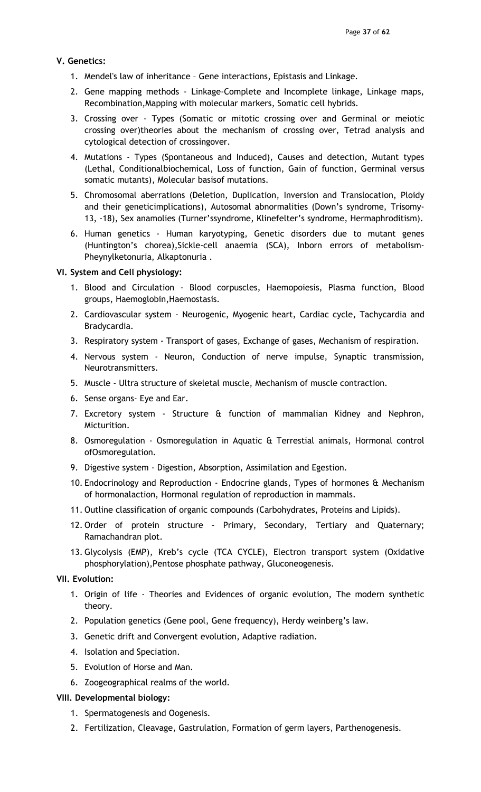### V. Genetics:

- 1. Mendel's law of inheritance Gene interactions, Epistasis and Linkage.
- 2. Gene mapping methods Linkage-Complete and Incomplete linkage, Linkage maps, Recombination,Mapping with molecular markers, Somatic cell hybrids.
- 3. Crossing over Types (Somatic or mitotic crossing over and Germinal or meiotic crossing over)theories about the mechanism of crossing over, Tetrad analysis and cytological detection of crossingover.
- 4. Mutations Types (Spontaneous and Induced), Causes and detection, Mutant types (Lethal, Conditionalbiochemical, Loss of function, Gain of function, Germinal versus somatic mutants), Molecular basisof mutations.
- 5. Chromosomal aberrations (Deletion, Duplication, Inversion and Translocation, Ploidy and their geneticimplications), Autosomal abnormalities (Down's syndrome, Trisomy-13, -18), Sex anamolies (Turner'ssyndrome, Klinefelter's syndrome, Hermaphroditism).
- 6. Human genetics Human karyotyping, Genetic disorders due to mutant genes (Huntington's chorea),Sickle-cell anaemia (SCA), Inborn errors of metabolism-Pheynylketonuria, Alkaptonuria .

### VI. System and Cell physiology:

- 1. Blood and Circulation Blood corpuscles, Haemopoiesis, Plasma function, Blood groups, Haemoglobin,Haemostasis.
- 2. Cardiovascular system Neurogenic, Myogenic heart, Cardiac cycle, Tachycardia and Bradycardia.
- 3. Respiratory system Transport of gases, Exchange of gases, Mechanism of respiration.
- 4. Nervous system Neuron, Conduction of nerve impulse, Synaptic transmission, Neurotransmitters.
- 5. Muscle Ultra structure of skeletal muscle, Mechanism of muscle contraction.
- 6. Sense organs- Eye and Ear.
- 7. Excretory system Structure & function of mammalian Kidney and Nephron, Micturition.
- 8. Osmoregulation Osmoregulation in Aquatic & Terrestial animals, Hormonal control ofOsmoregulation.
- 9. Digestive system Digestion, Absorption, Assimilation and Egestion.
- 10. Endocrinology and Reproduction Endocrine glands, Types of hormones & Mechanism of hormonalaction, Hormonal regulation of reproduction in mammals.
- 11. Outline classification of organic compounds (Carbohydrates, Proteins and Lipids).
- 12. Order of protein structure Primary, Secondary, Tertiary and Quaternary; Ramachandran plot.
- 13. Glycolysis (EMP), Kreb's cycle (TCA CYCLE), Electron transport system (Oxidative phosphorylation),Pentose phosphate pathway, Gluconeogenesis.

## VII. Evolution:

- 1. Origin of life Theories and Evidences of organic evolution, The modern synthetic theory.
- 2. Population genetics (Gene pool, Gene frequency), Herdy weinberg's law.
- 3. Genetic drift and Convergent evolution, Adaptive radiation.
- 4. Isolation and Speciation.
- 5. Evolution of Horse and Man.
- 6. Zoogeographical realms of the world.

### VIII. Developmental biology:

- 1. Spermatogenesis and Oogenesis.
- 2. Fertilization, Cleavage, Gastrulation, Formation of germ layers, Parthenogenesis.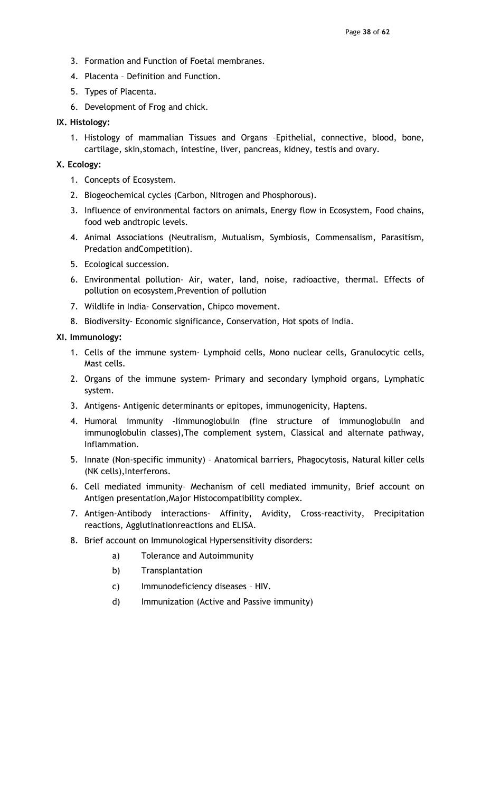- 3. Formation and Function of Foetal membranes.
- 4. Placenta Definition and Function.
- 5. Types of Placenta.
- 6. Development of Frog and chick.

### IX. Histology:

1. Histology of mammalian Tissues and Organs –Epithelial, connective, blood, bone, cartilage, skin,stomach, intestine, liver, pancreas, kidney, testis and ovary.

### X. Ecology:

- 1. Concepts of Ecosystem.
- 2. Biogeochemical cycles (Carbon, Nitrogen and Phosphorous).
- 3. Influence of environmental factors on animals, Energy flow in Ecosystem, Food chains, food web andtropic levels.
- 4. Animal Associations (Neutralism, Mutualism, Symbiosis, Commensalism, Parasitism, Predation andCompetition).
- 5. Ecological succession.
- 6. Environmental pollution- Air, water, land, noise, radioactive, thermal. Effects of pollution on ecosystem,Prevention of pollution
- 7. Wildlife in India- Conservation, Chipco movement.
- 8. Biodiversity- Economic significance, Conservation, Hot spots of India.

### XI. Immunology:

- 1. Cells of the immune system- Lymphoid cells, Mono nuclear cells, Granulocytic cells, Mast cells.
- 2. Organs of the immune system- Primary and secondary lymphoid organs, Lymphatic system.
- 3. Antigens- Antigenic determinants or epitopes, immunogenicity, Haptens.
- 4. Humoral immunity -Iimmunoglobulin (fine structure of immunoglobulin and immunoglobulin classes),The complement system, Classical and alternate pathway, Inflammation.
- 5. Innate (Non-specific immunity) Anatomical barriers, Phagocytosis, Natural killer cells (NK cells),Interferons.
- 6. Cell mediated immunity– Mechanism of cell mediated immunity, Brief account on Antigen presentation,Major Histocompatibility complex.
- 7. Antigen-Antibody interactions- Affinity, Avidity, Cross-reactivity, Precipitation reactions, Agglutinationreactions and ELISA.
- 8. Brief account on Immunological Hypersensitivity disorders:
	- a) Tolerance and Autoimmunity
	- b) Transplantation
	- c) Immunodeficiency diseases HIV.
	- d) Immunization (Active and Passive immunity)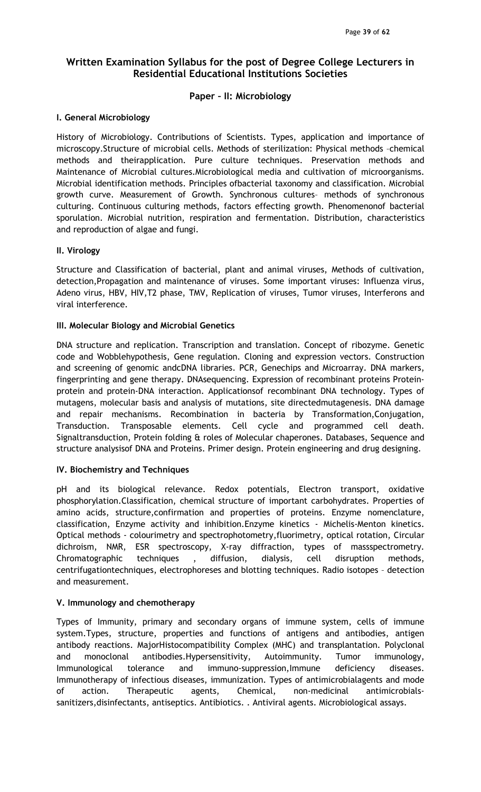## Paper – II: Microbiology

## I. General Microbiology

History of Microbiology. Contributions of Scientists. Types, application and importance of microscopy.Structure of microbial cells. Methods of sterilization: Physical methods –chemical methods and theirapplication. Pure culture techniques. Preservation methods and Maintenance of Microbial cultures.Microbiological media and cultivation of microorganisms. Microbial identification methods. Principles ofbacterial taxonomy and classification. Microbial growth curve. Measurement of Growth. Synchronous cultures– methods of synchronous culturing. Continuous culturing methods, factors effecting growth. Phenomenonof bacterial sporulation. Microbial nutrition, respiration and fermentation. Distribution, characteristics and reproduction of algae and fungi.

## II. Virology

Structure and Classification of bacterial, plant and animal viruses, Methods of cultivation, detection,Propagation and maintenance of viruses. Some important viruses: Influenza virus, Adeno virus, HBV, HIV,T2 phase, TMV, Replication of viruses, Tumor viruses, Interferons and viral interference.

## III. Molecular Biology and Microbial Genetics

DNA structure and replication. Transcription and translation. Concept of ribozyme. Genetic code and Wobblehypothesis, Gene regulation. Cloning and expression vectors. Construction and screening of genomic andcDNA libraries. PCR, Genechips and Microarray. DNA markers, fingerprinting and gene therapy. DNAsequencing. Expression of recombinant proteins Proteinprotein and protein-DNA interaction. Applicationsof recombinant DNA technology. Types of mutagens, molecular basis and analysis of mutations, site directedmutagenesis. DNA damage and repair mechanisms. Recombination in bacteria by Transformation,Conjugation, Transduction. Transposable elements. Cell cycle and programmed cell death. Signaltransduction, Protein folding & roles of Molecular chaperones. Databases, Sequence and structure analysisof DNA and Proteins. Primer design. Protein engineering and drug designing.

## IV. Biochemistry and Techniques

pH and its biological relevance. Redox potentials, Electron transport, oxidative phosphorylation.Classification, chemical structure of important carbohydrates. Properties of amino acids, structure,confirmation and properties of proteins. Enzyme nomenclature, classification, Enzyme activity and inhibition.Enzyme kinetics - Michelis-Menton kinetics. Optical methods - colourimetry and spectrophotometry,fluorimetry, optical rotation, Circular dichroism, NMR, ESR spectroscopy, X-ray diffraction, types of massspectrometry. Chromatographic techniques , diffusion, dialysis, cell disruption methods, centrifugationtechniques, electrophoreses and blotting techniques. Radio isotopes – detection and measurement.

## V. Immunology and chemotherapy

Types of Immunity, primary and secondary organs of immune system, cells of immune system.Types, structure, properties and functions of antigens and antibodies, antigen antibody reactions. MajorHistocompatibility Complex (MHC) and transplantation. Polyclonal and monoclonal antibodies.Hypersensitivity, Autoimmunity. Tumor immunology, Immunological tolerance and immuno-suppression,Immune deficiency diseases. Immunotherapy of infectious diseases, immunization. Types of antimicrobialagents and mode of action. Therapeutic agents, Chemical, non-medicinal antimicrobialssanitizers,disinfectants, antiseptics. Antibiotics. . Antiviral agents. Microbiological assays.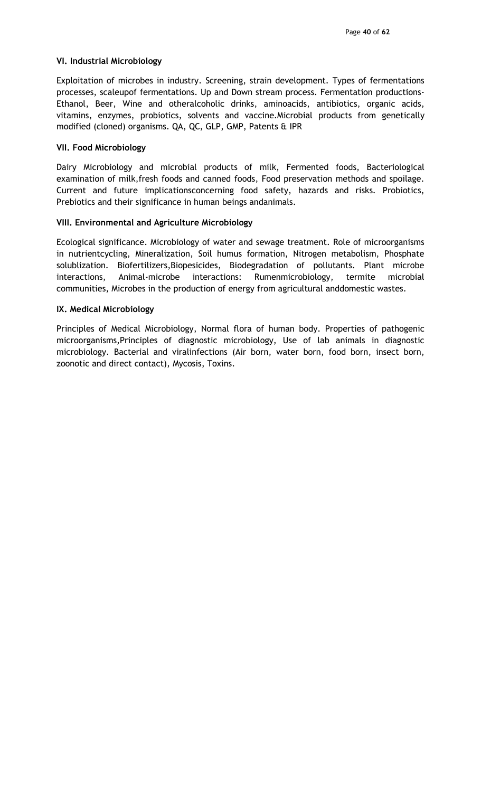### VI. Industrial Microbiology

Exploitation of microbes in industry. Screening, strain development. Types of fermentations processes, scaleupof fermentations. Up and Down stream process. Fermentation productions-Ethanol, Beer, Wine and otheralcoholic drinks, aminoacids, antibiotics, organic acids, vitamins, enzymes, probiotics, solvents and vaccine.Microbial products from genetically modified (cloned) organisms. QA, QC, GLP, GMP, Patents & IPR

### VII. Food Microbiology

Dairy Microbiology and microbial products of milk, Fermented foods, Bacteriological examination of milk,fresh foods and canned foods, Food preservation methods and spoilage. Current and future implicationsconcerning food safety, hazards and risks. Probiotics, Prebiotics and their significance in human beings andanimals.

### VIII. Environmental and Agriculture Microbiology

Ecological significance. Microbiology of water and sewage treatment. Role of microorganisms in nutrientcycling, Mineralization, Soil humus formation, Nitrogen metabolism, Phosphate solublization. Biofertilizers,Biopesicides, Biodegradation of pollutants. Plant microbe interactions, Animal-microbe interactions: Rumenmicrobiology, termite microbial communities, Microbes in the production of energy from agricultural anddomestic wastes.

### IX. Medical Microbiology

Principles of Medical Microbiology, Normal flora of human body. Properties of pathogenic microorganisms,Principles of diagnostic microbiology, Use of lab animals in diagnostic microbiology. Bacterial and viralinfections (Air born, water born, food born, insect born, zoonotic and direct contact), Mycosis, Toxins.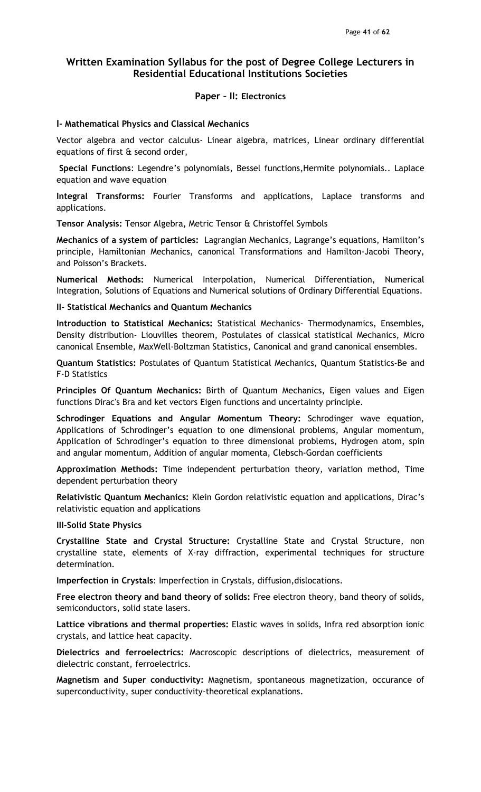# Paper – II: Electronics

#### I- Mathematical Physics and Classical Mechanics

Vector algebra and vector calculus- Linear algebra, matrices, Linear ordinary differential equations of first & second order,

 Special Functions: Legendre's polynomials, Bessel functions,Hermite polynomials.. Laplace equation and wave equation

Integral Transforms: Fourier Transforms and applications, Laplace transforms and applications.

Tensor Analysis: Tensor Algebra, Metric Tensor & Christoffel Symbols

Mechanics of a system of particles: Lagrangian Mechanics, Lagrange's equations, Hamilton's principle, Hamiltonian Mechanics, canonical Transformations and Hamilton-Jacobi Theory, and Poisson's Brackets.

Numerical Methods: Numerical Interpolation, Numerical Differentiation, Numerical Integration, Solutions of Equations and Numerical solutions of Ordinary Differential Equations.

II- Statistical Mechanics and Quantum Mechanics

Introduction to Statistical Mechanics: Statistical Mechanics- Thermodynamics, Ensembles, Density distribution- Liouvilles theorem, Postulates of classical statistical Mechanics, Micro canonical Ensemble, MaxWell-Boltzman Statistics, Canonical and grand canonical ensembles.

Quantum Statistics: Postulates of Quantum Statistical Mechanics, Quantum Statistics-Be and F-D Statistics

Principles Of Quantum Mechanics: Birth of Quantum Mechanics, Eigen values and Eigen functions Dirac's Bra and ket vectors Eigen functions and uncertainty principle.

Schrodinger Equations and Angular Momentum Theory: Schrodinger wave equation, Applications of Schrodinger's equation to one dimensional problems, Angular momentum, Application of Schrodinger's equation to three dimensional problems, Hydrogen atom, spin and angular momentum, Addition of angular momenta, Clebsch-Gordan coefficients

Approximation Methods: Time independent perturbation theory, variation method, Time dependent perturbation theory

Relativistic Quantum Mechanics: Klein Gordon relativistic equation and applications, Dirac's relativistic equation and applications

III-Solid State Physics

Crystalline State and Crystal Structure: Crystalline State and Crystal Structure, non crystalline state, elements of X-ray diffraction, experimental techniques for structure determination.

Imperfection in Crystals: Imperfection in Crystals, diffusion,dislocations.

Free electron theory and band theory of solids: Free electron theory, band theory of solids, semiconductors, solid state lasers.

Lattice vibrations and thermal properties: Elastic waves in solids, Infra red absorption ionic crystals, and lattice heat capacity.

Dielectrics and ferroelectrics: Macroscopic descriptions of dielectrics, measurement of dielectric constant, ferroelectrics.

Magnetism and Super conductivity: Magnetism, spontaneous magnetization, occurance of superconductivity, super conductivity-theoretical explanations.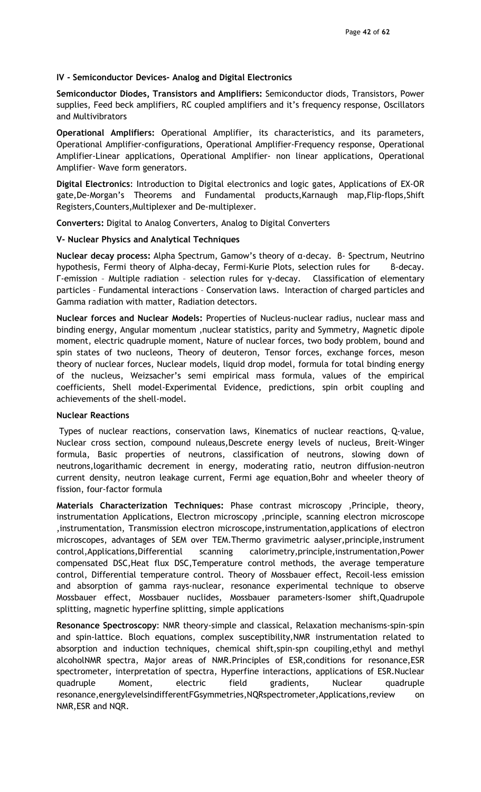### IV - Semiconductor Devices- Analog and Digital Electronics

Semiconductor Diodes, Transistors and Amplifiers: Semiconductor diods, Transistors, Power supplies, Feed beck amplifiers, RC coupled amplifiers and it's frequency response, Oscillators and Multivibrators

Operational Amplifiers: Operational Amplifier, its characteristics, and its parameters, Operational Amplifier-configurations, Operational Amplifier-Frequency response, Operational Amplifier-Linear applications, Operational Amplifier- non linear applications, Operational Amplifier- Wave form generators.

Digital Electronics: Introduction to Digital electronics and logic gates, Applications of EX-OR gate,De-Morgan's Theorems and Fundamental products,Karnaugh map,Flip-flops,Shift Registers,Counters,Multiplexer and De-multiplexer.

Converters: Digital to Analog Converters, Analog to Digital Converters

### V- Nuclear Physics and Analytical Techniques

Nuclear decay process: Alpha Spectrum, Gamow's theory of α-decay. β- Spectrum, Neutrino hypothesis, Fermi theory of Alpha-decay, Fermi-Kurie Plots, selection rules for B-decay. Γ-emission – Multiple radiation – selection rules for γ-decay. Classification of elementary particles – Fundamental interactions – Conservation laws. Interaction of charged particles and Gamma radiation with matter, Radiation detectors.

Nuclear forces and Nuclear Models: Properties of Nucleus-nuclear radius, nuclear mass and binding energy, Angular momentum ,nuclear statistics, parity and Symmetry, Magnetic dipole moment, electric quadruple moment, Nature of nuclear forces, two body problem, bound and spin states of two nucleons, Theory of deuteron, Tensor forces, exchange forces, meson theory of nuclear forces, Nuclear models, liquid drop model, formula for total binding energy of the nucleus, Weizsacher's semi empirical mass formula, values of the empirical coefficients, Shell model-Experimental Evidence, predictions, spin orbit coupling and achievements of the shell-model.

### Nuclear Reactions

 Types of nuclear reactions, conservation laws, Kinematics of nuclear reactions, Q-value, Nuclear cross section, compound nuleaus,Descrete energy levels of nucleus, Breit-Winger formula, Basic properties of neutrons, classification of neutrons, slowing down of neutrons,logarithamic decrement in energy, moderating ratio, neutron diffusion-neutron current density, neutron leakage current, Fermi age equation,Bohr and wheeler theory of fission, four-factor formula

Materials Characterization Techniques: Phase contrast microscopy ,Principle, theory, instrumentation Applications, Electron microscopy ,principle, scanning electron microscope ,instrumentation, Transmission electron microscope,instrumentation,applications of electron microscopes, advantages of SEM over TEM.Thermo gravimetric aalyser,principle,instrument control,Applications,Differential scanning calorimetry,principle,instrumentation,Power compensated DSC,Heat flux DSC,Temperature control methods, the average temperature control, Differential temperature control. Theory of Mossbauer effect, Recoil-less emission and absorption of gamma rays-nuclear, resonance experimental technique to observe Mossbauer effect, Mossbauer nuclides, Mossbauer parameters-Isomer shift,Quadrupole splitting, magnetic hyperfine splitting, simple applications

Resonance Spectroscopy: NMR theory-simple and classical, Relaxation mechanisms-spin-spin and spin-lattice. Bloch equations, complex susceptibility,NMR instrumentation related to absorption and induction techniques, chemical shift,spin-spn coupiling,ethyl and methyl alcoholNMR spectra, Major areas of NMR.Principles of ESR,conditions for resonance,ESR spectrometer, interpretation of spectra, Hyperfine interactions, applications of ESR.Nuclear quadruple Moment, electric field gradients, Nuclear quadruple resonance,energylevelsindifferentFGsymmetries,NQRspectrometer,Applications,review on NMR,ESR and NQR.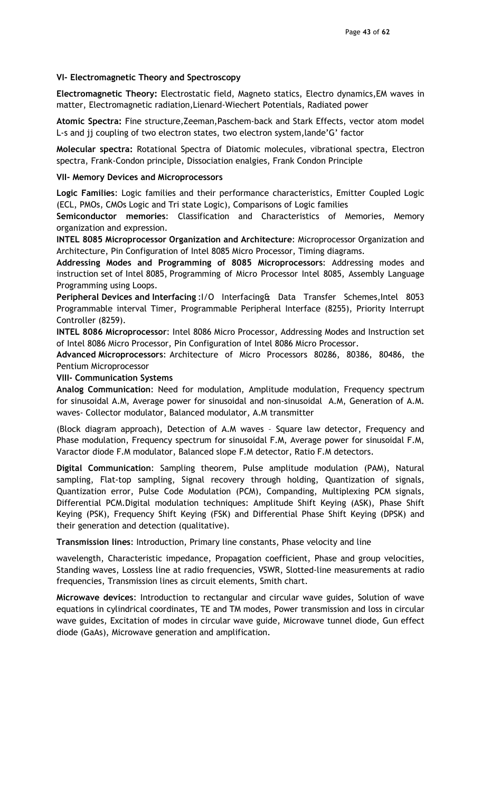### VI- Electromagnetic Theory and Spectroscopy

Electromagnetic Theory: Electrostatic field, Magneto statics, Electro dynamics,EM waves in matter, Electromagnetic radiation,Lienard-Wiechert Potentials, Radiated power

Atomic Spectra: Fine structure,Zeeman,Paschem-back and Stark Effects, vector atom model L-s and jj coupling of two electron states, two electron system,lande'G' factor

Molecular spectra: Rotational Spectra of Diatomic molecules, vibrational spectra, Electron spectra, Frank-Condon principle, Dissociation enalgies, Frank Condon Principle

### VII- Memory Devices and Microprocessors

Logic Families: Logic families and their performance characteristics, Emitter Coupled Logic (ECL, PMOs, CMOs Logic and Tri state Logic), Comparisons of Logic families

Semiconductor memories: Classification and Characteristics of Memories, Memory organization and expression.

INTEL 8085 Microprocessor Organization and Architecture: Microprocessor Organization and Architecture, Pin Configuration of Intel 8085 Micro Processor, Timing diagrams.

Addressing Modes and Programming of 8085 Microprocessors: Addressing modes and instruction set of Intel 8085, Programming of Micro Processor Intel 8085, Assembly Language Programming using Loops.

Peripheral Devices and Interfacing: I/O Interfacing& Data Transfer Schemes, Intel 8053 Programmable interval Timer, Programmable Peripheral Interface (8255), Priority Interrupt Controller (8259).

INTEL 8086 Microprocessor: Intel 8086 Micro Processor, Addressing Modes and Instruction set of Intel 8086 Micro Processor, Pin Configuration of Intel 8086 Micro Processor.

Advanced Microprocessors: Architecture of Micro Processors 80286, 80386, 80486, the Pentium Microprocessor

VIII- Communication Systems

Analog Communication: Need for modulation, Amplitude modulation, Frequency spectrum for sinusoidal A.M, Average power for sinusoidal and non-sinusoidal A.M, Generation of A.M. waves- Collector modulator, Balanced modulator, A.M transmitter

(Block diagram approach), Detection of A.M waves – Square law detector, Frequency and Phase modulation, Frequency spectrum for sinusoidal F.M, Average power for sinusoidal F.M, Varactor diode F.M modulator, Balanced slope F.M detector, Ratio F.M detectors.

Digital Communication: Sampling theorem, Pulse amplitude modulation (PAM), Natural sampling, Flat-top sampling, Signal recovery through holding, Quantization of signals, Quantization error, Pulse Code Modulation (PCM), Companding, Multiplexing PCM signals, Differential PCM.Digital modulation techniques: Amplitude Shift Keying (ASK), Phase Shift Keying (PSK), Frequency Shift Keying (FSK) and Differential Phase Shift Keying (DPSK) and their generation and detection (qualitative).

Transmission lines: Introduction, Primary line constants, Phase velocity and line

wavelength, Characteristic impedance, Propagation coefficient, Phase and group velocities, Standing waves, Lossless line at radio frequencies, VSWR, Slotted-line measurements at radio frequencies, Transmission lines as circuit elements, Smith chart.

Microwave devices: Introduction to rectangular and circular wave guides, Solution of wave equations in cylindrical coordinates, TE and TM modes, Power transmission and loss in circular wave guides, Excitation of modes in circular wave guide, Microwave tunnel diode, Gun effect diode (GaAs), Microwave generation and amplification.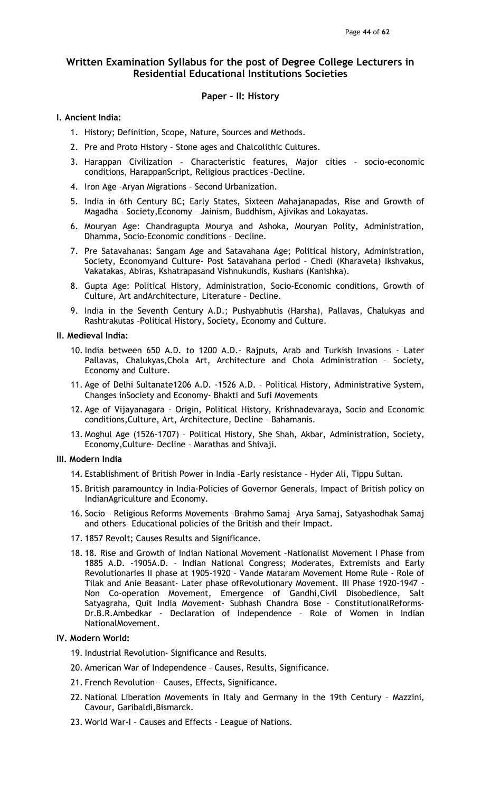### Paper – II: History

### I. Ancient India:

- 1. History; Definition, Scope, Nature, Sources and Methods.
- 2. Pre and Proto History Stone ages and Chalcolithic Cultures.
- 3. Harappan Civilization Characteristic features, Major cities socio-economic conditions, HarappanScript, Religious practices –Decline.
- 4. Iron Age –Aryan Migrations Second Urbanization.
- 5. India in 6th Century BC; Early States, Sixteen Mahajanapadas, Rise and Growth of Magadha – Society,Economy – Jainism, Buddhism, Ajivikas and Lokayatas.
- 6. Mouryan Age: Chandragupta Mourya and Ashoka, Mouryan Polity, Administration, Dhamma, Socio-Economic conditions – Decline.
- 7. Pre Satavahanas: Sangam Age and Satavahana Age; Political history, Administration, Society, Economyand Culture- Post Satavahana period – Chedi (Kharavela) Ikshvakus, Vakatakas, Abiras, Kshatrapasand Vishnukundis, Kushans (Kanishka).
- 8. Gupta Age: Political History, Administration, Socio-Economic conditions, Growth of Culture, Art andArchitecture, Literature – Decline.
- 9. India in the Seventh Century A.D.; Pushyabhutis (Harsha), Pallavas, Chalukyas and Rashtrakutas –Political History, Society, Economy and Culture.

### II. Medieval India:

- 10. India between 650 A.D. to 1200 A.D.- Rajputs, Arab and Turkish Invasions Later Pallavas, Chalukyas,Chola Art, Architecture and Chola Administration – Society, Economy and Culture.
- 11. Age of Delhi Sultanate1206 A.D. -1526 A.D. Political History, Administrative System, Changes inSociety and Economy- Bhakti and Sufi Movements
- 12. Age of Vijayanagara Origin, Political History, Krishnadevaraya, Socio and Economic conditions,Culture, Art, Architecture, Decline – Bahamanis.
- 13. Moghul Age (1526-1707) Political History, She Shah, Akbar, Administration, Society, Economy,Culture- Decline – Marathas and Shivaji.

### III. Modern India

- 14. Establishment of British Power in India –Early resistance Hyder Ali, Tippu Sultan.
- 15. British paramountcy in India-Policies of Governor Generals, Impact of British policy on IndianAgriculture and Economy.
- 16. Socio Religious Reforms Movements –Brahmo Samaj –Arya Samaj, Satyashodhak Samaj and others– Educational policies of the British and their Impact.
- 17. 1857 Revolt; Causes Results and Significance.
- 18. 18. Rise and Growth of Indian National Movement –Nationalist Movement I Phase from 1885 A.D. -1905A.D. – Indian National Congress; Moderates, Extremists and Early Revolutionaries II phase at 1905-1920 – Vande Mataram Movement Home Rule - Role of Tilak and Anie Beasant- Later phase ofRevolutionary Movement. III Phase 1920-1947 - Non Co-operation Movement, Emergence of Gandhi,Civil Disobedience, Salt Satyagraha, Quit India Movement- Subhash Chandra Bose – ConstitutionalReforms-Dr.B.R.Ambedkar - Declaration of Independence – Role of Women in Indian NationalMovement.

### IV. Modern World:

- 19. Industrial Revolution- Significance and Results.
- 20. American War of Independence Causes, Results, Significance.
- 21. French Revolution Causes, Effects, Significance.
- 22. National Liberation Movements in Italy and Germany in the 19th Century Mazzini, Cavour, Garibaldi,Bismarck.
- 23. World War-I Causes and Effects League of Nations.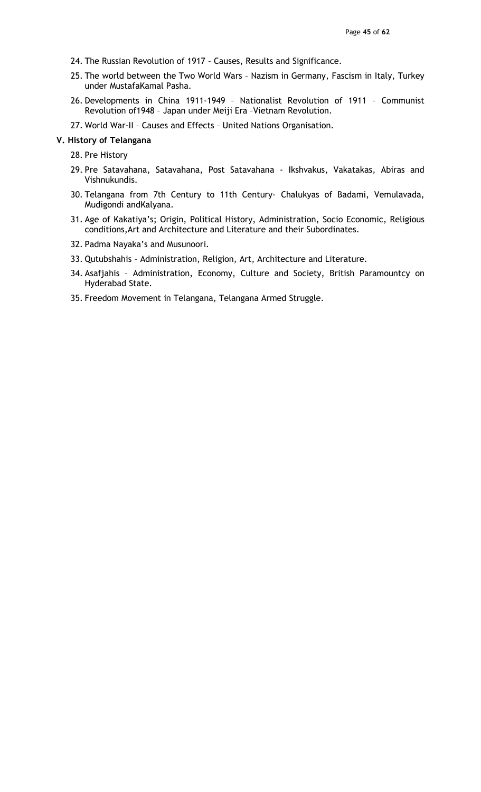- 24. The Russian Revolution of 1917 Causes, Results and Significance.
- 25. The world between the Two World Wars Nazism in Germany, Fascism in Italy, Turkey under MustafaKamal Pasha.
- 26. Developments in China 1911-1949 Nationalist Revolution of 1911 Communist Revolution of1948 – Japan under Meiji Era –Vietnam Revolution.
- 27. World War-II Causes and Effects United Nations Organisation.

#### V. History of Telangana

- 28. Pre History
- 29. Pre Satavahana, Satavahana, Post Satavahana Ikshvakus, Vakatakas, Abiras and Vishnukundis.
- 30. Telangana from 7th Century to 11th Century- Chalukyas of Badami, Vemulavada, Mudigondi andKalyana.
- 31. Age of Kakatiya's; Origin, Political History, Administration, Socio Economic, Religious conditions,Art and Architecture and Literature and their Subordinates.
- 32. Padma Nayaka's and Musunoori.
- 33. Qutubshahis Administration, Religion, Art, Architecture and Literature.
- 34. Asafjahis Administration, Economy, Culture and Society, British Paramountcy on Hyderabad State.
- 35. Freedom Movement in Telangana, Telangana Armed Struggle.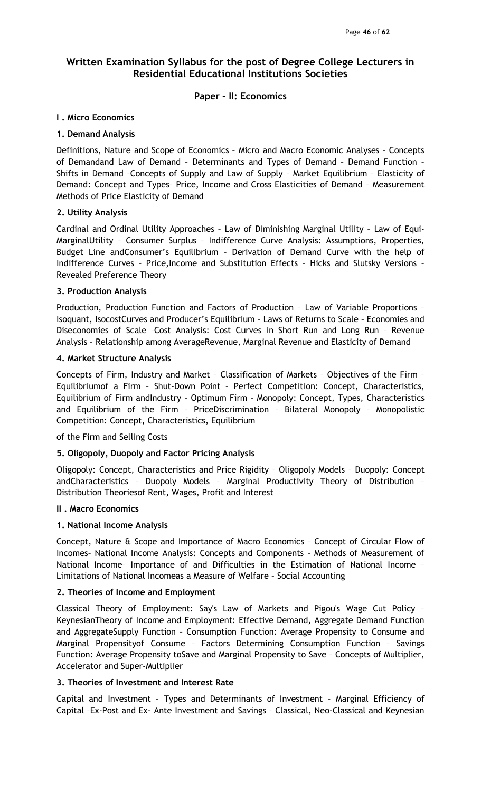# Paper – II: Economics

### I . Micro Economics

### 1. Demand Analysis

Definitions, Nature and Scope of Economics – Micro and Macro Economic Analyses – Concepts of Demandand Law of Demand – Determinants and Types of Demand – Demand Function – Shifts in Demand –Concepts of Supply and Law of Supply – Market Equilibrium – Elasticity of Demand: Concept and Types– Price, Income and Cross Elasticities of Demand – Measurement Methods of Price Elasticity of Demand

### 2. Utility Analysis

Cardinal and Ordinal Utility Approaches – Law of Diminishing Marginal Utility – Law of Equi-MarginalUtility – Consumer Surplus – Indifference Curve Analysis: Assumptions, Properties, Budget Line andConsumer's Equilibrium – Derivation of Demand Curve with the help of Indifference Curves – Price,Income and Substitution Effects – Hicks and Slutsky Versions – Revealed Preference Theory

### 3. Production Analysis

Production, Production Function and Factors of Production – Law of Variable Proportions – Isoquant, IsocostCurves and Producer's Equilibrium – Laws of Returns to Scale – Economies and Diseconomies of Scale –Cost Analysis: Cost Curves in Short Run and Long Run – Revenue Analysis – Relationship among AverageRevenue, Marginal Revenue and Elasticity of Demand

### 4. Market Structure Analysis

Concepts of Firm, Industry and Market – Classification of Markets – Objectives of the Firm – Equilibriumof a Firm – Shut-Down Point – Perfect Competition: Concept, Characteristics, Equilibrium of Firm andIndustry – Optimum Firm – Monopoly: Concept, Types, Characteristics and Equilibrium of the Firm – PriceDiscrimination – Bilateral Monopoly – Monopolistic Competition: Concept, Characteristics, Equilibrium

of the Firm and Selling Costs

## 5. Oligopoly, Duopoly and Factor Pricing Analysis

Oligopoly: Concept, Characteristics and Price Rigidity – Oligopoly Models – Duopoly: Concept andCharacteristics – Duopoly Models – Marginal Productivity Theory of Distribution – Distribution Theoriesof Rent, Wages, Profit and Interest

### II . Macro Economics

### 1. National Income Analysis

Concept, Nature & Scope and Importance of Macro Economics – Concept of Circular Flow of Incomes– National Income Analysis: Concepts and Components – Methods of Measurement of National Income– Importance of and Difficulties in the Estimation of National Income – Limitations of National Incomeas a Measure of Welfare – Social Accounting

### 2. Theories of Income and Employment

Classical Theory of Employment: Say's Law of Markets and Pigou's Wage Cut Policy – KeynesianTheory of Income and Employment: Effective Demand, Aggregate Demand Function and AggregateSupply Function – Consumption Function: Average Propensity to Consume and Marginal Propensityof Consume – Factors Determining Consumption Function – Savings Function: Average Propensity toSave and Marginal Propensity to Save – Concepts of Multiplier, Accelerator and Super-Multiplier

## 3. Theories of Investment and Interest Rate

Capital and Investment – Types and Determinants of Investment – Marginal Efficiency of Capital –Ex-Post and Ex- Ante Investment and Savings – Classical, Neo-Classical and Keynesian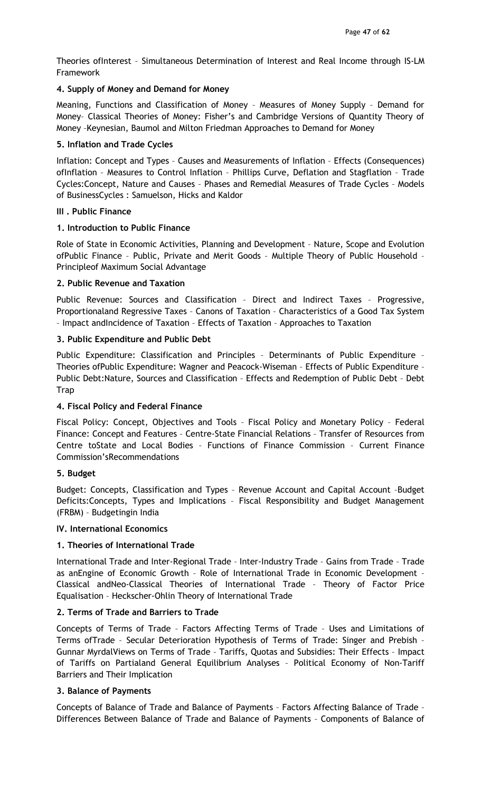Theories ofInterest – Simultaneous Determination of Interest and Real Income through IS-LM Framework

## 4. Supply of Money and Demand for Money

Meaning, Functions and Classification of Money – Measures of Money Supply – Demand for Money– Classical Theories of Money: Fisher's and Cambridge Versions of Quantity Theory of Money –Keynesian, Baumol and Milton Friedman Approaches to Demand for Money

## 5. Inflation and Trade Cycles

Inflation: Concept and Types – Causes and Measurements of Inflation – Effects (Consequences) ofInflation – Measures to Control Inflation – Phillips Curve, Deflation and Stagflation – Trade Cycles:Concept, Nature and Causes – Phases and Remedial Measures of Trade Cycles – Models of BusinessCycles : Samuelson, Hicks and Kaldor

## III . Public Finance

## 1. Introduction to Public Finance

Role of State in Economic Activities, Planning and Development – Nature, Scope and Evolution ofPublic Finance – Public, Private and Merit Goods – Multiple Theory of Public Household – Principleof Maximum Social Advantage

## 2. Public Revenue and Taxation

Public Revenue: Sources and Classification – Direct and Indirect Taxes – Progressive, Proportionaland Regressive Taxes – Canons of Taxation – Characteristics of a Good Tax System – Impact andIncidence of Taxation – Effects of Taxation – Approaches to Taxation

## 3. Public Expenditure and Public Debt

Public Expenditure: Classification and Principles – Determinants of Public Expenditure – Theories ofPublic Expenditure: Wagner and Peacock-Wiseman – Effects of Public Expenditure – Public Debt:Nature, Sources and Classification – Effects and Redemption of Public Debt – Debt **Trap** 

# 4. Fiscal Policy and Federal Finance

Fiscal Policy: Concept, Objectives and Tools – Fiscal Policy and Monetary Policy – Federal Finance: Concept and Features – Centre-State Financial Relations – Transfer of Resources from Centre toState and Local Bodies – Functions of Finance Commission – Current Finance Commission'sRecommendations

# 5. Budget

Budget: Concepts, Classification and Types – Revenue Account and Capital Account –Budget Deficits:Concepts, Types and Implications – Fiscal Responsibility and Budget Management (FRBM) – Budgetingin India

## IV. International Economics

# 1. Theories of International Trade

International Trade and Inter-Regional Trade – Inter-Industry Trade – Gains from Trade – Trade as anEngine of Economic Growth – Role of International Trade in Economic Development – Classical andNeo-Classical Theories of International Trade – Theory of Factor Price Equalisation – Heckscher-Ohlin Theory of International Trade

# 2. Terms of Trade and Barriers to Trade

Concepts of Terms of Trade – Factors Affecting Terms of Trade – Uses and Limitations of Terms ofTrade – Secular Deterioration Hypothesis of Terms of Trade: Singer and Prebish – Gunnar MyrdalViews on Terms of Trade – Tariffs, Quotas and Subsidies: Their Effects – Impact of Tariffs on Partialand General Equilibrium Analyses – Political Economy of Non-Tariff Barriers and Their Implication

## 3. Balance of Payments

Concepts of Balance of Trade and Balance of Payments – Factors Affecting Balance of Trade – Differences Between Balance of Trade and Balance of Payments – Components of Balance of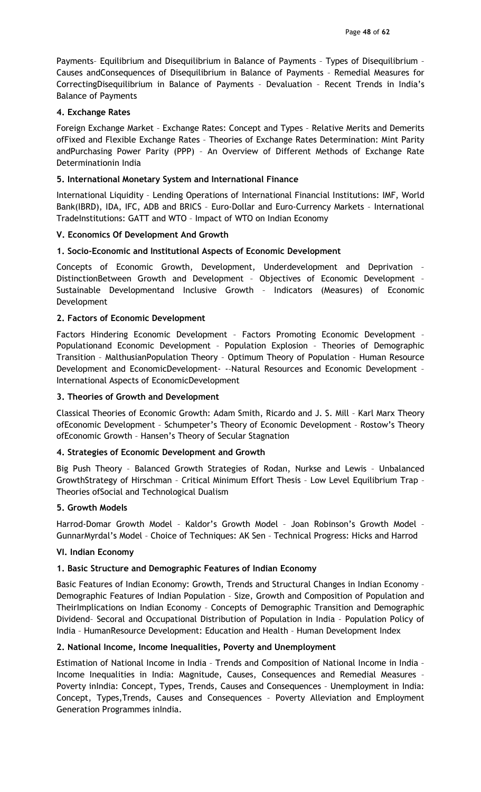Payments– Equilibrium and Disequilibrium in Balance of Payments – Types of Disequilibrium – Causes andConsequences of Disequilibrium in Balance of Payments – Remedial Measures for CorrectingDisequilibrium in Balance of Payments – Devaluation – Recent Trends in India's Balance of Payments

### 4. Exchange Rates

Foreign Exchange Market – Exchange Rates: Concept and Types – Relative Merits and Demerits ofFixed and Flexible Exchange Rates – Theories of Exchange Rates Determination: Mint Parity andPurchasing Power Parity (PPP) – An Overview of Different Methods of Exchange Rate Determinationin India

### 5. International Monetary System and International Finance

International Liquidity – Lending Operations of International Financial Institutions: IMF, World Bank(IBRD), IDA, IFC, ADB and BRICS – Euro-Dollar and Euro-Currency Markets – International TradeInstitutions: GATT and WTO – Impact of WTO on Indian Economy

## V. Economics Of Development And Growth

### 1. Socio-Economic and Institutional Aspects of Economic Development

Concepts of Economic Growth, Development, Underdevelopment and Deprivation – DistinctionBetween Growth and Development – Objectives of Economic Development – Sustainable Developmentand Inclusive Growth – Indicators (Measures) of Economic Development

### 2. Factors of Economic Development

Factors Hindering Economic Development – Factors Promoting Economic Development – Populationand Economic Development – Population Explosion – Theories of Demographic Transition – MalthusianPopulation Theory – Optimum Theory of Population – Human Resource Development and EconomicDevelopment- -–Natural Resources and Economic Development – International Aspects of EconomicDevelopment

### 3. Theories of Growth and Development

Classical Theories of Economic Growth: Adam Smith, Ricardo and J. S. Mill – Karl Marx Theory ofEconomic Development – Schumpeter's Theory of Economic Development – Rostow's Theory ofEconomic Growth – Hansen's Theory of Secular Stagnation

## 4. Strategies of Economic Development and Growth

Big Push Theory – Balanced Growth Strategies of Rodan, Nurkse and Lewis – Unbalanced GrowthStrategy of Hirschman – Critical Minimum Effort Thesis – Low Level Equilibrium Trap – Theories ofSocial and Technological Dualism

### 5. Growth Models

Harrod-Domar Growth Model – Kaldor's Growth Model – Joan Robinson's Growth Model – GunnarMyrdal's Model – Choice of Techniques: AK Sen – Technical Progress: Hicks and Harrod

### VI. Indian Economy

## 1. Basic Structure and Demographic Features of Indian Economy

Basic Features of Indian Economy: Growth, Trends and Structural Changes in Indian Economy – Demographic Features of Indian Population – Size, Growth and Composition of Population and TheirImplications on Indian Economy – Concepts of Demographic Transition and Demographic Dividend– Secoral and Occupational Distribution of Population in India – Population Policy of India – HumanResource Development: Education and Health – Human Development Index

## 2. National Income, Income Inequalities, Poverty and Unemployment

Estimation of National Income in India – Trends and Composition of National Income in India – Income Inequalities in India: Magnitude, Causes, Consequences and Remedial Measures – Poverty inIndia: Concept, Types, Trends, Causes and Consequences - Unemployment in India: Concept, Types,Trends, Causes and Consequences – Poverty Alleviation and Employment Generation Programmes inIndia.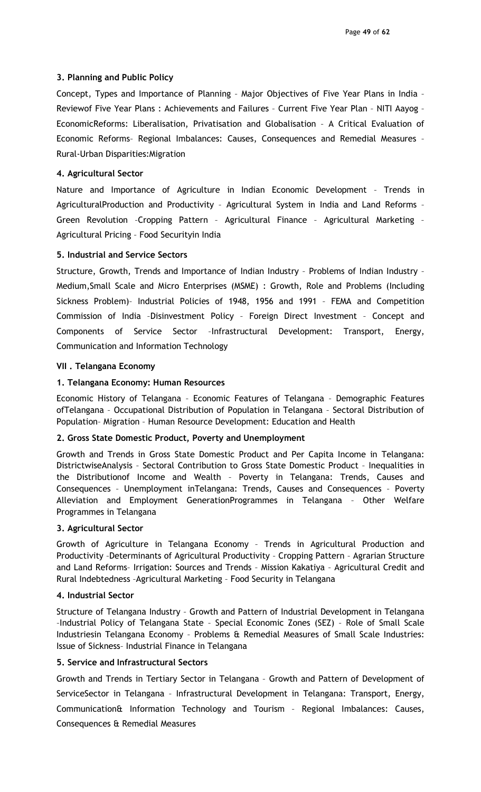### 3. Planning and Public Policy

Concept, Types and Importance of Planning – Major Objectives of Five Year Plans in India – Reviewof Five Year Plans : Achievements and Failures – Current Five Year Plan – NITI Aayog – EconomicReforms: Liberalisation, Privatisation and Globalisation – A Critical Evaluation of Economic Reforms– Regional Imbalances: Causes, Consequences and Remedial Measures – Rural-Urban Disparities:Migration

### 4. Agricultural Sector

Nature and Importance of Agriculture in Indian Economic Development – Trends in AgriculturalProduction and Productivity – Agricultural System in India and Land Reforms – Green Revolution –Cropping Pattern – Agricultural Finance – Agricultural Marketing – Agricultural Pricing – Food Securityin India

### 5. Industrial and Service Sectors

Structure, Growth, Trends and Importance of Indian Industry – Problems of Indian Industry – Medium,Small Scale and Micro Enterprises (MSME) : Growth, Role and Problems (Including Sickness Problem)– Industrial Policies of 1948, 1956 and 1991 – FEMA and Competition Commission of India –Disinvestment Policy – Foreign Direct Investment – Concept and Components of Service Sector –Infrastructural Development: Transport, Energy, Communication and Information Technology

### VII . Telangana Economy

### 1. Telangana Economy: Human Resources

Economic History of Telangana – Economic Features of Telangana – Demographic Features ofTelangana – Occupational Distribution of Population in Telangana – Sectoral Distribution of Population– Migration – Human Resource Development: Education and Health

### 2. Gross State Domestic Product, Poverty and Unemployment

Growth and Trends in Gross State Domestic Product and Per Capita Income in Telangana: DistrictwiseAnalysis – Sectoral Contribution to Gross State Domestic Product – Inequalities in the Distributionof Income and Wealth – Poverty in Telangana: Trends, Causes and Consequences – Unemployment inTelangana: Trends, Causes and Consequences – Poverty Alleviation and Employment GenerationProgrammes in Telangana – Other Welfare Programmes in Telangana

### 3. Agricultural Sector

Growth of Agriculture in Telangana Economy – Trends in Agricultural Production and Productivity –Determinants of Agricultural Productivity – Cropping Pattern – Agrarian Structure and Land Reforms– Irrigation: Sources and Trends – Mission Kakatiya – Agricultural Credit and Rural Indebtedness –Agricultural Marketing – Food Security in Telangana

### 4. Industrial Sector

Structure of Telangana Industry – Growth and Pattern of Industrial Development in Telangana –Industrial Policy of Telangana State – Special Economic Zones (SEZ) – Role of Small Scale Industriesin Telangana Economy – Problems & Remedial Measures of Small Scale Industries: Issue of Sickness– Industrial Finance in Telangana

### 5. Service and Infrastructural Sectors

Growth and Trends in Tertiary Sector in Telangana – Growth and Pattern of Development of ServiceSector in Telangana – Infrastructural Development in Telangana: Transport, Energy, Communication& Information Technology and Tourism – Regional Imbalances: Causes, Consequences & Remedial Measures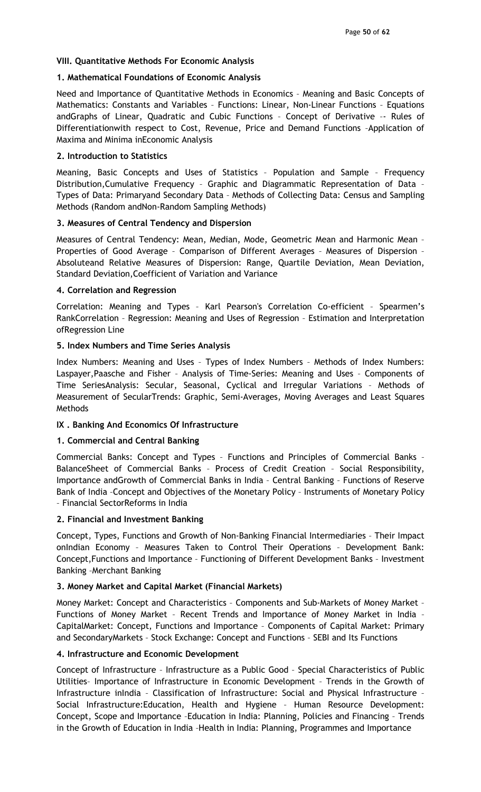## VIII. Quantitative Methods For Economic Analysis

## 1. Mathematical Foundations of Economic Analysis

Need and Importance of Quantitative Methods in Economics – Meaning and Basic Concepts of Mathematics: Constants and Variables – Functions: Linear, Non-Linear Functions – Equations andGraphs of Linear, Quadratic and Cubic Functions – Concept of Derivative –- Rules of Differentiationwith respect to Cost, Revenue, Price and Demand Functions –Application of Maxima and Minima inEconomic Analysis

## 2. Introduction to Statistics

Meaning, Basic Concepts and Uses of Statistics – Population and Sample – Frequency Distribution,Cumulative Frequency – Graphic and Diagrammatic Representation of Data – Types of Data: Primaryand Secondary Data – Methods of Collecting Data: Census and Sampling Methods (Random andNon-Random Sampling Methods)

## 3. Measures of Central Tendency and Dispersion

Measures of Central Tendency: Mean, Median, Mode, Geometric Mean and Harmonic Mean – Properties of Good Average – Comparison of Different Averages – Measures of Dispersion – Absoluteand Relative Measures of Dispersion: Range, Quartile Deviation, Mean Deviation, Standard Deviation,Coefficient of Variation and Variance

## 4. Correlation and Regression

Correlation: Meaning and Types – Karl Pearson's Correlation Co-efficient – Spearmen's RankCorrelation – Regression: Meaning and Uses of Regression – Estimation and Interpretation ofRegression Line

## 5. Index Numbers and Time Series Analysis

Index Numbers: Meaning and Uses – Types of Index Numbers – Methods of Index Numbers: Laspayer,Paasche and Fisher – Analysis of Time-Series: Meaning and Uses – Components of Time SeriesAnalysis: Secular, Seasonal, Cyclical and Irregular Variations – Methods of Measurement of SecularTrends: Graphic, Semi-Averages, Moving Averages and Least Squares Methods

# IX . Banking And Economics Of Infrastructure

## 1. Commercial and Central Banking

Commercial Banks: Concept and Types – Functions and Principles of Commercial Banks – BalanceSheet of Commercial Banks – Process of Credit Creation – Social Responsibility, Importance andGrowth of Commercial Banks in India – Central Banking – Functions of Reserve Bank of India –Concept and Objectives of the Monetary Policy – Instruments of Monetary Policy – Financial SectorReforms in India

## 2. Financial and Investment Banking

Concept, Types, Functions and Growth of Non-Banking Financial Intermediaries – Their Impact onIndian Economy – Measures Taken to Control Their Operations – Development Bank: Concept,Functions and Importance – Functioning of Different Development Banks – Investment Banking –Merchant Banking

# 3. Money Market and Capital Market (Financial Markets)

Money Market: Concept and Characteristics – Components and Sub-Markets of Money Market – Functions of Money Market – Recent Trends and Importance of Money Market in India – CapitalMarket: Concept, Functions and Importance – Components of Capital Market: Primary and SecondaryMarkets – Stock Exchange: Concept and Functions – SEBI and Its Functions

## 4. Infrastructure and Economic Development

Concept of Infrastructure – Infrastructure as a Public Good – Special Characteristics of Public Utilities– Importance of Infrastructure in Economic Development – Trends in the Growth of Infrastructure inIndia – Classification of Infrastructure: Social and Physical Infrastructure – Social Infrastructure:Education, Health and Hygiene – Human Resource Development: Concept, Scope and Importance –Education in India: Planning, Policies and Financing – Trends in the Growth of Education in India –Health in India: Planning, Programmes and Importance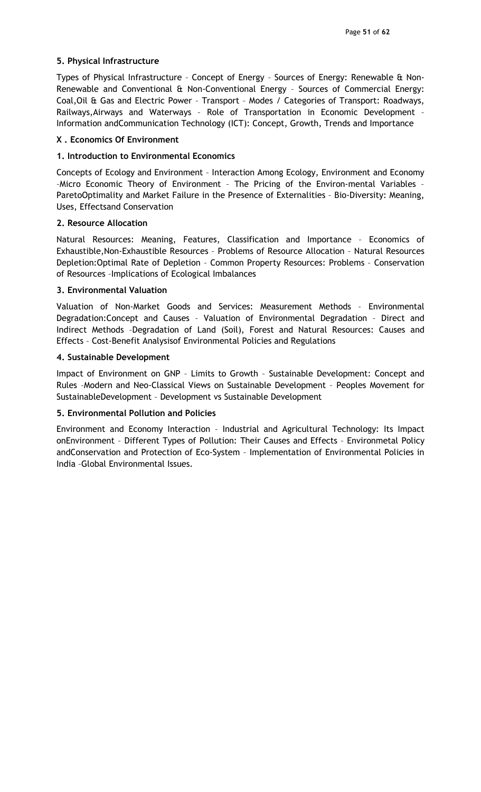### 5. Physical Infrastructure

Types of Physical Infrastructure – Concept of Energy – Sources of Energy: Renewable & Non-Renewable and Conventional & Non-Conventional Energy – Sources of Commercial Energy: Coal,Oil & Gas and Electric Power – Transport – Modes / Categories of Transport: Roadways, Railways,Airways and Waterways – Role of Transportation in Economic Development – Information andCommunication Technology (ICT): Concept, Growth, Trends and Importance

### X . Economics Of Environment

### 1. Introduction to Environmental Economics

Concepts of Ecology and Environment – Interaction Among Ecology, Environment and Economy –Micro Economic Theory of Environment – The Pricing of the Environ-mental Variables – ParetoOptimality and Market Failure in the Presence of Externalities – Bio-Diversity: Meaning, Uses, Effectsand Conservation

### 2. Resource Allocation

Natural Resources: Meaning, Features, Classification and Importance – Economics of Exhaustible,Non-Exhaustible Resources – Problems of Resource Allocation – Natural Resources Depletion:Optimal Rate of Depletion – Common Property Resources: Problems – Conservation of Resources –Implications of Ecological Imbalances

## 3. Environmental Valuation

Valuation of Non-Market Goods and Services: Measurement Methods – Environmental Degradation:Concept and Causes – Valuation of Environmental Degradation – Direct and Indirect Methods –Degradation of Land (Soil), Forest and Natural Resources: Causes and Effects – Cost-Benefit Analysisof Environmental Policies and Regulations

## 4. Sustainable Development

Impact of Environment on GNP – Limits to Growth – Sustainable Development: Concept and Rules –Modern and Neo-Classical Views on Sustainable Development – Peoples Movement for SustainableDevelopment – Development vs Sustainable Development

## 5. Environmental Pollution and Policies

Environment and Economy Interaction – Industrial and Agricultural Technology: Its Impact onEnvironment – Different Types of Pollution: Their Causes and Effects – Environmetal Policy andConservation and Protection of Eco-System – Implementation of Environmental Policies in India –Global Environmental Issues.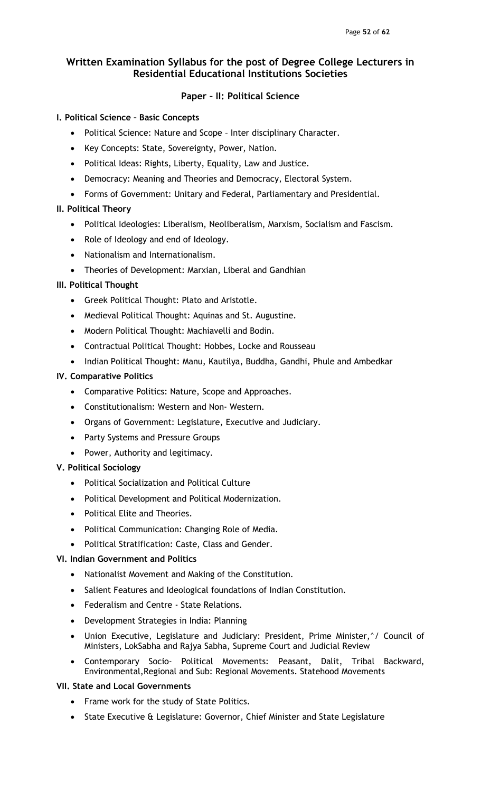## Paper – II: Political Science

## I. Political Science – Basic Concepts

- Political Science: Nature and Scope Inter disciplinary Character.
- Key Concepts: State, Sovereignty, Power, Nation.
- Political Ideas: Rights, Liberty, Equality, Law and Justice.
- Democracy: Meaning and Theories and Democracy, Electoral System.
- Forms of Government: Unitary and Federal, Parliamentary and Presidential.

## II. Political Theory

- Political Ideologies: Liberalism, Neoliberalism, Marxism, Socialism and Fascism.
- Role of Ideology and end of Ideology.
- Nationalism and Internationalism.
- Theories of Development: Marxian, Liberal and Gandhian

## III. Political Thought

- Greek Political Thought: Plato and Aristotle.
- Medieval Political Thought: Aquinas and St. Augustine.
- Modern Political Thought: Machiavelli and Bodin.
- Contractual Political Thought: Hobbes, Locke and Rousseau
- Indian Political Thought: Manu, Kautilya, Buddha, Gandhi, Phule and Ambedkar

## IV. Comparative Politics

- Comparative Politics: Nature, Scope and Approaches.
- Constitutionalism: Western and Non- Western.
- Organs of Government: Legislature, Executive and Judiciary.
- Party Systems and Pressure Groups
- Power, Authority and legitimacy.

## V. Political Sociology

- Political Socialization and Political Culture
- Political Development and Political Modernization.
- Political Elite and Theories.
- Political Communication: Changing Role of Media.
- Political Stratification: Caste, Class and Gender.

## VI. Indian Government and Politics

- Nationalist Movement and Making of the Constitution.
- Salient Features and Ideological foundations of Indian Constitution.
- Federalism and Centre State Relations.
- Development Strategies in India: Planning
- Union Executive, Legislature and Judiciary: President, Prime Minister,^/ Council of Ministers, LokSabha and Rajya Sabha, Supreme Court and Judicial Review
- Contemporary Socio- Political Movements: Peasant, Dalit, Tribal Backward, Environmental,Regional and Sub: Regional Movements. Statehood Movements

## VII. State and Local Governments

- Frame work for the study of State Politics.
- State Executive & Legislature: Governor, Chief Minister and State Legislature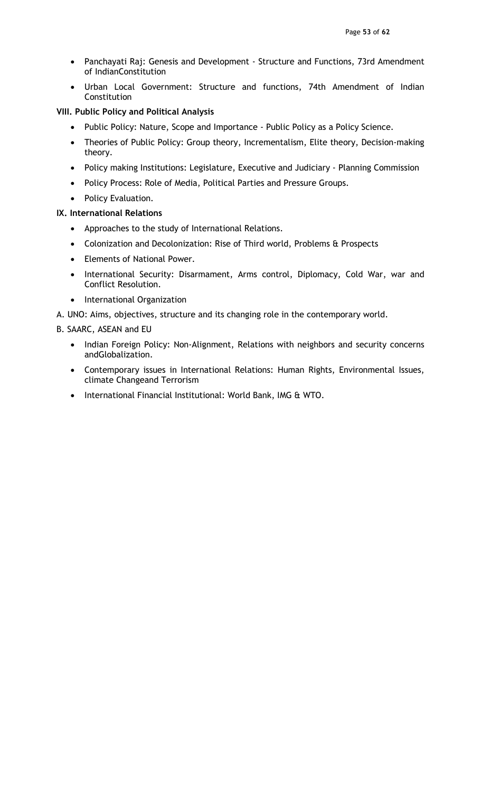- Panchayati Raj: Genesis and Development Structure and Functions, 73rd Amendment of IndianConstitution
- Urban Local Government: Structure and functions, 74th Amendment of Indian Constitution

### VIII. Public Policy and Political Analysis

- Public Policy: Nature, Scope and Importance Public Policy as a Policy Science.
- Theories of Public Policy: Group theory, Incrementalism, Elite theory, Decision-making theory.
- Policy making Institutions: Legislature, Executive and Judiciary Planning Commission
- Policy Process: Role of Media, Political Parties and Pressure Groups.
- Policy Evaluation.

## IX. International Relations

- Approaches to the study of International Relations.
- Colonization and Decolonization: Rise of Third world, Problems & Prospects
- Elements of National Power.
- International Security: Disarmament, Arms control, Diplomacy, Cold War, war and Conflict Resolution.
- International Organization
- A. UNO: Aims, objectives, structure and its changing role in the contemporary world.

B. SAARC, ASEAN and EU

- Indian Foreign Policy: Non-Alignment, Relations with neighbors and security concerns andGlobalization.
- Contemporary issues in International Relations: Human Rights, Environmental Issues, climate Changeand Terrorism
- International Financial Institutional: World Bank, IMG & WTO.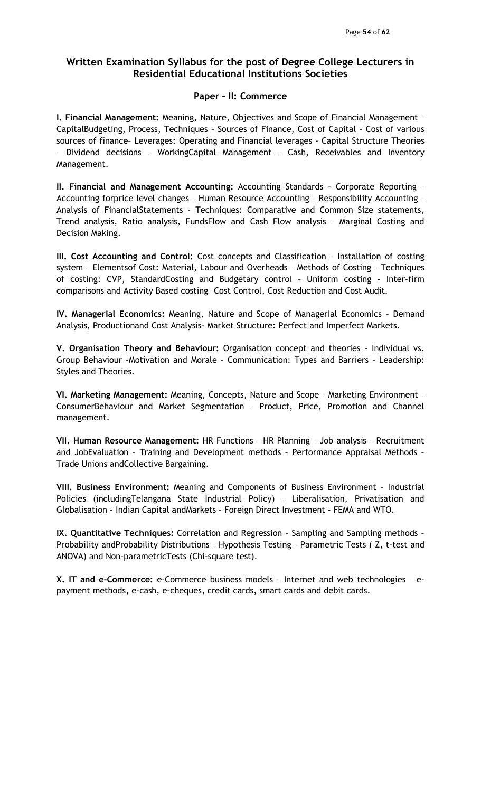# Paper – II: Commerce

I. Financial Management: Meaning, Nature, Objectives and Scope of Financial Management – CapitalBudgeting, Process, Techniques – Sources of Finance, Cost of Capital – Cost of various sources of finance– Leverages: Operating and Financial leverages - Capital Structure Theories – Dividend decisions – WorkingCapital Management – Cash, Receivables and Inventory Management.

II. Financial and Management Accounting: Accounting Standards - Corporate Reporting – Accounting forprice level changes – Human Resource Accounting – Responsibility Accounting – Analysis of FinancialStatements – Techniques: Comparative and Common Size statements, Trend analysis, Ratio analysis, FundsFlow and Cash Flow analysis – Marginal Costing and Decision Making.

III. Cost Accounting and Control: Cost concepts and Classification – Installation of costing system – Elementsof Cost: Material, Labour and Overheads – Methods of Costing – Techniques of costing: CVP, StandardCosting and Budgetary control – Uniform costing - Inter-firm comparisons and Activity Based costing –Cost Control, Cost Reduction and Cost Audit.

IV. Managerial Economics: Meaning, Nature and Scope of Managerial Economics – Demand Analysis, Productionand Cost Analysis- Market Structure: Perfect and Imperfect Markets.

V. Organisation Theory and Behaviour: Organisation concept and theories – Individual vs. Group Behaviour –Motivation and Morale – Communication: Types and Barriers – Leadership: Styles and Theories.

VI. Marketing Management: Meaning, Concepts, Nature and Scope – Marketing Environment – ConsumerBehaviour and Market Segmentation – Product, Price, Promotion and Channel management.

VII. Human Resource Management: HR Functions – HR Planning – Job analysis – Recruitment and JobEvaluation - Training and Development methods - Performance Appraisal Methods -Trade Unions andCollective Bargaining.

VIII. Business Environment: Meaning and Components of Business Environment – Industrial Policies (includingTelangana State Industrial Policy) – Liberalisation, Privatisation and Globalisation – Indian Capital andMarkets – Foreign Direct Investment - FEMA and WTO.

IX. Quantitative Techniques: Correlation and Regression – Sampling and Sampling methods – Probability andProbability Distributions – Hypothesis Testing – Parametric Tests ( Z, t-test and ANOVA) and Non-parametricTests (Chi-square test).

X. IT and e-Commerce: e-Commerce business models – Internet and web technologies – epayment methods, e-cash, e-cheques, credit cards, smart cards and debit cards.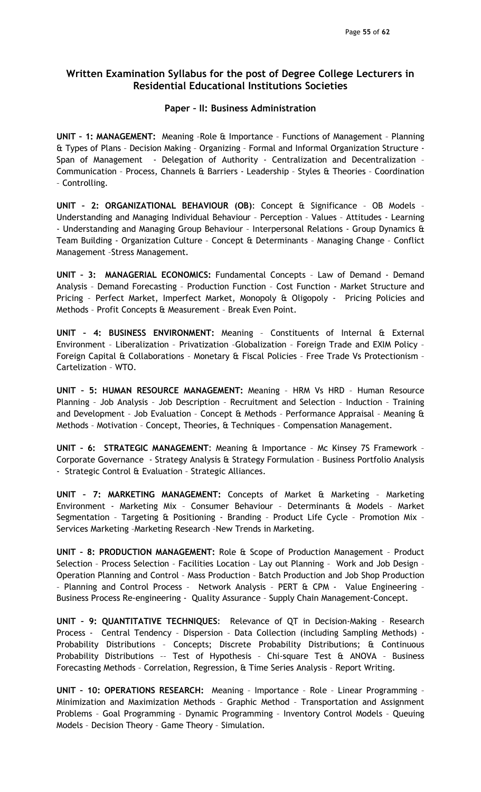### Paper – II: Business Administration

UNIT – 1: MANAGEMENT: Meaning –Role & Importance – Functions of Management – Planning & Types of Plans – Decision Making – Organizing – Formal and Informal Organization Structure - Span of Management - Delegation of Authority - Centralization and Decentralization – Communication – Process, Channels & Barriers - Leadership – Styles & Theories – Coordination – Controlling.

UNIT – 2: ORGANIZATIONAL BEHAVIOUR (OB): Concept & Significance – OB Models – Understanding and Managing Individual Behaviour – Perception – Values – Attitudes - Learning - Understanding and Managing Group Behaviour – Interpersonal Relations - Group Dynamics & Team Building - Organization Culture – Concept & Determinants – Managing Change – Conflict Management –Stress Management.

UNIT – 3: MANAGERIAL ECONOMICS: Fundamental Concepts – Law of Demand - Demand Analysis – Demand Forecasting – Production Function – Cost Function - Market Structure and Pricing – Perfect Market, Imperfect Market, Monopoly & Oligopoly - Pricing Policies and Methods – Profit Concepts & Measurement – Break Even Point.

UNIT – 4: BUSINESS ENVIRONMENT: Meaning – Constituents of Internal & External Environment – Liberalization – Privatization –Globalization – Foreign Trade and EXIM Policy – Foreign Capital & Collaborations – Monetary & Fiscal Policies – Free Trade Vs Protectionism – Cartelization – WTO.

UNIT – 5: HUMAN RESOURCE MANAGEMENT: Meaning – HRM Vs HRD – Human Resource Planning – Job Analysis – Job Description – Recruitment and Selection – Induction – Training and Development – Job Evaluation – Concept & Methods – Performance Appraisal – Meaning & Methods – Motivation – Concept, Theories, & Techniques – Compensation Management.

UNIT – 6: STRATEGIC MANAGEMENT: Meaning & Importance – Mc Kinsey 7S Framework – Corporate Governance - Strategy Analysis & Strategy Formulation – Business Portfolio Analysis - Strategic Control & Evaluation – Strategic Alliances.

UNIT – 7: MARKETING MANAGEMENT: Concepts of Market & Marketing – Marketing Environment - Marketing Mix – Consumer Behaviour – Determinants & Models – Market Segmentation – Targeting & Positioning - Branding – Product Life Cycle – Promotion Mix – Services Marketing –Marketing Research –New Trends in Marketing.

UNIT – 8: PRODUCTION MANAGEMENT: Role & Scope of Production Management – Product Selection – Process Selection – Facilities Location – Lay out Planning – Work and Job Design – Operation Planning and Control – Mass Production – Batch Production and Job Shop Production – Planning and Control Process – Network Analysis – PERT & CPM - Value Engineering – Business Process Re-engineering - Quality Assurance – Supply Chain Management-Concept.

UNIT – 9: QUANTITATIVE TECHNIQUES: Relevance of QT in Decision-Making – Research Process - Central Tendency – Dispersion – Data Collection (including Sampling Methods) - Probability Distributions – Concepts; Discrete Probability Distributions; & Continuous Probability Distributions –– Test of Hypothesis – Chi-square Test & ANOVA – Business Forecasting Methods – Correlation, Regression, & Time Series Analysis – Report Writing.

UNIT – 10: OPERATIONS RESEARCH: Meaning – Importance – Role – Linear Programming – Minimization and Maximization Methods – Graphic Method – Transportation and Assignment Problems – Goal Programming – Dynamic Programming – Inventory Control Models – Queuing Models – Decision Theory – Game Theory – Simulation.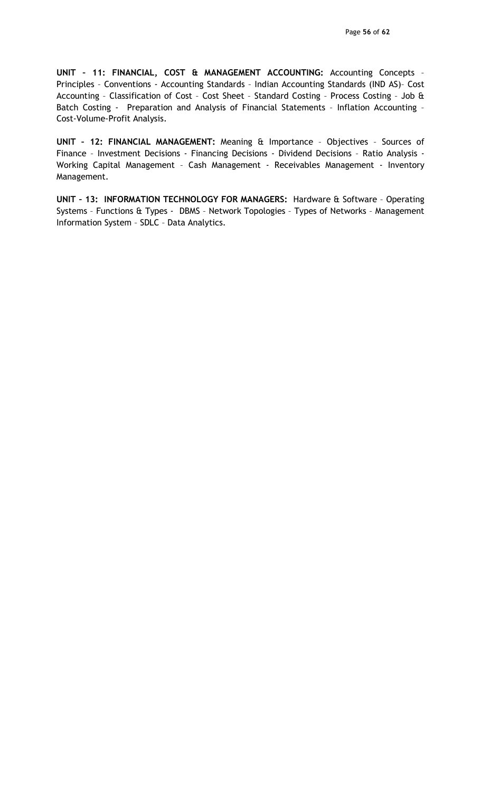UNIT – 11: FINANCIAL, COST & MANAGEMENT ACCOUNTING: Accounting Concepts – Principles – Conventions - Accounting Standards – Indian Accounting Standards (IND AS)– Cost Accounting – Classification of Cost – Cost Sheet – Standard Costing – Process Costing – Job & Batch Costing - Preparation and Analysis of Financial Statements – Inflation Accounting – Cost-Volume-Profit Analysis.

UNIT – 12: FINANCIAL MANAGEMENT: Meaning & Importance – Objectives – Sources of Finance – Investment Decisions - Financing Decisions - Dividend Decisions – Ratio Analysis - Working Capital Management - Cash Management - Receivables Management - Inventory Management.

UNIT - 13: INFORMATION TECHNOLOGY FOR MANAGERS: Hardware & Software - Operating Systems – Functions & Types - DBMS – Network Topologies – Types of Networks – Management Information System – SDLC – Data Analytics.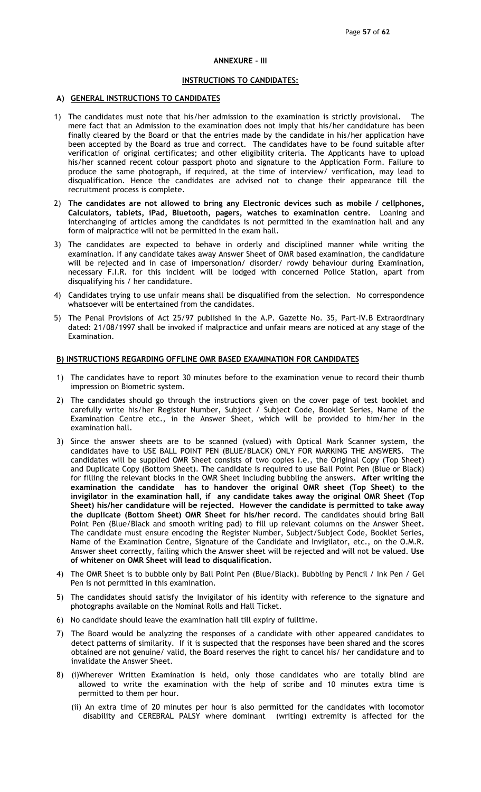#### ANNEXURE - III

#### INSTRUCTIONS TO CANDIDATES:

#### A) GENERAL INSTRUCTIONS TO CANDIDATES

- 1) The candidates must note that his/her admission to the examination is strictly provisional. The mere fact that an Admission to the examination does not imply that his/her candidature has been finally cleared by the Board or that the entries made by the candidate in his/her application have been accepted by the Board as true and correct. The candidates have to be found suitable after verification of original certificates; and other eligibility criteria. The Applicants have to upload his/her scanned recent colour passport photo and signature to the Application Form. Failure to produce the same photograph, if required, at the time of interview/ verification, may lead to disqualification. Hence the candidates are advised not to change their appearance till the recruitment process is complete.
- 2) The candidates are not allowed to bring any Electronic devices such as mobile / cellphones, Calculators, tablets, iPad, Bluetooth, pagers, watches to examination centre. Loaning and interchanging of articles among the candidates is not permitted in the examination hall and any form of malpractice will not be permitted in the exam hall.
- 3) The candidates are expected to behave in orderly and disciplined manner while writing the examination. If any candidate takes away Answer Sheet of OMR based examination, the candidature will be rejected and in case of impersonation/ disorder/ rowdy behaviour during Examination, necessary F.I.R. for this incident will be lodged with concerned Police Station, apart from disqualifying his / her candidature.
- 4) Candidates trying to use unfair means shall be disqualified from the selection. No correspondence whatsoever will be entertained from the candidates.
- 5) The Penal Provisions of Act 25/97 published in the A.P. Gazette No. 35, Part-IV.B Extraordinary dated: 21/08/1997 shall be invoked if malpractice and unfair means are noticed at any stage of the Examination.

#### B) INSTRUCTIONS REGARDING OFFLINE OMR BASED EXAMINATION FOR CANDIDATES

- 1) The candidates have to report 30 minutes before to the examination venue to record their thumb impression on Biometric system.
- 2) The candidates should go through the instructions given on the cover page of test booklet and carefully write his/her Register Number, Subject / Subject Code, Booklet Series, Name of the Examination Centre etc., in the Answer Sheet, which will be provided to him/her in the examination hall.
- 3) Since the answer sheets are to be scanned (valued) with Optical Mark Scanner system, the candidates have to USE BALL POINT PEN (BLUE/BLACK) ONLY FOR MARKING THE ANSWERS. The candidates will be supplied OMR Sheet consists of two copies i.e., the Original Copy (Top Sheet) and Duplicate Copy (Bottom Sheet). The candidate is required to use Ball Point Pen (Blue or Black) for filling the relevant blocks in the OMR Sheet including bubbling the answers. After writing the examination the candidate has to handover the original OMR sheet (Top Sheet) to the invigilator in the examination hall, if any candidate takes away the original OMR Sheet (Top Sheet) his/her candidature will be rejected. However the candidate is permitted to take away the duplicate (Bottom Sheet) OMR Sheet for his/her record. The candidates should bring Ball Point Pen (Blue/Black and smooth writing pad) to fill up relevant columns on the Answer Sheet. The candidate must ensure encoding the Register Number, Subject/Subject Code, Booklet Series, Name of the Examination Centre, Signature of the Candidate and Invigilator, etc., on the O.M.R. Answer sheet correctly, failing which the Answer sheet will be rejected and will not be valued. Use of whitener on OMR Sheet will lead to disqualification.
- 4) The OMR Sheet is to bubble only by Ball Point Pen (Blue/Black). Bubbling by Pencil / Ink Pen / Gel Pen is not permitted in this examination.
- 5) The candidates should satisfy the Invigilator of his identity with reference to the signature and photographs available on the Nominal Rolls and Hall Ticket.
- 6) No candidate should leave the examination hall till expiry of fulltime.
- 7) The Board would be analyzing the responses of a candidate with other appeared candidates to detect patterns of similarity. If it is suspected that the responses have been shared and the scores obtained are not genuine/ valid, the Board reserves the right to cancel his/ her candidature and to invalidate the Answer Sheet.
- 8) (i)Wherever Written Examination is held, only those candidates who are totally blind are allowed to write the examination with the help of scribe and 10 minutes extra time is permitted to them per hour.
	- (ii) An extra time of 20 minutes per hour is also permitted for the candidates with locomotor disability and CEREBRAL PALSY where dominant (writing) extremity is affected for the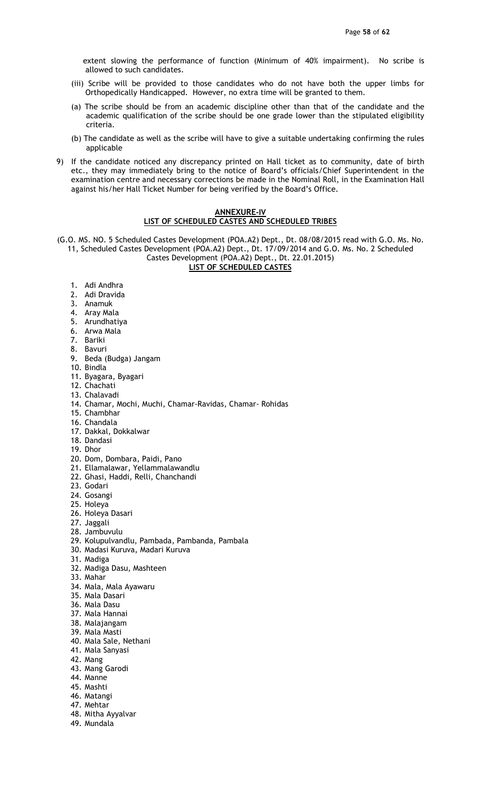extent slowing the performance of function (Minimum of 40% impairment). No scribe is allowed to such candidates.

- (iii) Scribe will be provided to those candidates who do not have both the upper limbs for Orthopedically Handicapped. However, no extra time will be granted to them.
- (a) The scribe should be from an academic discipline other than that of the candidate and the academic qualification of the scribe should be one grade lower than the stipulated eligibility criteria.
- (b) The candidate as well as the scribe will have to give a suitable undertaking confirming the rules applicable
- 9) If the candidate noticed any discrepancy printed on Hall ticket as to community, date of birth etc., they may immediately bring to the notice of Board's officials/Chief Superintendent in the examination centre and necessary corrections be made in the Nominal Roll, in the Examination Hall against his/her Hall Ticket Number for being verified by the Board's Office.

#### ANNEXURE-IV LIST OF SCHEDULED CASTES AND SCHEDULED TRIBES

(G.O. MS. NO. 5 Scheduled Castes Development (POA.A2) Dept., Dt. 08/08/2015 read with G.O. Ms. No. 11, Scheduled Castes Development (POA.A2) Dept., Dt. 17/09/2014 and G.O. Ms. No. 2 Scheduled

Castes Development (POA.A2) Dept., Dt. 22.01.2015)

## LIST OF SCHEDULED CASTES

- 1. Adi Andhra
- 2. Adi Dravida
- 3. Anamuk
- 4. Aray Mala
- 5. Arundhatiya
- 6. Arwa Mala
- 7. Bariki
- 8. Bavuri
- 9. Beda (Budga) Jangam
- 10. Bindla
- 11. Byagara, Byagari
- 12. Chachati
- 13. Chalavadi
- 14. Chamar, Mochi, Muchi, Chamar-Ravidas, Chamar- Rohidas
- 15. Chambhar
- 16. Chandala
- 17. Dakkal, Dokkalwar
- 18. Dandasi
- 19. Dhor
- 20. Dom, Dombara, Paidi, Pano
- 21. Ellamalawar, Yellammalawandlu
- 22. Ghasi, Haddi, Relli, Chanchandi
- 23. Godari
- 24. Gosangi
- 25. Holeya
- 26. Holeya Dasari
- 27. Jaggali
- 28. Jambuvulu
- 29. Kolupulvandlu, Pambada, Pambanda, Pambala
- 30. Madasi Kuruva, Madari Kuruva
- 31. Madiga
- 32. Madiga Dasu, Mashteen
- 33. Mahar
- 34. Mala, Mala Ayawaru
- 35. Mala Dasari
- 36. Mala Dasu
- 37. Mala Hannai
- 38. Malajangam
- 39. Mala Masti
- 40. Mala Sale, Nethani
- 41. Mala Sanyasi
- 42. Mang
- 43. Mang Garodi
- 44. Manne
- 45. Mashti
- 46. Matangi
- 47. Mehtar
- 48. Mitha Ayyalvar
- 49. Mundala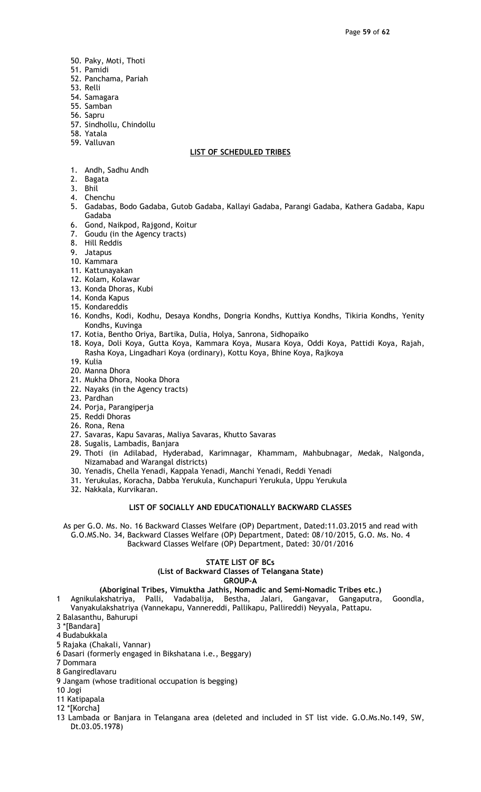- 50. Paky, Moti, Thoti
- 51. Pamidi
- 52. Panchama, Pariah
- 53. Relli
- 54. Samagara
- 55. Samban
- 56. Sapru
- 57. Sindhollu, Chindollu
- 58. Yatala 59. Valluvan

#### LIST OF SCHEDULED TRIBES

- 1. Andh, Sadhu Andh
- 2. Bagata
- 3. Bhil
- 4. Chenchu
- 5. Gadabas, Bodo Gadaba, Gutob Gadaba, Kallayi Gadaba, Parangi Gadaba, Kathera Gadaba, Kapu Gadaba
- 6. Gond, Naikpod, Rajgond, Koitur
- 7. Goudu (in the Agency tracts)
- 8. Hill Reddis
- 9. Jatapus
- 10. Kammara
- 11. Kattunayakan
- 12. Kolam, Kolawar
- 13. Konda Dhoras, Kubi
- 14. Konda Kapus
- 15. Kondareddis
- 16. Kondhs, Kodi, Kodhu, Desaya Kondhs, Dongria Kondhs, Kuttiya Kondhs, Tikiria Kondhs, Yenity Kondhs, Kuvinga
- 17. Kotia, Bentho Oriya, Bartika, Dulia, Holya, Sanrona, Sidhopaiko
- 18. Koya, Doli Koya, Gutta Koya, Kammara Koya, Musara Koya, Oddi Koya, Pattidi Koya, Rajah, Rasha Koya, Lingadhari Koya (ordinary), Kottu Koya, Bhine Koya, Rajkoya
- 19. Kulia
- 20. Manna Dhora
- 21. Mukha Dhora, Nooka Dhora
- 22. Nayaks (in the Agency tracts)
- 23. Pardhan
- 24. Porja, Parangiperja
- 25. Reddi Dhoras
- 26. Rona, Rena
- 27. Savaras, Kapu Savaras, Maliya Savaras, Khutto Savaras
- 28. Sugalis, Lambadis, Banjara
- 29. Thoti (in Adilabad, Hyderabad, Karimnagar, Khammam, Mahbubnagar, Medak, Nalgonda, Nizamabad and Warangal districts)
- 30. Yenadis, Chella Yenadi, Kappala Yenadi, Manchi Yenadi, Reddi Yenadi
- 31. Yerukulas, Koracha, Dabba Yerukula, Kunchapuri Yerukula, Uppu Yerukula
- 32. Nakkala, Kurvikaran.

#### LIST OF SOCIALLY AND EDUCATIONALLY BACKWARD CLASSES

As per G.O. Ms. No. 16 Backward Classes Welfare (OP) Department, Dated:11.03.2015 and read with G.O.MS.No. 34, Backward Classes Welfare (OP) Department, Dated: 08/10/2015, G.O. Ms. No. 4 Backward Classes Welfare (OP) Department, Dated: 30/01/2016

#### STATE LIST OF BCs (List of Backward Classes of Telangana State) GROUP-A

## (Aboriginal Tribes, Vimuktha Jathis, Nomadic and Semi-Nomadic Tribes etc.)

- 1 Agnikulakshatriya, Palli, Vadabalija, Bestha, Jalari, Gangavar, Gangaputra, Goondla, Vanyakulakshatriya (Vannekapu, Vannereddi, Pallikapu, Pallireddi) Neyyala, Pattapu.
- 2 Balasanthu, Bahurupi
- 3 \*[Bandara]
- 4 Budabukkala
- 5 Rajaka (Chakali, Vannar)
- 6 Dasari (formerly engaged in Bikshatana i.e., Beggary)
- 7 Dommara
- 8 Gangiredlavaru
- 9 Jangam (whose traditional occupation is begging)
- 10 Jogi
- 11 Katipapala
- 12 \*[Korcha]
- 13 Lambada or Banjara in Telangana area (deleted and included in ST list vide. G.O.Ms.No.149, SW, Dt.03.05.1978)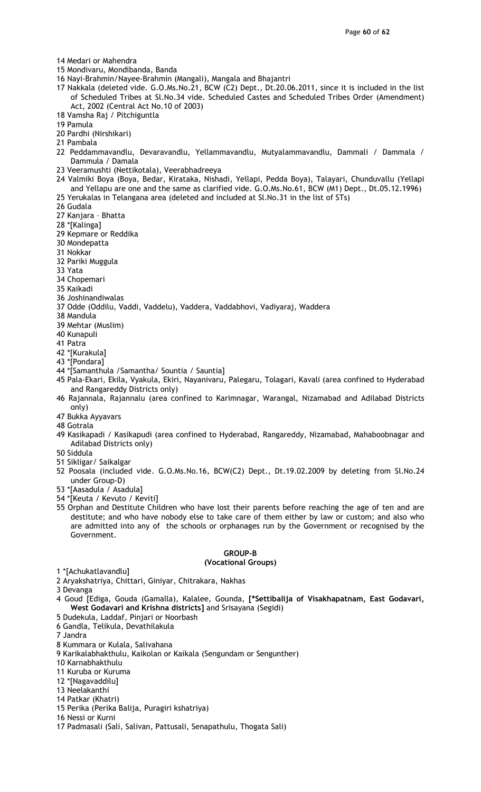- 14 Medari or Mahendra
- 15 Mondivaru, Mondibanda, Banda
- 16 Nayi-Brahmin/Nayee-Brahmin (Mangali), Mangala and Bhajantri
- 17 Nakkala (deleted vide. G.O.Ms.No.21, BCW (C2) Dept., Dt.20.06.2011, since it is included in the list of Scheduled Tribes at Sl.No.34 vide. Scheduled Castes and Scheduled Tribes Order (Amendment) Act, 2002 (Central Act No.10 of 2003)
- 18 Vamsha Raj / Pitchiguntla
- 19 Pamula
- 20 Pardhi (Nirshikari)
- 21 Pambala
- 22 Peddammavandlu, Devaravandlu, Yellammavandlu, Mutyalammavandlu, Dammali / Dammala / Dammula / Damala
- 23 Veeramushti (Nettikotala), Veerabhadreeya
- 24 Valmiki Boya (Boya, Bedar, Kirataka, Nishadi, Yellapi, Pedda Boya), Talayari, Chunduvallu (Yellapi and Yellapu are one and the same as clarified vide. G.O.Ms.No.61, BCW (M1) Dept., Dt.05.12.1996)
- 25 Yerukalas in Telangana area (deleted and included at Sl.No.31 in the list of STs)
- 26 Gudala
- 27 Kanjara Bhatta
- 28 \*[Kalinga]
- 29 Kepmare or Reddika
- 30 Mondepatta
- 31 Nokkar
- 32 Pariki Muggula
- 33 Yata
- 34 Chopemari
- 35 Kaikadi
- 36 Joshinandiwalas
- 37 Odde (Oddilu, Vaddi, Vaddelu), Vaddera, Vaddabhovi, Vadiyaraj, Waddera
- 38 Mandula
- 39 Mehtar (Muslim)
- 40 Kunapuli
- 41 Patra
- 42 \*[Kurakula]
- 43 \*[Pondara]
- 44 \*[Samanthula /Samantha/ Sountia / Sauntia]
- 45 Pala-Ekari, Ekila, Vyakula, Ekiri, Nayanivaru, Palegaru, Tolagari, Kavali (area confined to Hyderabad and Rangareddy Districts only)
- 46 Rajannala, Rajannalu (area confined to Karimnagar, Warangal, Nizamabad and Adilabad Districts only)
- 47 Bukka Ayyavars
- 48 Gotrala
- 49 Kasikapadi / Kasikapudi (area confined to Hyderabad, Rangareddy, Nizamabad, Mahaboobnagar and Adilabad Districts only)
- 50 Siddula
- 51 Sikligar/ Saikalgar
- 52 Poosala (included vide. G.O.Ms.No.16, BCW(C2) Dept., Dt.19.02.2009 by deleting from Sl.No.24 under Group-D)
- 53 \*[Aasadula / Asadula]
- 54 \*[Keuta / Kevuto / Keviti]
- 55 Orphan and Destitute Children who have lost their parents before reaching the age of ten and are destitute; and who have nobody else to take care of them either by law or custom; and also who are admitted into any of the schools or orphanages run by the Government or recognised by the Government.

#### GROUP-B

#### (Vocational Groups)

- 1 \*[Achukatlavandlu]
- 2 Aryakshatriya, Chittari, Giniyar, Chitrakara, Nakhas
- 3 Devanga
- 4 Goud [Ediga, Gouda (Gamalla), Kalalee, Gounda, [\*Settibalija of Visakhapatnam, East Godavari, West Godavari and Krishna districts] and Srisayana (Segidi)
- 5 Dudekula, Laddaf, Pinjari or Noorbash
- 6 Gandla, Telikula, Devathilakula
- 7 Jandra
- 8 Kummara or Kulala, Salivahana
- 9 Karikalabhakthulu, Kaikolan or Kaikala (Sengundam or Sengunther)
- 10 Karnabhakthulu
- 11 Kuruba or Kuruma
- 12 \*[Nagavaddilu]
- 13 Neelakanthi
- 14 Patkar (Khatri)
- 15 Perika (Perika Balija, Puragiri kshatriya)
- 16 Nessi or Kurni
- 17 Padmasali (Sali, Salivan, Pattusali, Senapathulu, Thogata Sali)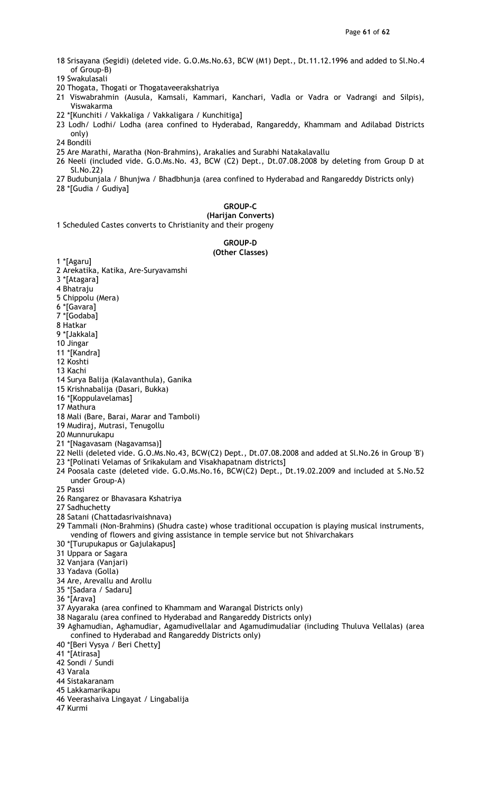- 18 Srisayana (Segidi) (deleted vide. G.O.Ms.No.63, BCW (M1) Dept., Dt.11.12.1996 and added to Sl.No.4 of Group-B)
- 19 Swakulasali
- 20 Thogata, Thogati or Thogataveerakshatriya
- 21 Viswabrahmin (Ausula, Kamsali, Kammari, Kanchari, Vadla or Vadra or Vadrangi and Silpis), Viswakarma
- 22 \*[Kunchiti / Vakkaliga / Vakkaligara / Kunchitiga]
- 23 Lodh/ Lodhi/ Lodha (area confined to Hyderabad, Rangareddy, Khammam and Adilabad Districts only)
- 24 Bondili
- 25 Are Marathi, Maratha (Non-Brahmins), Arakalies and Surabhi Natakalavallu
- 26 Neeli (included vide. G.O.Ms.No. 43, BCW (C2) Dept., Dt.07.08.2008 by deleting from Group D at Sl.No.22)
- 27 Budubunjala / Bhunjwa / Bhadbhunja (area confined to Hyderabad and Rangareddy Districts only)
- 28 \*[Gudia / Gudiya]

#### GROUP-C

(Harijan Converts) 1 Scheduled Castes converts to Christianity and their progeny

GROUP-D

#### (Other Classes)

1 \*[Agaru] 2 Arekatika, Katika, Are-Suryavamshi

3 \*[Atagara]

4 Bhatraju

- 5 Chippolu (Mera)
- 6 \*[Gavara]
- 7 \*[Godaba]
- 8 Hatkar
- 9 \*[Jakkala]
- 10 Jingar
- 11 \*[Kandra]
- 12 Koshti
- 13 Kachi
- 14 Surya Balija (Kalavanthula), Ganika
- 15 Krishnabalija (Dasari, Bukka)
- 16 \*[Koppulavelamas]
- 17 Mathura
- 18 Mali (Bare, Barai, Marar and Tamboli)
- 19 Mudiraj, Mutrasi, Tenugollu
- 20 Munnurukapu
- 21 \*[Nagavasam (Nagavamsa)]
- 22 Nelli (deleted vide. G.O.Ms.No.43, BCW(C2) Dept., Dt.07.08.2008 and added at Sl.No.26 in Group 'B') 23 \*[Polinati Velamas of Srikakulam and Visakhapatnam districts]
- 24 Poosala caste (deleted vide. G.O.Ms.No.16, BCW(C2) Dept., Dt.19.02.2009 and included at S.No.52 under Group-A)
- 25 Passi
- 26 Rangarez or Bhavasara Kshatriya
- 27 Sadhuchetty
- 28 Satani (Chattadasrivaishnava)
- 29 Tammali (Non-Brahmins) (Shudra caste) whose traditional occupation is playing musical instruments, vending of flowers and giving assistance in temple service but not Shivarchakars
- 30 \*[Turupukapus or Gajulakapus]
- 31 Uppara or Sagara
- 32 Vanjara (Vanjari)
- 33 Yadava (Golla)
- 34 Are, Arevallu and Arollu
- 35 \*[Sadara / Sadaru]
- 36 \*[Arava]
- 37 Ayyaraka (area confined to Khammam and Warangal Districts only)
- 38 Nagaralu (area confined to Hyderabad and Rangareddy Districts only)
- 39 Aghamudian, Aghamudiar, Agamudivellalar and Agamudimudaliar (including Thuluva Vellalas) (area confined to Hyderabad and Rangareddy Districts only)
- 40 \*[Beri Vysya / Beri Chetty]
- 41 \*[Atirasa]
- 42 Sondi / Sundi
- 43 Varala
- 44 Sistakaranam
- 45 Lakkamarikapu
- 46 Veerashaiva Lingayat / Lingabalija
- 47 Kurmi